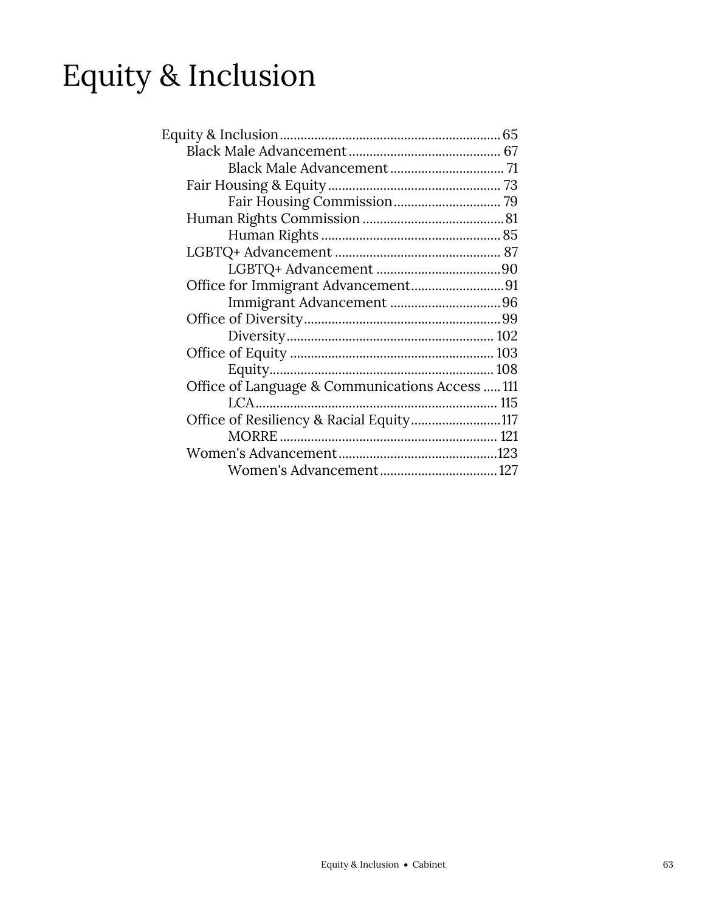# Equity & Inclusion

| Office for Immigrant Advancement91              |
|-------------------------------------------------|
|                                                 |
|                                                 |
|                                                 |
|                                                 |
|                                                 |
| Office of Language & Communications Access  111 |
|                                                 |
| Office of Resiliency & Racial Equity117         |
|                                                 |
|                                                 |
|                                                 |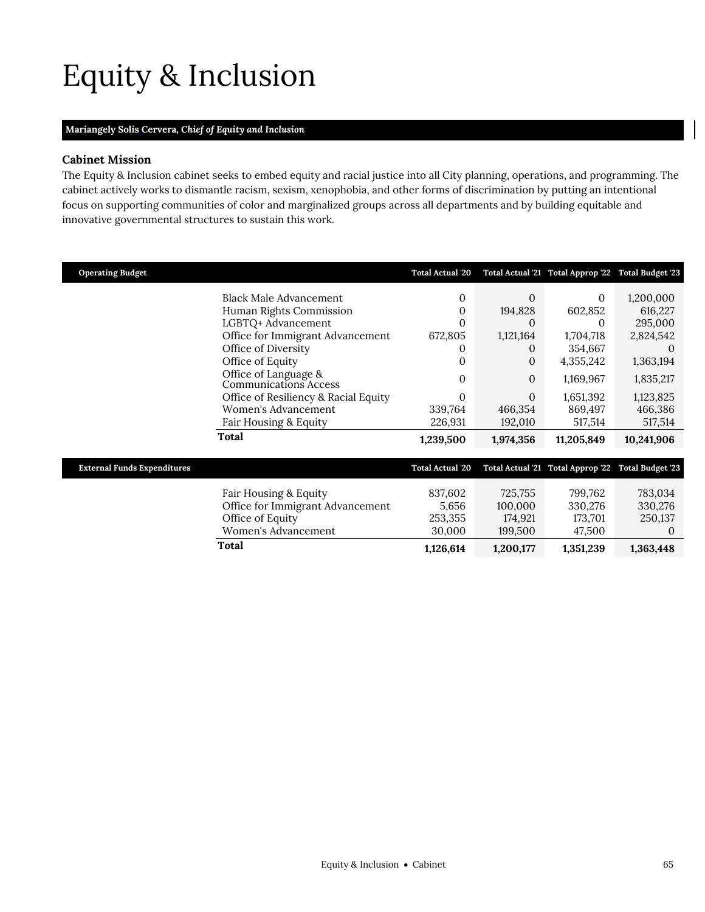# <span id="page-2-0"></span>Equity & Inclusion

## **Mariangely Solis Cervera,** *Chief of Equity and Inclusion*

## **Cabinet Mission**

The Equity & Inclusion cabinet seeks to embed equity and racial justice into all City planning, operations, and programming. The cabinet actively works to dismantle racism, sexism, xenophobia, and other forms of discrimination by putting an intentional focus on supporting communities of color and marginalized groups across all departments and by building equitable and innovative governmental structures to sustain this work.

| <b>Operating Budget</b>            |                                               | <b>Total Actual '20</b> |              | Total Actual '21 Total Approp '22 Total Budget '23 |            |
|------------------------------------|-----------------------------------------------|-------------------------|--------------|----------------------------------------------------|------------|
|                                    | <b>Black Male Advancement</b>                 | 0                       | $\theta$     | $\Omega$                                           |            |
|                                    |                                               |                         |              |                                                    | 1,200,000  |
|                                    | Human Rights Commission                       | 0                       | 194,828      | 602,852                                            | 616,227    |
|                                    | LGBTQ+ Advancement                            | 0                       | 0            | 0                                                  | 295,000    |
|                                    | Office for Immigrant Advancement              | 672,805                 | 1,121,164    | 1,704,718                                          | 2,824,542  |
|                                    | Office of Diversity                           | 0                       | $\Omega$     | 354,667                                            | $\Omega$   |
|                                    | Office of Equity                              | 0                       | 0            | 4,355,242                                          | 1,363,194  |
|                                    | Office of Language &<br>Communications Access | 0                       | $\mathbf{0}$ | 1,169,967                                          | 1,835,217  |
|                                    | Office of Resiliency & Racial Equity          | 0                       | $\Omega$     | 1,651,392                                          | 1,123,825  |
|                                    | Women's Advancement                           | 339,764                 | 466,354      | 869,497                                            | 466,386    |
|                                    | Fair Housing & Equity                         | 226,931                 | 192,010      | 517,514                                            | 517,514    |
|                                    | Total                                         | 1,239,500               | 1,974,356    | 11,205,849                                         | 10,241,906 |
|                                    |                                               |                         |              |                                                    |            |
| <b>External Funds Expenditures</b> |                                               | <b>Total Actual '20</b> |              | Total Actual '21 Total Approp '22 Total Budget '23 |            |
|                                    |                                               |                         |              |                                                    |            |
|                                    | Fair Housing & Equity                         | 837,602                 | 725,755      | 799,762                                            | 783,034    |
|                                    | Office for Immigrant Advancement              | 5,656                   | 100,000      | 330,276                                            | 330,276    |
|                                    | Office of Equity                              | 253,355                 | 174,921      | 173,701                                            | 250,137    |
|                                    | Women's Advancement                           | 30,000                  | 199,500      | 47,500                                             | 0          |
|                                    | <b>Total</b>                                  | 1,126,614               | 1,200,177    | 1,351,239                                          | 1,363,448  |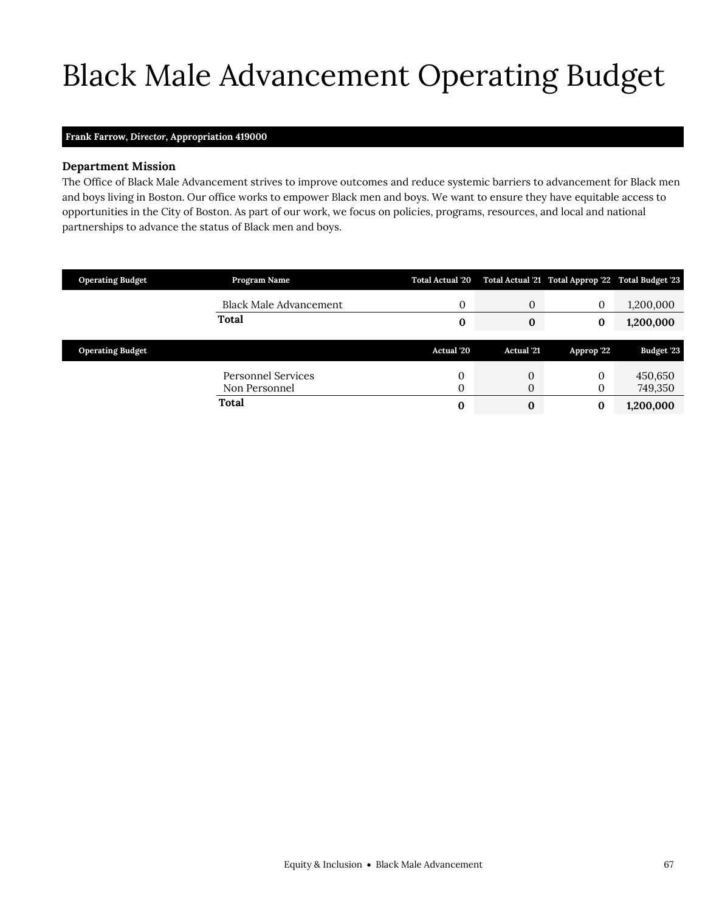# <span id="page-4-0"></span>Black Male Advancement Operating Budget

#### **Frank Farrow,** *Director,* **Appropriation 419000**

#### **Department Mission**

Black Male Advancement

The Office of Black Male Advancement strives to improve outcomes and reduce systemic barriers to advancement for Black men and boys living in Boston. Our office works to empower Black men and boys. We want to ensure they have equitable access to opportunities in the City of Boston. As part of our work, we focus on policies, programs, resources, and local and national partnerships to advance the status of Black men and boys.

| <b>Operating Budget</b> | Program Name                        | <b>Total Actual '20</b> |                   |              | Total Actual '21 Total Approp '22 Total Budget '23 |
|-------------------------|-------------------------------------|-------------------------|-------------------|--------------|----------------------------------------------------|
|                         | <b>Black Male Advancement</b>       | $\mathbf{0}$            | 0                 | $\mathbf{0}$ | 1,200,000                                          |
|                         | <b>Total</b>                        | 0                       | 0                 |              | 1,200,000                                          |
|                         |                                     |                         |                   |              |                                                    |
|                         |                                     |                         |                   |              |                                                    |
| <b>Operating Budget</b> |                                     | Actual '20              | <b>Actual</b> '21 | Approp '22   | <b>Budget '23</b>                                  |
|                         | Personnel Services<br>Non Personnel | 0<br>0                  | 0<br>$\mathbf{0}$ | $\Omega$     | 450,650<br>749,350                                 |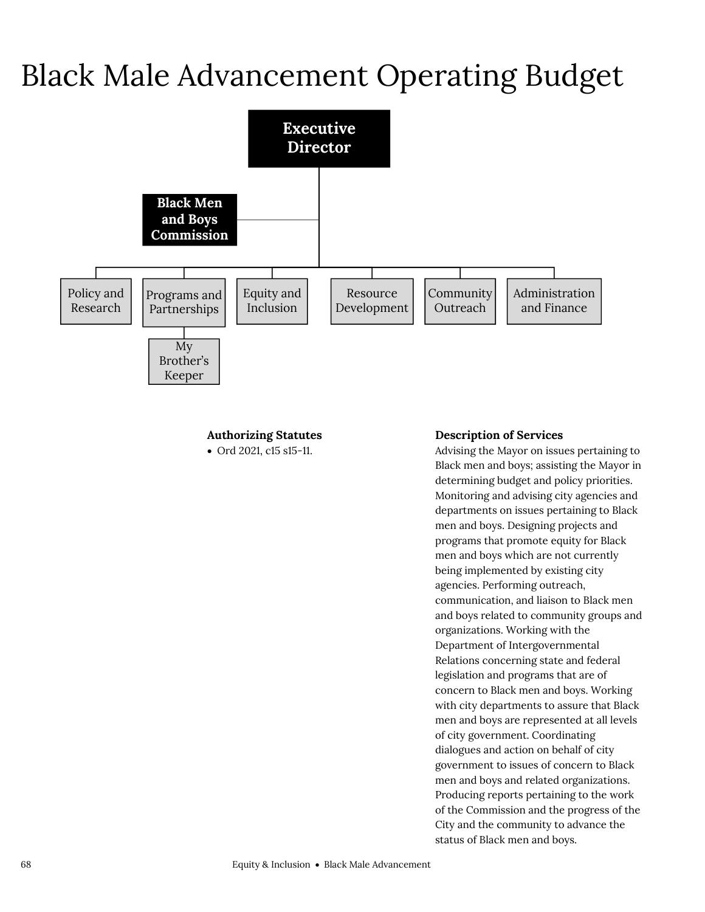## Black Male Advancement Operating Budget



## **Authorizing Statutes**

Ord 2021, c15 s15-11.

## **Description of Services**

Advising the Mayor on issues pertaining to Black men and boys; assisting the Mayor in determining budget and policy priorities. Monitoring and advising city agencies and departments on issues pertaining to Black men and boys. Designing projects and programs that promote equity for Black men and boys which are not currently being implemented by existing city agencies. Performing outreach, communication, and liaison to Black men and boys related to community groups and organizations. Working with the Department of Intergovernmental Relations concerning state and federal legislation and programs that are of concern to Black men and boys. Working with city departments to assure that Black men and boys are represented at all levels of city government. Coordinating dialogues and action on behalf of city government to issues of concern to Black men and boys and related organizations. Producing reports pertaining to the work of the Commission and the progress of the City and the community to advance the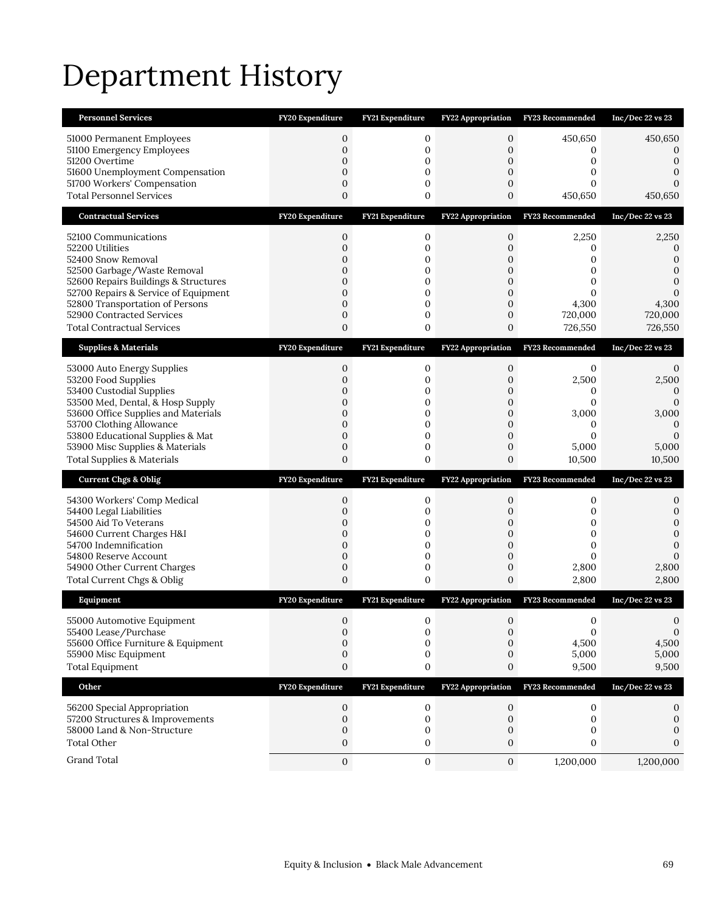# Department History

| <b>Personnel Services</b>                                               | FY20 Expenditure             | FY21 Expenditure            | <b>FY22 Appropriation</b>          | <b>FY23 Recommended</b>  | Inc/Dec 22 vs 23  |
|-------------------------------------------------------------------------|------------------------------|-----------------------------|------------------------------------|--------------------------|-------------------|
| 51000 Permanent Employees                                               | $\mathbf{0}$                 | 0                           | 0                                  | 450,650                  | 450,650           |
| 51100 Emergency Employees                                               | $\boldsymbol{0}$             | 0                           | $\mathbf 0$                        | 0<br>0                   | 0                 |
| 51200 Overtime<br>51600 Unemployment Compensation                       | $\mathbf{0}$<br>$\mathbf{0}$ | 0<br>$\mathbf{0}$           | 0<br>$\mathbf{0}$                  | 0                        | 0<br>0            |
| 51700 Workers' Compensation                                             | $\boldsymbol{0}$             | 0                           | $\boldsymbol{0}$                   | 0                        | $\Omega$          |
| <b>Total Personnel Services</b>                                         | $\mathbf{0}$                 | $\mathbf 0$                 | $\mathbf 0$                        | 450,650                  | 450,650           |
| <b>Contractual Services</b>                                             | FY20 Expenditure             | FY21 Expenditure            | <b>FY22 Appropriation</b>          | FY23 Recommended         | Inc/Dec 22 vs 23  |
| 52100 Communications                                                    | 0                            | 0                           | $\mathbf 0$                        | 2,250                    | 2,250             |
| 52200 Utilities<br>52400 Snow Removal                                   | $\boldsymbol{0}$<br>0        | 0                           | $\boldsymbol{0}$                   | 0                        | 0<br>$\Omega$     |
| 52500 Garbage/Waste Removal                                             | 0                            | 0<br>$\mathbf{0}$           | 0<br>0                             | 0<br>0                   | 0                 |
| 52600 Repairs Buildings & Structures                                    | 0                            | 0                           | 0                                  | 0                        | $\mathbf{0}$      |
| 52700 Repairs & Service of Equipment<br>52800 Transportation of Persons | $\mathbf{0}$<br>$\mathbf{0}$ | $\mathbf{0}$<br>$\mathbf 0$ | $\mathbf{0}$<br>$\boldsymbol{0}$   | 0<br>4,300               | 0<br>4,300        |
| 52900 Contracted Services                                               | $\boldsymbol{0}$             | 0                           | $\mathbf 0$                        | 720,000                  | 720,000           |
| <b>Total Contractual Services</b>                                       | $\mathbf{0}$                 | 0                           | 0                                  | 726,550                  | 726,550           |
| <b>Supplies &amp; Materials</b>                                         | FY20 Expenditure             | FY21 Expenditure            | <b>FY22 Appropriation</b>          | FY23 Recommended         | Inc/Dec 22 vs 23  |
| 53000 Auto Energy Supplies                                              | $\mathbf 0$                  | 0                           | $\mathbf 0$                        | 0                        | 0                 |
| 53200 Food Supplies                                                     | $\mathbf{0}$                 | 0                           | 0                                  | 2,500                    | 2,500             |
| 53400 Custodial Supplies<br>53500 Med, Dental, & Hosp Supply            | 0<br>$\mathbf{0}$            | 0<br>0                      | 0<br>$\mathbf{0}$                  | 0<br>0                   | 0<br>0            |
| 53600 Office Supplies and Materials                                     | 0                            | 0                           | 0                                  | 3,000                    | 3,000             |
| 53700 Clothing Allowance<br>53800 Educational Supplies & Mat            | 0<br>$\mathbf{0}$            | 0<br>0                      | 0<br>$\boldsymbol{0}$              | $\mathbf{0}$<br>$\Omega$ | 0<br>0            |
| 53900 Misc Supplies & Materials                                         | $\boldsymbol{0}$             | 0                           | $\boldsymbol{0}$                   | 5,000                    | 5,000             |
| <b>Total Supplies &amp; Materials</b>                                   | $\mathbf{0}$                 | 0                           | 0                                  | 10,500                   | 10,500            |
| <b>Current Chgs &amp; Oblig</b>                                         | FY20 Expenditure             | FY21 Expenditure            | FY22 Appropriation                 | FY23 Recommended         | Inc/Dec 22 vs 23  |
|                                                                         |                              |                             |                                    |                          |                   |
|                                                                         | $\boldsymbol{0}$             | 0                           | $\mathbf{0}$                       | 0                        | 0                 |
| 54300 Workers' Comp Medical<br>54400 Legal Liabilities                  | $\mathbf{0}$                 | 0                           | 0                                  | 0                        | 0                 |
| 54500 Aid To Veterans                                                   | $\boldsymbol{0}$             | 0                           | 0                                  | 0                        | 0                 |
| 54600 Current Charges H&I<br>54700 Indemnification                      | $\mathbf{0}$<br>$\mathbf{0}$ | 0<br>$\mathbf{0}$           | $\boldsymbol{0}$<br>$\overline{0}$ | 0<br>$\mathbf{0}$        | $\mathbf{0}$<br>0 |
| 54800 Reserve Account                                                   | $\boldsymbol{0}$             | 0                           | $\mathbf{0}$                       | 0                        | $\Omega$          |
| 54900 Other Current Charges                                             | $\boldsymbol{0}$             | $\mathbf 0$                 | $\mathbf{0}$                       | 2,800                    | 2,800             |
| Total Current Chgs & Oblig                                              | $\mathbf{0}$                 | 0                           | 0                                  | 2,800                    | 2,800             |
| Equipment                                                               | FY20 Expenditure             | FY21 Expenditure            | <b>FY22 Appropriation</b>          | FY23 Recommended         | Inc/Dec 22 vs 23  |
| 55000 Automotive Equipment                                              | $\mathbf{0}$                 | 0                           | $\mathbf{0}$                       | 0<br>0                   | 0<br>$\mathbf{0}$ |
| 55400 Lease/Purchase<br>55600 Office Furniture & Equipment              | 0<br>$\mathbf{0}$            | 0<br>$\mathbf{0}$           | 0<br>$\mathbf{0}$                  | 4,500                    | 4,500             |
| 55900 Misc Equipment                                                    | 0                            | 0                           | 0                                  | 5,000                    | 5,000             |
| <b>Total Equipment</b>                                                  | $\boldsymbol{0}$             | 0                           | $\boldsymbol{0}$                   | 9,500                    | 9,500             |
| Other                                                                   | FY20 Expenditure             | FY21 Expenditure            | <b>FY22 Appropriation</b>          | FY23 Recommended         | Inc/Dec 22 vs 23  |
| 56200 Special Appropriation                                             | 0                            | 0                           | 0                                  | 0                        |                   |
| 57200 Structures & Improvements                                         | $\mathbf{0}$                 | 0                           | $\mathbf{0}$                       | 0                        | 0                 |
| 58000 Land & Non-Structure<br><b>Total Other</b>                        | 0<br>$\boldsymbol{0}$        | 0<br>0                      | 0<br>$\boldsymbol{0}$              | 0<br>0                   | 0                 |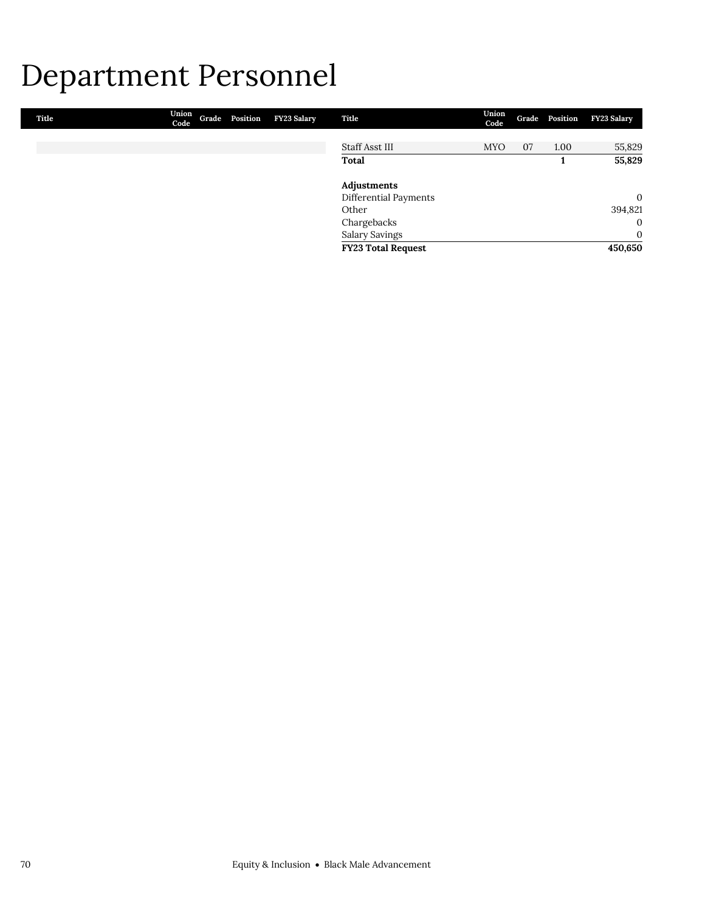## Department Personnel

| Title | Union<br>Code | Grade Position | FY23 Salary | Title                     | Union<br>Code |    | Grade Position | FY23 Salary  |
|-------|---------------|----------------|-------------|---------------------------|---------------|----|----------------|--------------|
|       |               |                |             |                           |               |    |                |              |
|       |               |                |             | Staff Asst III            | <b>MYO</b>    | 07 | 1.00           | 55,829       |
|       |               |                |             | Total                     |               |    |                | 55,829       |
|       |               |                |             | Adjustments               |               |    |                |              |
|       |               |                |             | Differential Payments     |               |    |                | $\mathbf{0}$ |
|       |               |                |             | Other                     |               |    |                | 394,821      |
|       |               |                |             | Chargebacks               |               |    |                | $\mathbf{0}$ |
|       |               |                |             | <b>Salary Savings</b>     |               |    |                | $\mathbf{0}$ |
|       |               |                |             | <b>FY23 Total Request</b> |               |    |                | 450,650      |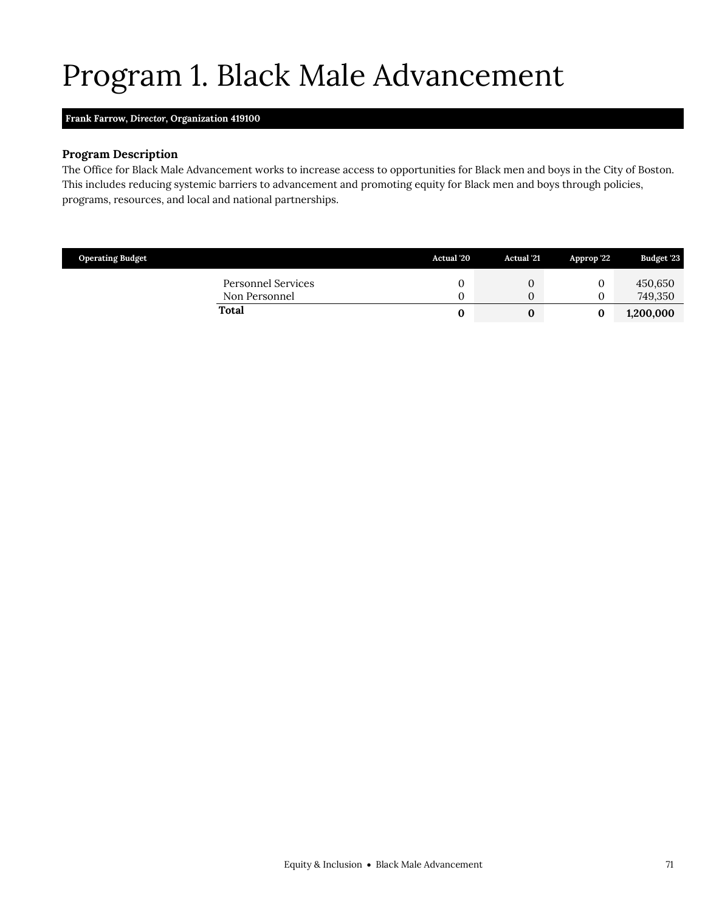# <span id="page-8-0"></span>Program 1. Black Male Advancement

### **Frank Farrow,** *Director,* **Organization 419100**

#### **Program Description**

The Office for Black Male Advancement works to increase access to opportunities for Black men and boys in the City of Boston. This includes reducing systemic barriers to advancement and promoting equity for Black men and boys through policies, programs, resources, and local and national partnerships.

| <b>Operating Budget</b>             | Actual '20 | <b>Actual</b> '21 | Approp '22 | <b>Budget '23</b>  |
|-------------------------------------|------------|-------------------|------------|--------------------|
| Personnel Services<br>Non Personnel |            | U                 |            | 450,650<br>749,350 |
| Total                               |            |                   |            | 1,200,000          |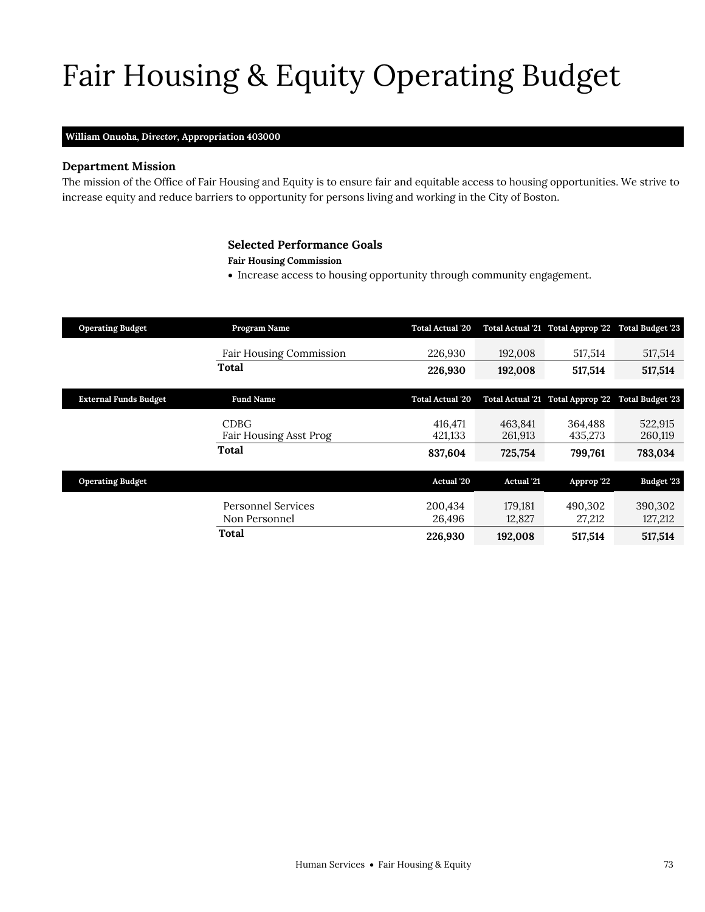# Fair Housing & Equity Operating Budget

#### **William Onuoha,** *Director,* **Appropriation 403000**

### **Department Mission**

Fair Housing & Equity

The mission of the Office of Fair Housing and Equity is to ensure fair and equitable access to housing opportunities. We strive to increase equity and reduce barriers to opportunity for persons living and working in the City of Boston.

### <span id="page-10-0"></span>**Selected Performance Goals**

#### **Fair Housing Commission**

• Increase access to housing opportunity through community engagement.

| <b>Operating Budget</b>      | Program Name                                 | <b>Total Actual '20</b> |                    | Total Actual '21 Total Approp '22 Total Budget '23 |                         |
|------------------------------|----------------------------------------------|-------------------------|--------------------|----------------------------------------------------|-------------------------|
|                              | <b>Fair Housing Commission</b>               | 226,930                 | 192,008            | 517,514                                            | 517,514                 |
|                              | Total                                        | 226,930                 | 192,008            | 517,514                                            | 517,514                 |
| <b>External Funds Budget</b> | <b>Fund Name</b>                             | <b>Total Actual '20</b> |                    | Total Actual '21 Total Approp '22                  | <b>Total Budget '23</b> |
|                              | <b>CDBG</b><br><b>Fair Housing Asst Prog</b> | 416.471<br>421,133      | 463,841<br>261,913 | 364.488<br>435,273                                 | 522,915<br>260,119      |
|                              | Total                                        | 837,604                 | 725,754            | 799,761                                            | 783,034                 |
| <b>Operating Budget</b>      |                                              | Actual '20              | <b>Actual</b> '21  | Approp '22                                         | Budget '23              |
|                              | Personnel Services<br>Non Personnel          | 200,434<br>26,496       | 179,181<br>12,827  | 490.302<br>27,212                                  | 390,302<br>127,212      |
|                              | Total                                        | 226,930                 | 192,008            | 517,514                                            | 517,514                 |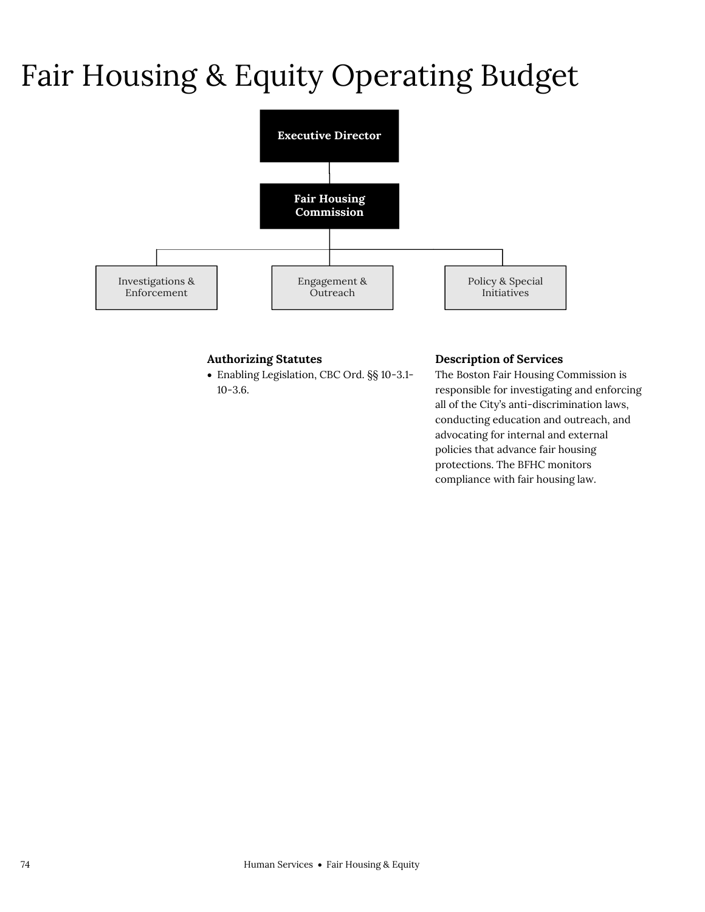# Fair Housing & Equity Operating Budget



## **Authorizing Statutes**

 Enabling Legislation, CBC Ord. §§ 10-3.1- 10-3.6.

#### **Description of Services**

The Boston Fair Housing Commission is responsible for investigating and enforcing all of the City's anti-discrimination laws, conducting education and outreach, and advocating for internal and external policies that advance fair housing protections. The BFHC monitors compliance with fair housing law.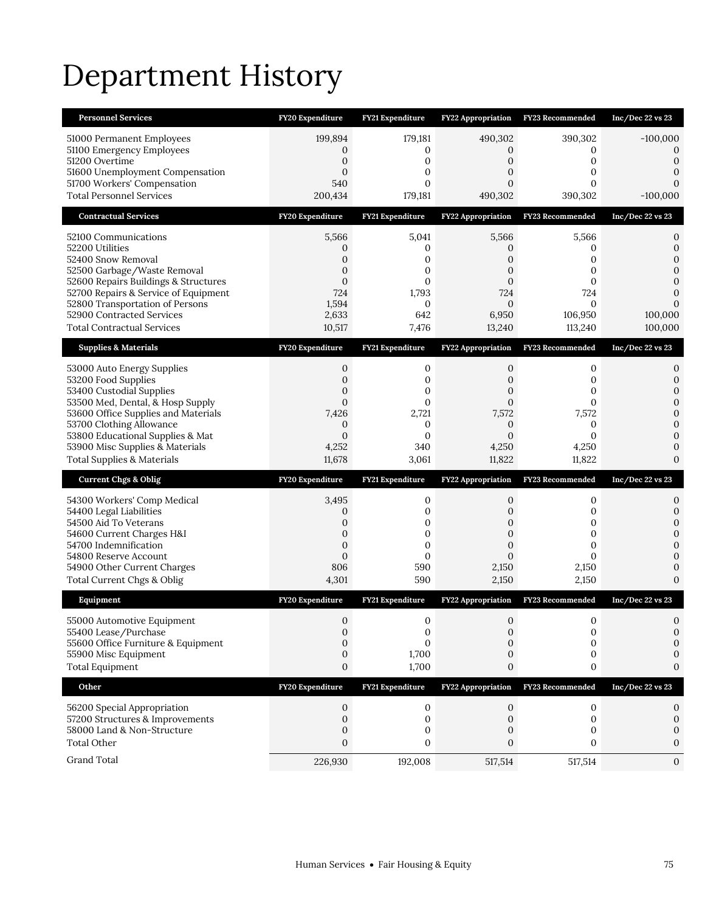# Department History

| <b>Personnel Services</b>                                               | FY20 Expenditure             | FY21 Expenditure             | <b>FY22 Appropriation</b>      | <b>FY23 Recommended</b> | Inc/Dec 22 vs 23             |
|-------------------------------------------------------------------------|------------------------------|------------------------------|--------------------------------|-------------------------|------------------------------|
| 51000 Permanent Employees<br>51100 Emergency Employees                  | 199,894<br>0                 | 179,181<br>0                 | 490,302<br>0                   | 390,302<br>0            | $-100,000$<br>$\Omega$       |
| 51200 Overtime                                                          | $\boldsymbol{0}$             | $\mathbf 0$                  | 0                              | 0                       | 0                            |
| 51600 Unemployment Compensation<br>51700 Workers' Compensation          | $\mathbf{0}$<br>540          | $\mathbf{0}$<br>$\mathbf{0}$ | $\mathbf{0}$<br>$\overline{0}$ | 0<br>0                  | $\Omega$                     |
| <b>Total Personnel Services</b>                                         | 200,434                      | 179,181                      | 490,302                        | 390,302                 | $-100,000$                   |
| <b>Contractual Services</b>                                             | FY20 Expenditure             | FY21 Expenditure             | <b>FY22 Appropriation</b>      | <b>FY23 Recommended</b> | Inc/Dec 22 vs 23             |
| 52100 Communications                                                    | 5,566                        | 5,041                        | 5,566                          | 5,566                   | 0                            |
| 52200 Utilities                                                         | 0<br>0                       | 0<br>$\mathbf{0}$            | 0                              | 0<br>0                  | $\mathbf{0}$<br>$\Omega$     |
| 52400 Snow Removal<br>52500 Garbage/Waste Removal                       | $\mathbf{0}$                 | 0                            | 0<br>0                         | 0                       | 0                            |
| 52600 Repairs Buildings & Structures                                    | $\boldsymbol{0}$             | $\mathbf{0}$                 | $\boldsymbol{0}$               | 0                       | 0                            |
| 52700 Repairs & Service of Equipment<br>52800 Transportation of Persons | 724<br>1,594                 | 1,793<br>0                   | 724<br>$\overline{0}$          | 724<br>$\Omega$         | $\mathbf{0}$                 |
| 52900 Contracted Services                                               | 2,633                        | 642                          | 6,950                          | 106,950                 | 100,000                      |
| <b>Total Contractual Services</b>                                       | 10,517                       | 7,476                        | 13,240                         | 113,240                 | 100,000                      |
| <b>Supplies &amp; Materials</b>                                         | FY20 Expenditure             | FY21 Expenditure             | FY22 Appropriation             | FY23 Recommended        | Inc/Dec 22 vs 23             |
| 53000 Auto Energy Supplies                                              | $\mathbf{0}$                 | 0                            | 0                              | 0                       | 0                            |
| 53200 Food Supplies<br>53400 Custodial Supplies                         | 0<br>0                       | $\mathbf{0}$<br>0            | 0<br>0                         | $\mathbf{0}$<br>0       | $\mathbf{0}$<br>$\mathbf{0}$ |
| 53500 Med, Dental, & Hosp Supply                                        | 0                            | $\mathbf{0}$                 | 0                              | 0                       | $\mathbf{0}$                 |
| 53600 Office Supplies and Materials<br>53700 Clothing Allowance         | 7,426<br>$\mathbf{0}$        | 2,721<br>$\mathbf 0$         | 7,572<br>$\boldsymbol{0}$      | 7,572<br>$\mathbf{0}$   | $\mathbf{0}$<br>$\mathbf{0}$ |
| 53800 Educational Supplies & Mat                                        | $\mathbf{0}$                 | $\mathbf{0}$                 | $\mathbf{0}$                   | $\Omega$                | 0                            |
| 53900 Misc Supplies & Materials                                         |                              |                              | 4,250                          |                         | 0                            |
|                                                                         | 4,252                        | 340                          |                                | 4,250                   |                              |
| <b>Total Supplies &amp; Materials</b>                                   | 11,678                       | 3,061                        | 11,822                         | 11,822                  | $\Omega$                     |
| <b>Current Chgs &amp; Oblig</b>                                         | FY20 Expenditure             | FY21 Expenditure             | FY22 Appropriation             | FY23 Recommended        | Inc/Dec 22 vs 23             |
| 54300 Workers' Comp Medical                                             | 3,495                        | 0                            | 0                              | 0                       | 0                            |
| 54400 Legal Liabilities<br>54500 Aid To Veterans                        | 0<br>0                       | $\mathbf{0}$<br>0            | $\mathbf{0}$<br>0              | $\mathbf{0}$<br>0       | 0<br>$\mathbf{0}$            |
| 54600 Current Charges H&I                                               | $\boldsymbol{0}$             | $\mathbf 0$                  | $\mathbf 0$                    | 0                       | $\mathbf{0}$                 |
| 54700 Indemnification<br>54800 Reserve Account                          | $\mathbf{0}$<br>$\mathbf{0}$ | $\mathbf{0}$<br>$\mathbf{0}$ | $\mathbf{0}$<br>$\overline{0}$ | 0<br>$\Omega$           | $\mathbf{0}$<br>$\Omega$     |
| 54900 Other Current Charges                                             | 806                          | 590                          | 2,150                          | 2,150                   | 0                            |
| Total Current Chgs & Oblig                                              | 4,301                        | 590                          | 2,150                          | 2,150                   | $\Omega$                     |
| Equipment                                                               | FY20 Expenditure             | FY21 Expenditure             | <b>FY22 Appropriation</b>      | FY23 Recommended        | Inc/Dec 22 vs 23             |
| 55000 Automotive Equipment                                              | $\mathbf{0}$                 | $\mathbf 0$                  | $\mathbf{0}$                   | 0                       | 0                            |
| 55400 Lease/Purchase                                                    | 0<br>0                       | $\boldsymbol{0}$<br>$\Omega$ | $\mathbf 0$<br>$\Omega$        | 0<br>0                  | 0<br>0                       |
| 55600 Office Furniture & Equipment<br>55900 Misc Equipment              | $\boldsymbol{0}$             | 1,700                        | 0                              | 0                       | 0                            |
| <b>Total Equipment</b>                                                  | $\boldsymbol{0}$             | 1,700                        | 0                              | 0                       | 0                            |
| Other                                                                   | FY20 Expenditure             | FY21 Expenditure             | <b>FY22 Appropriation</b>      | FY23 Recommended        | Inc/Dec 22 vs 23             |
| 56200 Special Appropriation                                             | 0                            | 0                            | 0                              | 0                       | 0                            |
| 57200 Structures & Improvements                                         | $\mathbf 0$                  | 0                            | $\mathbf{0}$                   | 0                       | 0                            |
| 58000 Land & Non-Structure<br><b>Total Other</b>                        | 0<br>0                       | 0<br>0                       | 0<br>0                         | 0<br>0                  | 0<br>0                       |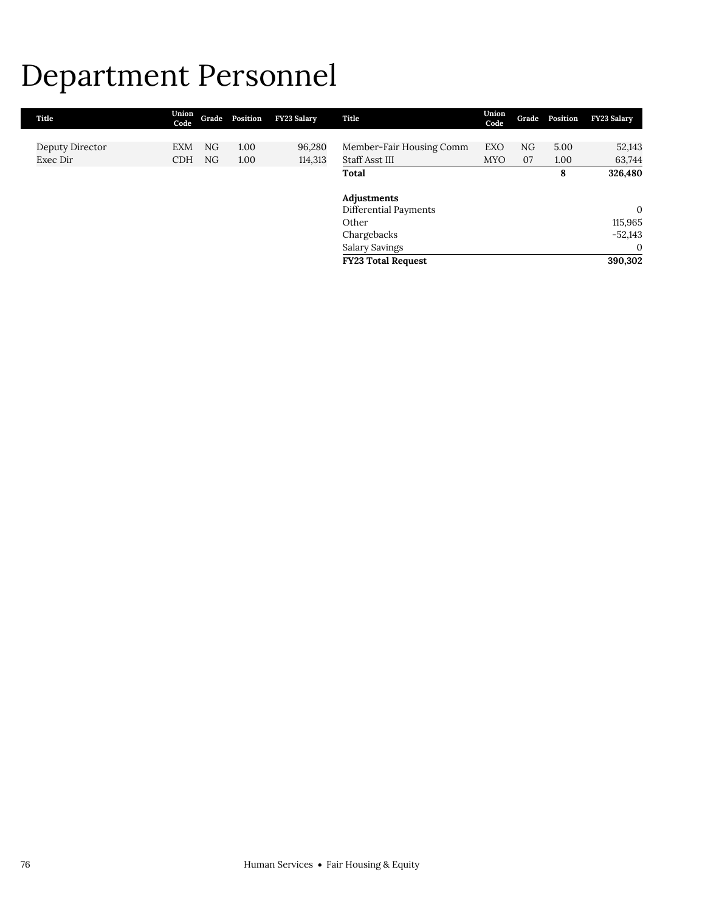## Department Personnel

| Title           | Union<br>Code |    | Grade Position | FY23 Salary | Title                     | Union<br>Code | Grade | Position | <b>FY23 Salary</b> |
|-----------------|---------------|----|----------------|-------------|---------------------------|---------------|-------|----------|--------------------|
|                 |               |    |                |             |                           |               |       |          |                    |
| Deputy Director | <b>EXM</b>    | NG | 1.00           | 96,280      | Member-Fair Housing Comm  | EXO           | NG    | 5.00     | 52,143             |
| Exec Dir        | <b>CDH</b>    | NG | 1.00           | 114,313     | Staff Asst III            | <b>MYO</b>    | 07    | 1.00     | 63,744             |
|                 |               |    |                |             | Total                     |               |       | 8        | 326,480            |
|                 |               |    |                |             | Adjustments               |               |       |          |                    |
|                 |               |    |                |             | Differential Payments     |               |       |          | $\mathbf{0}$       |
|                 |               |    |                |             | Other                     |               |       |          | 115,965            |
|                 |               |    |                |             | Chargebacks               |               |       |          | $-52,143$          |
|                 |               |    |                |             | Salary Savings            |               |       |          | $\overline{0}$     |
|                 |               |    |                |             | <b>FY23 Total Request</b> |               |       |          | 390,302            |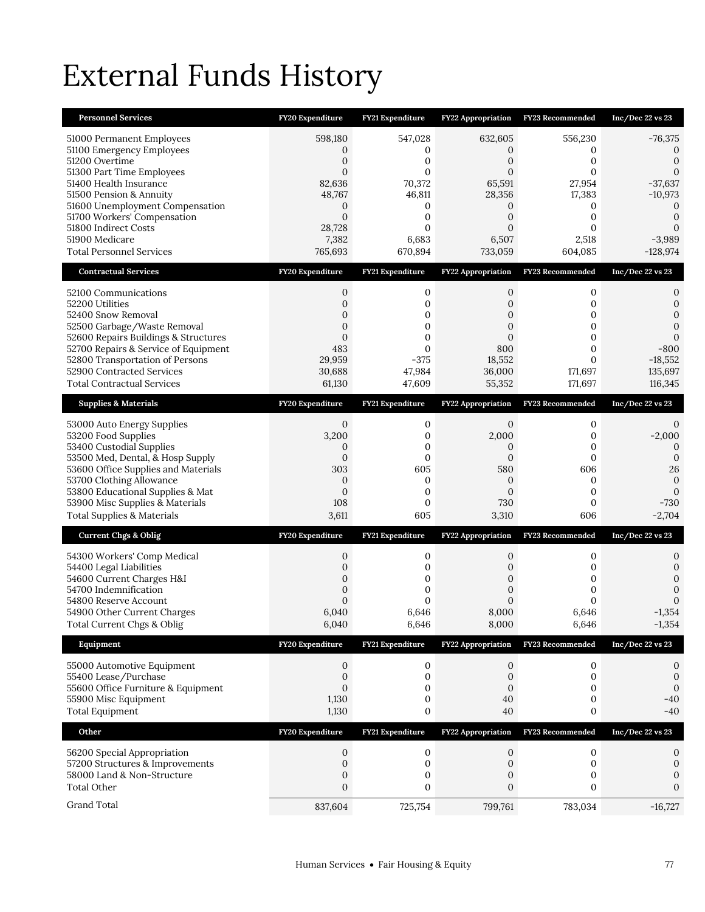# External Funds History

| <b>Personnel Services</b>                                                                                                                                                                                                                                                                                 | FY20 Expenditure                                                                                                    | <b>FY21 Expenditure</b>                                                                                           | <b>FY22 Appropriation</b>                                                                              | <b>FY23 Recommended</b>                                                                                           | Inc/Dec 22 vs 23                                                                                                               |
|-----------------------------------------------------------------------------------------------------------------------------------------------------------------------------------------------------------------------------------------------------------------------------------------------------------|---------------------------------------------------------------------------------------------------------------------|-------------------------------------------------------------------------------------------------------------------|--------------------------------------------------------------------------------------------------------|-------------------------------------------------------------------------------------------------------------------|--------------------------------------------------------------------------------------------------------------------------------|
| 51000 Permanent Employees<br>51100 Emergency Employees<br>51200 Overtime<br>51300 Part Time Employees<br>51400 Health Insurance<br>51500 Pension & Annuity<br>51600 Unemployment Compensation<br>51700 Workers' Compensation<br>51800 Indirect Costs<br>51900 Medicare<br><b>Total Personnel Services</b> | 598,180<br>0<br>$\boldsymbol{0}$<br>$\Omega$<br>82,636<br>48,767<br>0<br>$\mathbf{0}$<br>28,728<br>7,382<br>765,693 | 547,028<br>0<br>$\mathbf{0}$<br>$\Omega$<br>70,372<br>46,811<br>0<br>$\mathbf{0}$<br>$\Omega$<br>6,683<br>670,894 | 632,605<br>0<br>0<br>$\Omega$<br>65,591<br>28,356<br>0<br>$\mathbf{0}$<br>$\Omega$<br>6,507<br>733,059 | 556,230<br>0<br>$\mathbf{0}$<br>$\Omega$<br>27,954<br>17,383<br>0<br>$\mathbf{0}$<br>$\Omega$<br>2,518<br>604,085 | $-76,375$<br>$\Omega$<br>$\boldsymbol{0}$<br>$-37,637$<br>$-10,973$<br>0<br>$\mathbf{0}$<br>$\Omega$<br>$-3,989$<br>$-128,974$ |
| <b>Contractual Services</b>                                                                                                                                                                                                                                                                               | FY20 Expenditure                                                                                                    | FY21 Expenditure                                                                                                  | FY22 Appropriation                                                                                     | FY23 Recommended                                                                                                  | Inc/Dec 22 vs 23                                                                                                               |
| 52100 Communications<br>52200 Utilities<br>52400 Snow Removal<br>52500 Garbage/Waste Removal<br>52600 Repairs Buildings & Structures<br>52700 Repairs & Service of Equipment<br>52800 Transportation of Persons<br>52900 Contracted Services<br><b>Total Contractual Services</b>                         | $\mathbf{0}$<br>$\overline{0}$<br>0<br>$\mathbf{0}$<br>$\mathbf{0}$<br>483<br>29,959<br>30,688<br>61,130            | 0<br>$\mathbf{0}$<br>0<br>0<br>0<br>$\mathbf{0}$<br>$-375$<br>47,984<br>47,609                                    | 0<br>$\overline{0}$<br>0<br>$\mathbf{0}$<br>0<br>800<br>18,552<br>36,000<br>55,352                     | 0<br>0<br>0<br>0<br>0<br>0<br>$\Omega$<br>171,697<br>171,697                                                      | 0<br>0<br>$\Omega$<br>0<br>$\Omega$<br>$-800$<br>$-18,552$<br>135,697<br>116,345                                               |
| <b>Supplies &amp; Materials</b>                                                                                                                                                                                                                                                                           | FY20 Expenditure                                                                                                    | FY21 Expenditure                                                                                                  | FY22 Appropriation                                                                                     | FY23 Recommended                                                                                                  | Inc/Dec 22 vs 23                                                                                                               |
| 53000 Auto Energy Supplies<br>53200 Food Supplies<br>53400 Custodial Supplies<br>53500 Med, Dental, & Hosp Supply<br>53600 Office Supplies and Materials<br>53700 Clothing Allowance<br>53800 Educational Supplies & Mat<br>53900 Misc Supplies & Materials<br>Total Supplies & Materials                 | $\mathbf{0}$<br>3,200<br>0<br>$\mathbf{0}$<br>303<br>$\mathbf 0$<br>$\mathbf{0}$<br>108<br>3,611                    | 0<br>$\mathbf 0$<br>0<br>$\mathbf 0$<br>605<br>0<br>$\mathbf{0}$<br>0<br>605                                      | $\mathbf{0}$<br>2,000<br>0<br>$\mathbf{0}$<br>580<br>0<br>$\mathbf{0}$<br>730<br>3,310                 | 0<br>0<br>0<br>$\mathbf{0}$<br>606<br>0<br>$\mathbf{0}$<br>0<br>606                                               | 0<br>$-2,000$<br>$\Omega$<br>$\mathbf{0}$<br>26<br>$\mathbf{0}$<br>$\Omega$<br>$-730$<br>$-2,704$                              |
| <b>Current Chgs &amp; Oblig</b>                                                                                                                                                                                                                                                                           | FY20 Expenditure                                                                                                    | FY21 Expenditure                                                                                                  | FY22 Appropriation                                                                                     | FY23 Recommended                                                                                                  | Inc/Dec 22 vs 23                                                                                                               |
| 54300 Workers' Comp Medical<br>54400 Legal Liabilities<br>54600 Current Charges H&I<br>54700 Indemnification<br>54800 Reserve Account<br>54900 Other Current Charges<br>Total Current Chgs & Oblig                                                                                                        | 0<br>0<br>0<br>0<br>$\mathbf{0}$<br>6,040<br>6,040                                                                  | 0<br>0<br>0<br>0<br>$\Omega$<br>6,646<br>6,646                                                                    | 0<br>0<br>0<br>0<br>$\Omega$<br>8,000<br>8,000                                                         | 0<br>0<br>0<br>0<br>$\Omega$<br>6,646<br>6,646                                                                    | 0<br>0<br>0<br>$\mathbf{0}$<br>$\Omega$<br>$-1,354$<br>$-1,354$                                                                |
| Equipment                                                                                                                                                                                                                                                                                                 | FY20 Expenditure                                                                                                    | FY21 Expenditure                                                                                                  | <b>FY22 Appropriation</b>                                                                              | <b>FY23 Recommended</b>                                                                                           | Inc/Dec 22 vs 23                                                                                                               |
| 55000 Automotive Equipment<br>55400 Lease/Purchase<br>55600 Office Furniture & Equipment<br>55900 Misc Equipment<br><b>Total Equipment</b>                                                                                                                                                                | $\boldsymbol{0}$<br>$\mathbf 0$<br>$\boldsymbol{0}$<br>1,130<br>1,130                                               | $\boldsymbol{0}$<br>0<br>0<br>0<br>0                                                                              | 0<br>$\mathbf 0$<br>$\boldsymbol{0}$<br>40<br>40                                                       | 0<br>0<br>0<br>0<br>0                                                                                             | 0<br>$\mathbf 0$<br>$\mathbf{0}$<br>$-40$<br>$-40$                                                                             |
| Other                                                                                                                                                                                                                                                                                                     | FY20 Expenditure                                                                                                    | FY21 Expenditure                                                                                                  | FY22 Appropriation                                                                                     | FY23 Recommended                                                                                                  | Inc/Dec 22 vs 23                                                                                                               |
| 56200 Special Appropriation<br>57200 Structures & Improvements<br>58000 Land & Non-Structure<br><b>Total Other</b>                                                                                                                                                                                        | 0<br>$\boldsymbol{0}$<br>$\boldsymbol{0}$<br>$\mathbf{0}$                                                           | 0<br>$\boldsymbol{0}$<br>0<br>0                                                                                   | 0<br>$\boldsymbol{0}$<br>0<br>0                                                                        | $\mathbf 0$<br>$\boldsymbol{0}$<br>0<br>0                                                                         | 0<br>$\mathbf{0}$<br>0<br>0                                                                                                    |
| Grand Total                                                                                                                                                                                                                                                                                               | 837,604                                                                                                             | 725,754                                                                                                           | 799,761                                                                                                | 783,034                                                                                                           | $-16,727$                                                                                                                      |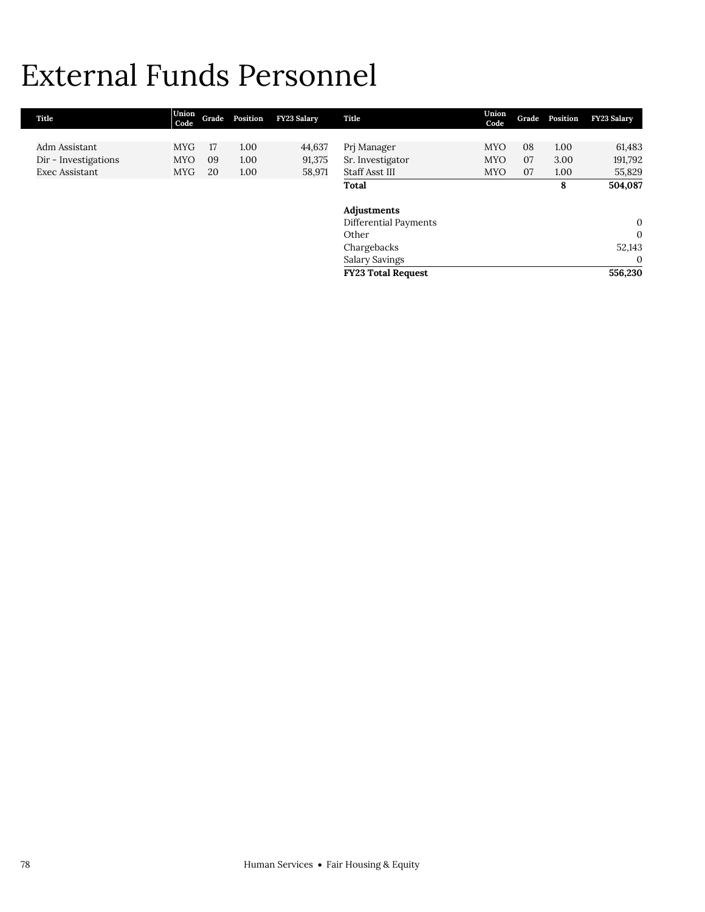## External Funds Personnel

| Title                | Union<br>Code | Grade | Position | <b>FY23 Salary</b> | Title                     | Union<br>Code | Grade | Position | <b>FY23 Salary</b> |
|----------------------|---------------|-------|----------|--------------------|---------------------------|---------------|-------|----------|--------------------|
|                      |               |       |          |                    |                           |               |       |          |                    |
| Adm Assistant        | <b>MYG</b>    | 17    | 1.00     | 44,637             | Prj Manager               | <b>MYO</b>    | 08    | 1.00     | 61,483             |
| Dir - Investigations | <b>MYO</b>    | 09    | 1.00     | 91,375             | Sr. Investigator          | <b>MYO</b>    | 07    | 3.00     | 191,792            |
| Exec Assistant       | <b>MYG</b>    | 20    | 1.00     | 58,971             | Staff Asst III            | <b>MYO</b>    | 07    | 1.00     | 55,829             |
|                      |               |       |          |                    | Total                     |               |       | 8        | 504,087            |
|                      |               |       |          |                    |                           |               |       |          |                    |
|                      |               |       |          |                    | Adjustments               |               |       |          |                    |
|                      |               |       |          |                    | Differential Payments     |               |       |          | $\mathbf{0}$       |
|                      |               |       |          |                    | Other                     |               |       |          | $\mathbf{0}$       |
|                      |               |       |          |                    | Chargebacks               |               |       |          | 52,143             |
|                      |               |       |          |                    | <b>Salary Savings</b>     |               |       |          | $\mathbf{0}$       |
|                      |               |       |          |                    | <b>FY23 Total Request</b> |               |       |          | 556,230            |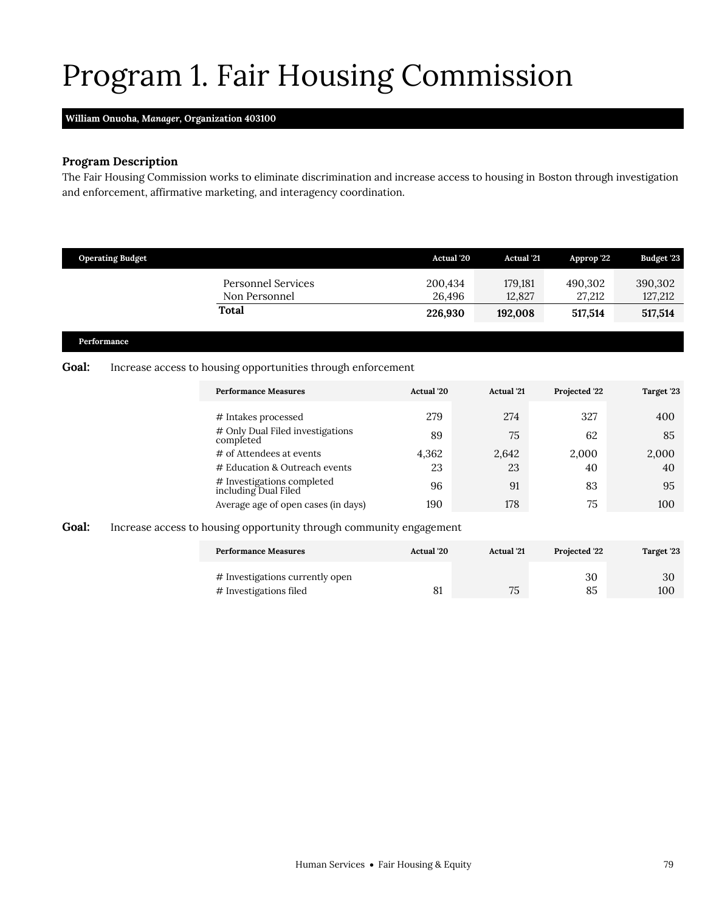# <span id="page-16-0"></span>Program 1. Fair Housing Commission

#### **William Onuoha,** *Manager,* **Organization 403100**

### **Program Description**

The Fair Housing Commission works to eliminate discrimination and increase access to housing in Boston through investigation and enforcement, affirmative marketing, and interagency coordination.

| <b>Operating Budget</b> |                                                                     | <b>Actual</b> '20 | <b>Actual</b> '21 | Approp '22        | <b>Budget '23</b>  |
|-------------------------|---------------------------------------------------------------------|-------------------|-------------------|-------------------|--------------------|
|                         | <b>Personnel Services</b><br>Non Personnel                          | 200,434<br>26,496 | 179,181<br>12,827 | 490,302<br>27,212 | 390,302<br>127,212 |
|                         | <b>Total</b>                                                        | 226,930           | 192,008           | 517,514           | 517,514            |
| Performance             |                                                                     |                   |                   |                   |                    |
| <b>Goal:</b>            | Increase access to housing opportunities through enforcement        |                   |                   |                   |                    |
|                         | <b>Performance Measures</b>                                         | Actual '20        | <b>Actual</b> '21 | Projected '22     | Target '23         |
|                         | # Intakes processed                                                 | 279               | 274               | 327               | 400                |
|                         | # Only Dual Filed investigations<br>completed                       | 89                | 75                | 62                | 85                 |
|                         | # of Attendees at events                                            | 4,362             | 2,642             | 2,000             | 2,000              |
|                         | # Education & Outreach events                                       | 23                | 23                | 40                | 40                 |
|                         | # Investigations completed<br>including Dual Filed                  | 96                | 91                | 83                | 95                 |
|                         | Average age of open cases (in days)                                 | 190               | 178               | 75                | 100                |
| <b>Goal:</b>            | Increase access to housing opportunity through community engagement |                   |                   |                   |                    |
|                         | <b>Performance Measures</b>                                         | Actual '20        | <b>Actual</b> '21 | Projected '22     | Target '23         |

%# Investigations currently open 30 30 30 30 30 30 30 4 Investigations filed  $\begin{array}{ccc} 81 & 30 & 30 \\ 81 & 75 & 85 & 100 \end{array}$ # Investigations filed 81 75 85 100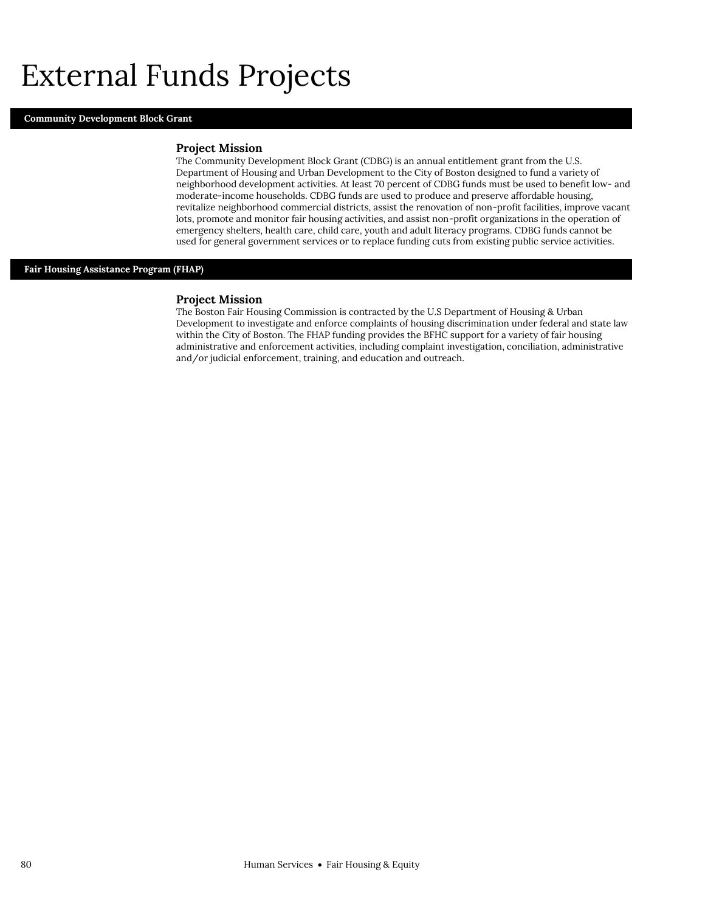## External Funds Projects

#### **Community Development Block Grant**

#### **Project Mission**

The Community Development Block Grant (CDBG) is an annual entitlement grant from the U.S. Department of Housing and Urban Development to the City of Boston designed to fund a variety of neighborhood development activities. At least 70 percent of CDBG funds must be used to benefit low- and moderate-income households. CDBG funds are used to produce and preserve affordable housing, revitalize neighborhood commercial districts, assist the renovation of non-profit facilities, improve vacant lots, promote and monitor fair housing activities, and assist non-profit organizations in the operation of emergency shelters, health care, child care, youth and adult literacy programs. CDBG funds cannot be used for general government services or to replace funding cuts from existing public service activities.

#### **Fair Housing Assistance Program (FHAP)**

#### **Project Mission**

The Boston Fair Housing Commission is contracted by the U.S Department of Housing & Urban Development to investigate and enforce complaints of housing discrimination under federal and state law within the City of Boston. The FHAP funding provides the BFHC support for a variety of fair housing administrative and enforcement activities, including complaint investigation, conciliation, administrative and/or judicial enforcement, training, and education and outreach.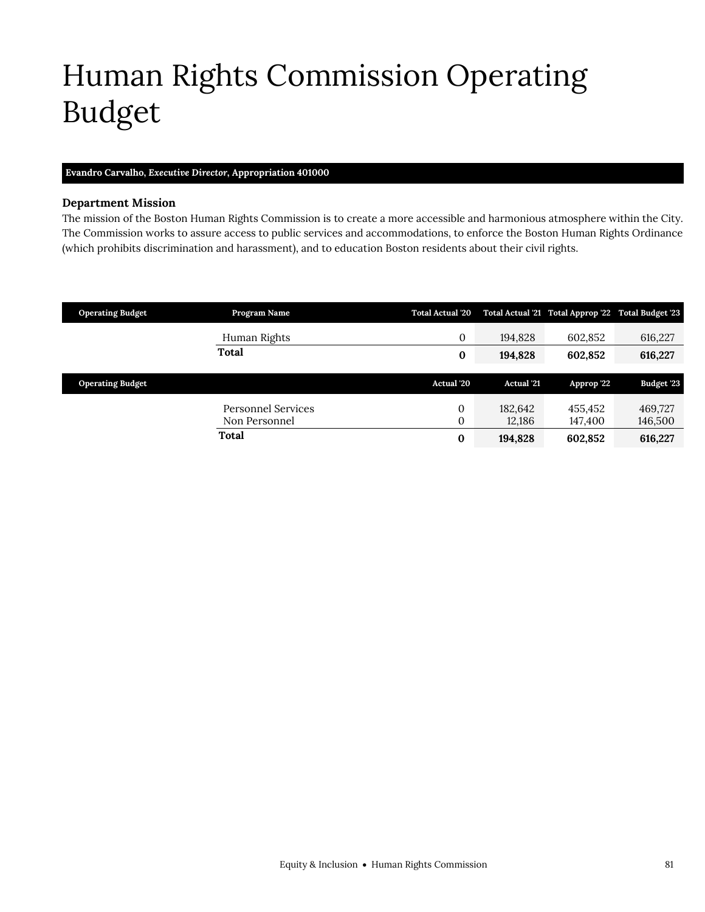# <span id="page-18-0"></span>Human Rights Commission Operating Budget

#### **Evandro Carvalho,** *Executive Director,* **Appropriation 401000**

#### **Department Mission**

The mission of the Boston Human Rights Commission is to create a more accessible and harmonious atmosphere within the City. The Commission works to assure access to public services and accommodations, to enforce the Boston Human Rights Ordinance (which prohibits discrimination and harassment), and to education Boston residents about their civil rights.

| <b>Operating Budget</b> | Program Name                        | <b>Total Actual '20</b> |                   | Total Actual '21 Total Approp '22 Total Budget '23 |                    |
|-------------------------|-------------------------------------|-------------------------|-------------------|----------------------------------------------------|--------------------|
|                         | Human Rights                        | 0                       | 194.828           | 602.852                                            | 616,227            |
|                         | Total                               | $\bf{0}$                | 194,828           | 602.852                                            | 616,227            |
| <b>Operating Budget</b> |                                     | Actual '20              | <b>Actual</b> '21 | Approp '22                                         | Budget '23         |
|                         | Personnel Services<br>Non Personnel | $\Omega$<br>0           | 182,642<br>12,186 | 455.452<br>147,400                                 | 469,727<br>146,500 |
|                         | Total                               | $\bf{0}$                | 194,828           | 602,852                                            | 616,227            |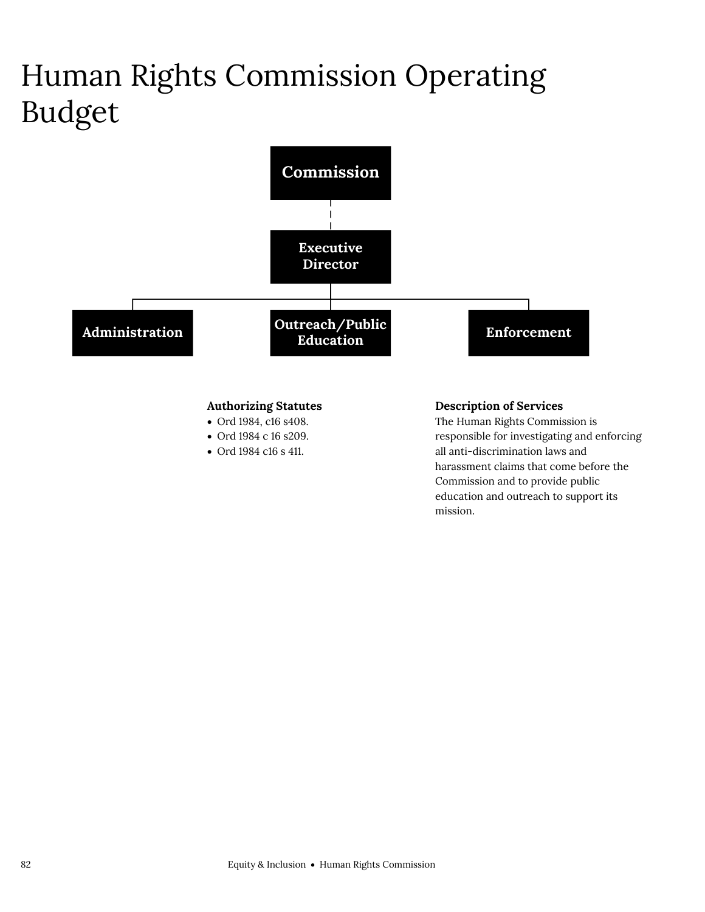# Human Rights Commission Operating Budget



## **Authorizing Statutes**

- Ord 1984, c16 s408.
- Ord 1984 c 16 s209.
- Ord 1984 c16 s 411.

#### **Description of Services**

The Human Rights Commission is responsible for investigating and enforcing all anti-discrimination laws and harassment claims that come before the Commission and to provide public education and outreach to support its mission.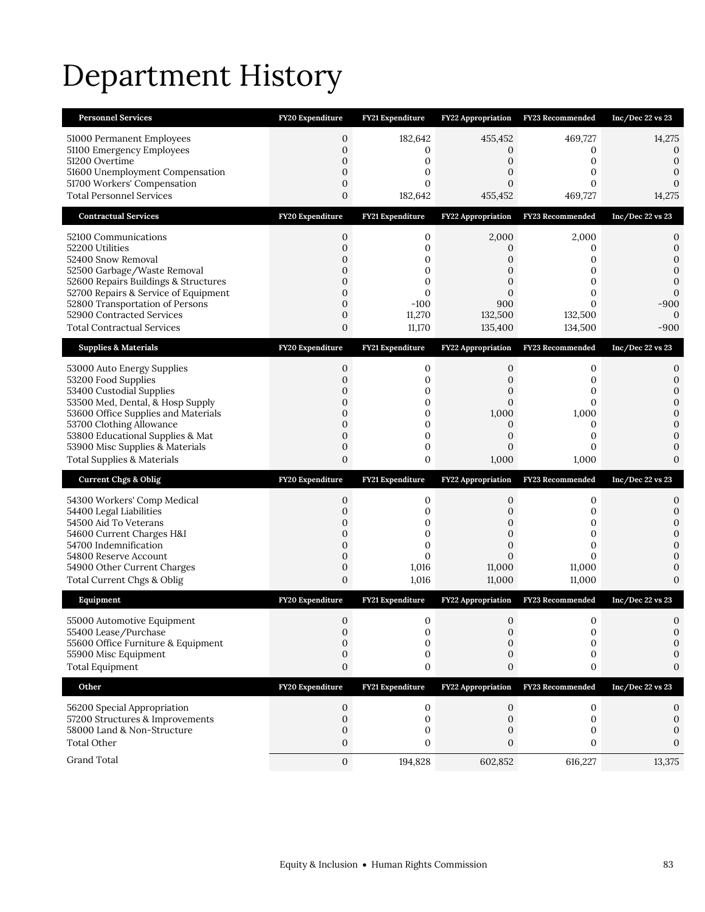# Department History

| <b>Personnel Services</b>             | <b>FY20 Expenditure</b> | FY21 Expenditure        | <b>FY22 Appropriation</b> | <b>FY23 Recommended</b> | Inc/Dec 22 vs 23 |
|---------------------------------------|-------------------------|-------------------------|---------------------------|-------------------------|------------------|
| 51000 Permanent Employees             | $\mathbf{0}$            | 182,642                 | 455,452                   | 469,727                 | 14,275           |
| 51100 Emergency Employees             | $\mathbf{0}$            | 0                       | 0                         | 0                       | 0                |
| 51200 Overtime                        | $\overline{0}$          | 0                       | 0                         | 0                       | $\mathbf{0}$     |
| 51600 Unemployment Compensation       | $\mathbf{0}$            | $\mathbf{0}$            | 0                         | 0                       | 0                |
| 51700 Workers' Compensation           | $\mathbf{0}$            | $\mathbf{0}$            | 0                         | 0                       | $\Omega$         |
| <b>Total Personnel Services</b>       | 0                       | 182,642                 | 455,452                   | 469,727                 | 14,275           |
| <b>Contractual Services</b>           | FY20 Expenditure        | FY21 Expenditure        | FY22 Appropriation        | FY23 Recommended        | Inc/Dec 22 vs 23 |
| 52100 Communications                  | $\mathbf{0}$            | $\boldsymbol{0}$        | 2,000                     | 2,000                   | 0                |
| 52200 Utilities                       | $\mathbf{0}$            | $\mathbf{0}$            | 0                         | 0                       | 0                |
| 52400 Snow Removal                    | $\mathbf{0}$            | $\mathbf 0$             | 0                         | 0                       | $\Omega$         |
| 52500 Garbage/Waste Removal           | $\mathbf{0}$            | $\mathbf{0}$            | $\mathbf{0}$              | 0                       | 0                |
| 52600 Repairs Buildings & Structures  | $\overline{0}$          | $\mathbf 0$             | $\overline{0}$            | 0                       | 0                |
| 52700 Repairs & Service of Equipment  | $\overline{0}$          | $\Omega$                | $\Omega$                  | 0                       | $\Omega$         |
| 52800 Transportation of Persons       | $\mathbf{0}$            | $-100$                  | 900                       | $\Omega$                | $-900$           |
| 52900 Contracted Services             | $\mathbf 0$             | 11,270                  | 132,500                   | 132,500                 | $\Omega$         |
| <b>Total Contractual Services</b>     | 0                       | 11,170                  | 135,400                   | 134,500                 | $-900$           |
| <b>Supplies &amp; Materials</b>       | FY20 Expenditure        | FY21 Expenditure        | FY22 Appropriation        | FY23 Recommended        | Inc/Dec 22 vs 23 |
| 53000 Auto Energy Supplies            | $\mathbf{0}$            | 0                       | 0                         | 0                       | 0                |
| 53200 Food Supplies                   | $\mathbf{0}$            | $\mathbf 0$             | 0                         | 0                       | 0                |
| 53400 Custodial Supplies              | 0                       | 0                       | 0                         | 0                       | $\mathbf{0}$     |
| 53500 Med, Dental, & Hosp Supply      | $\mathbf{0}$            | $\mathbf 0$             | $\overline{0}$            | 0                       | 0                |
| 53600 Office Supplies and Materials   | $\overline{0}$          | $\mathbf{0}$            | 1,000                     | 1,000                   | $\mathbf{0}$     |
| 53700 Clothing Allowance              | $\mathbf{0}$            | 0                       | $\mathbf{0}$              | 0                       | $\mathbf{0}$     |
| 53800 Educational Supplies & Mat      | $\overline{0}$          | $\mathbf 0$             | 0                         | 0                       | 0                |
| 53900 Misc Supplies & Materials       | $\mathbf{0}$            | $\mathbf{0}$            | 0                         | 0                       | $\mathbf{0}$     |
| <b>Total Supplies &amp; Materials</b> | $\overline{0}$          | 0                       | 1,000                     | 1,000                   | $\Omega$         |
| <b>Current Chgs &amp; Oblig</b>       | FY20 Expenditure        | <b>FY21 Expenditure</b> | FY22 Appropriation        | FY23 Recommended        | Inc/Dec 22 vs 23 |
| 54300 Workers' Comp Medical           | 0                       | 0                       | 0                         | 0                       | 0                |
| 54400 Legal Liabilities               | $\overline{0}$          | $\mathbf{0}$            | 0                         | 0                       | 0                |
| 54500 Aid To Veterans                 | 0                       | 0                       | 0                         | 0                       | $\overline{0}$   |
| 54600 Current Charges H&I             | $\mathbf{0}$            | $\mathbf 0$             | $\mathbf{0}$              | 0                       | $\mathbf{0}$     |
| 54700 Indemnification                 | 0                       | $\mathbf{0}$            | $\mathbf{0}$              | 0                       | $\Omega$         |
| 54800 Reserve Account                 | $\mathbf{0}$            | $\mathbf{0}$            | $\overline{0}$            | $\Omega$                | $\mathbf{0}$     |
| 54900 Other Current Charges           | $\mathbf 0$             | 1,016                   | 11,000                    | 11,000                  | 0                |
| Total Current Chgs & Oblig            | $\mathbf{0}$            | 1,016                   | 11,000                    | 11,000                  | $\Omega$         |
| Equipment                             | FY20 Expenditure        | FY21 Expenditure        | <b>FY22 Appropriation</b> | FY23 Recommended        | Inc/Dec 22 vs 23 |
| 55000 Automotive Equipment            | $\mathbf{0}$            | 0                       | $\mathbf{0}$              | 0                       | $\Omega$         |
| 55400 Lease/Purchase                  | 0                       | 0                       | 0                         | 0                       | 0                |
| 55600 Office Furniture & Equipment    | 0                       | 0                       | $\Omega$                  | 0                       | 0                |
| 55900 Misc Equipment                  | 0                       | 0                       | 0                         | 0                       | 0                |
| <b>Total Equipment</b>                | $\mathbf{0}$            | 0                       | 0                         | 0                       | 0                |
| Other                                 | FY20 Expenditure        | FY21 Expenditure        | <b>FY22 Appropriation</b> | FY23 Recommended        | Inc/Dec 22 vs 23 |
| 56200 Special Appropriation           | 0                       | 0                       | 0                         | 0                       | 0                |
| 57200 Structures & Improvements       | $\mathbf{0}$            | $\mathbf{0}$            | 0                         | $\mathbf{0}$            | 0                |
| 58000 Land & Non-Structure            | 0                       | 0                       | 0                         | 0                       | 0                |
| <b>Total Other</b>                    | 0                       | 0                       | 0                         | 0                       | $\Omega$         |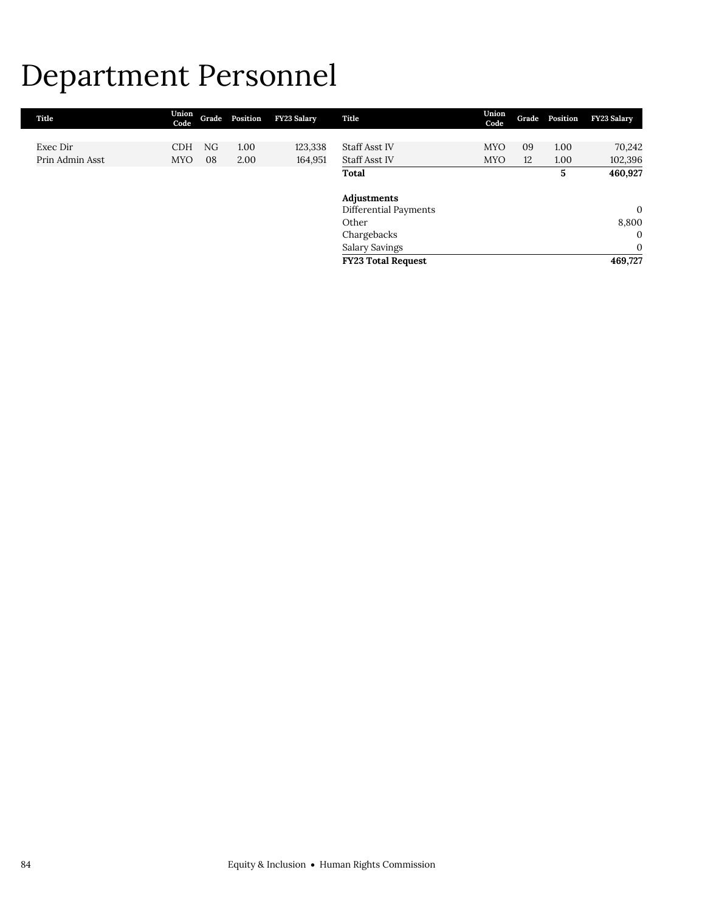## Department Personnel

| Title           | Union<br>Code | Grade | Position | FY23 Salary | Title                     | Union<br>Code | Grade | Position | <b>FY23 Salary</b> |
|-----------------|---------------|-------|----------|-------------|---------------------------|---------------|-------|----------|--------------------|
|                 |               |       |          |             |                           |               |       |          |                    |
| Exec Dir        | <b>CDH</b>    | NG    | 1.00     | 123,338     | Staff Asst IV             | <b>MYO</b>    | 09    | 1.00     | 70,242             |
| Prin Admin Asst | <b>MYO</b>    | 08    | 2.00     | 164,951     | Staff Asst IV             | <b>MYO</b>    | 12    | 1.00     | 102,396            |
|                 |               |       |          |             | Total                     |               |       | 5        | 460,927            |
|                 |               |       |          |             | Adjustments               |               |       |          |                    |
|                 |               |       |          |             | Differential Payments     |               |       |          | $\mathbf{0}$       |
|                 |               |       |          |             | Other                     |               |       |          | 8,800              |
|                 |               |       |          |             | Chargebacks               |               |       |          | $\overline{0}$     |
|                 |               |       |          |             | <b>Salary Savings</b>     |               |       |          | $\mathbf{0}$       |
|                 |               |       |          |             | <b>FY23 Total Request</b> |               |       |          | 469,727            |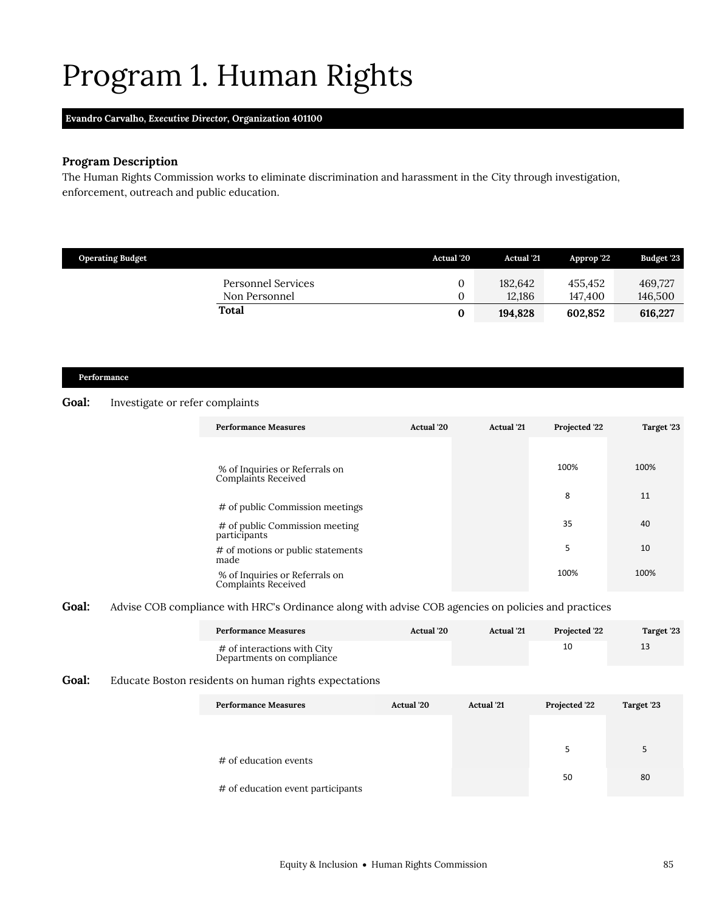# <span id="page-22-0"></span>Program 1. Human Rights

#### **Evandro Carvalho,** *Executive Director,* **Organization 401100**

### **Program Description**

The Human Rights Commission works to eliminate discrimination and harassment in the City through investigation, enforcement, outreach and public education.

| <b>Operating Budget</b>                    | <b>Actual</b> '20 | <b>Actual</b> '21 | Approp '22         | <b>Budget '23</b>  |
|--------------------------------------------|-------------------|-------------------|--------------------|--------------------|
| <b>Personnel Services</b><br>Non Personnel | 0                 | 182.642<br>12.186 | 455.452<br>147.400 | 469.727<br>146,500 |
| Total                                      | 0                 | 194.828           | 602.852            | 616,227            |

#### **Performance**

#### **Goal:** Investigate or refer complaints

| <b>Performance Measures</b>                           | Actual '20 | <b>Actual</b> '21 | Projected '22 | Target '23 |
|-------------------------------------------------------|------------|-------------------|---------------|------------|
| % of Inquiries or Referrals on<br>Complaints Received |            |                   | 100%          | 100%       |
| # of public Commission meetings                       |            |                   | 8             | 11         |
| # of public Commission meeting<br>participants        |            |                   | 35            | 40         |
| # of motions or public statements<br>made             |            |                   | 5             | 10         |
| % of Inquiries or Referrals on<br>Complaints Received |            |                   | 100%          | 100%       |

Goal: Advise COB compliance with HRC's Ordinance along with advise COB agencies on policies and practices

| <b>Performance Measures</b>                              | <b>Actual</b> '20 | <b>Actual</b> '21 | <b>Projected 22</b> | Target '23 |
|----------------------------------------------------------|-------------------|-------------------|---------------------|------------|
| # of interactions with City<br>Departments on compliance |                   |                   |                     | 13         |

#### **Goal:** Educate Boston residents on human rights expectations

| <b>Performance Measures</b>       | <b>Actual</b> '20 | <b>Actual</b> '21 | Projected '22 | Target '23 |
|-----------------------------------|-------------------|-------------------|---------------|------------|
|                                   |                   |                   |               |            |
|                                   |                   |                   |               |            |
| # of education events             |                   |                   |               | 5          |
|                                   |                   |                   | 50            | 80         |
| # of education event participants |                   |                   |               |            |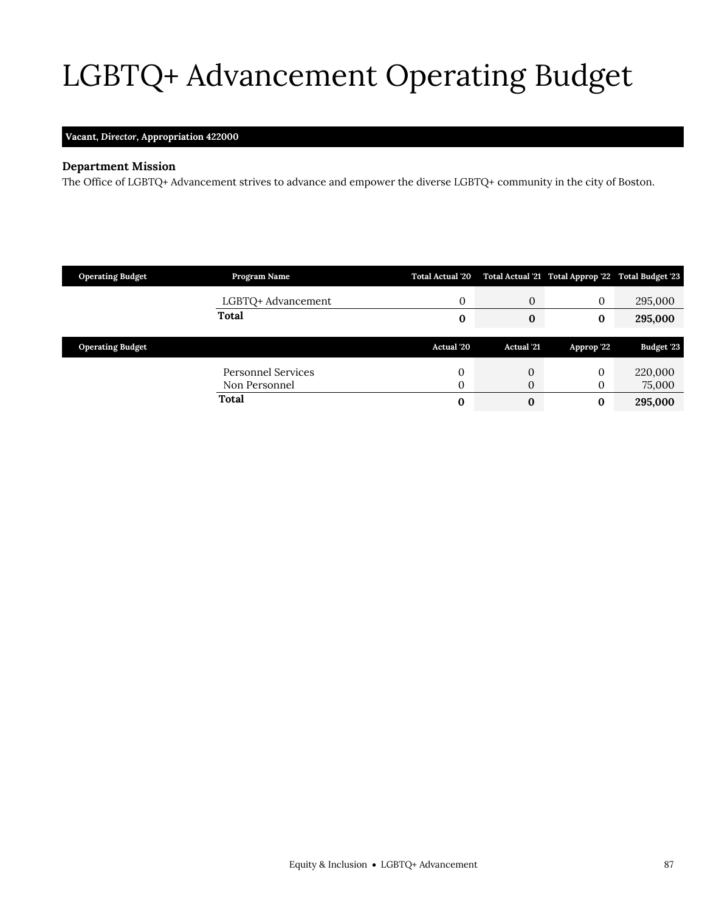# <span id="page-24-0"></span>LGBTQ+ Advancement Operating Budget

## **Vacant,** *Director,* **Appropriation 422000**

## **Department Mission**

LGBTQ+ Advancement

The Office of LGBTQ+ Advancement strives to advance and empower the diverse LGBTQ+ community in the city of Boston.

| <b>Operating Budget</b> | Program Name       | <b>Total Actual '20</b> |                   | Total Actual '21 Total Approp '22 Total Budget '23 |            |
|-------------------------|--------------------|-------------------------|-------------------|----------------------------------------------------|------------|
|                         | LGBTQ+ Advancement | 0                       | $\mathbf{0}$      | $\Omega$                                           | 295,000    |
|                         | <b>Total</b>       | 0                       | 0                 | $\bf{0}$                                           | 295,000    |
|                         |                    |                         |                   |                                                    |            |
|                         |                    |                         |                   |                                                    |            |
| <b>Operating Budget</b> |                    | <b>Actual</b> '20       | <b>Actual</b> '21 | Approp '22                                         | Budget '23 |
|                         | Personnel Services | 0                       | 0                 | $\Omega$                                           | 220,000    |
|                         | Non Personnel      | 0                       | 0                 | O                                                  | 75,000     |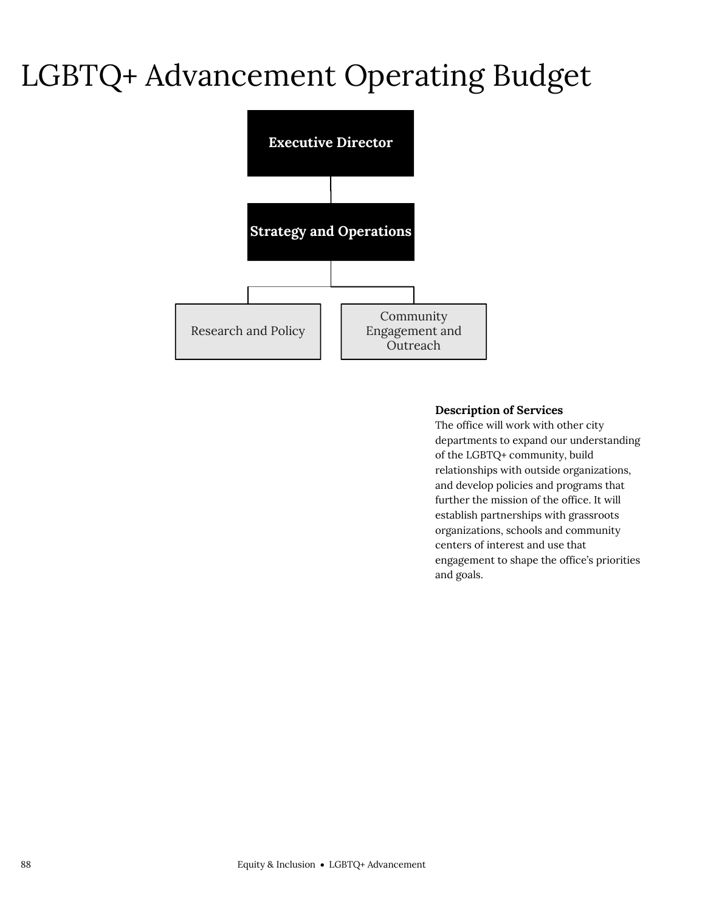## LGBTQ+ Advancement Operating Budget



#### **Description of Services**

The office will work with other city departments to expand our understanding of the LGBTQ+ community, build relationships with outside organizations, and develop policies and programs that further the mission of the office. It will establish partnerships with grassroots organizations, schools and community centers of interest and use that engagement to shape the office's priorities and goals.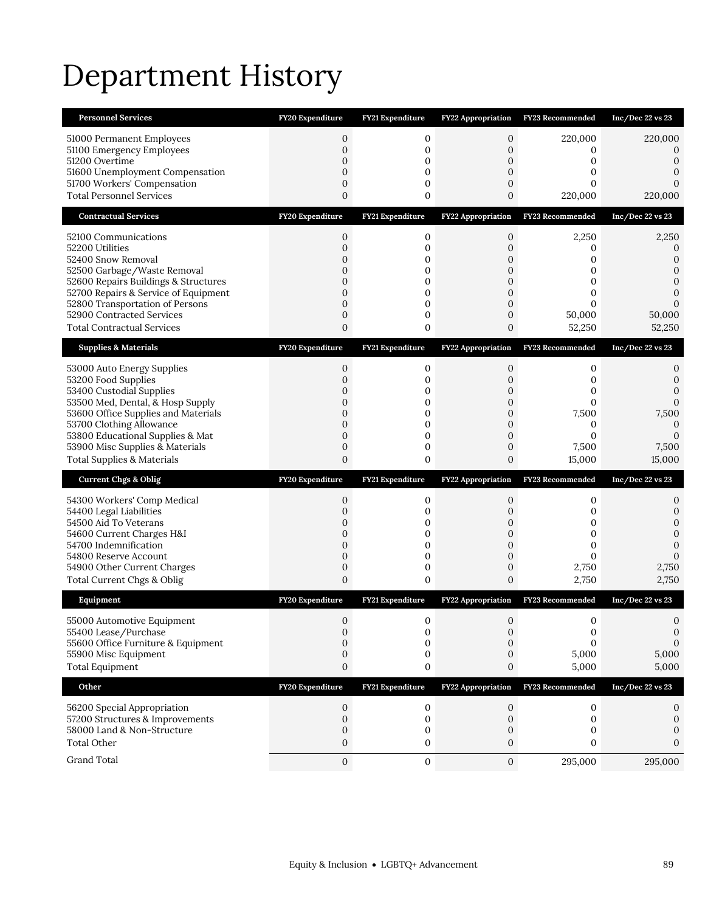# Department History

| <b>Personnel Services</b>                                      | FY20 Expenditure                 | <b>FY21 Expenditure</b> | <b>FY22 Appropriation</b>       | <b>FY23 Recommended</b> | Inc/Dec 22 vs 23    |
|----------------------------------------------------------------|----------------------------------|-------------------------|---------------------------------|-------------------------|---------------------|
| 51000 Permanent Employees<br>51100 Emergency Employees         | 0<br>$\boldsymbol{0}$            | 0<br>0                  | 0<br>$\mathbf 0$                | 220,000<br>0            | 220,000<br>$\Omega$ |
| 51200 Overtime                                                 | $\mathbf{0}$                     | 0                       | 0                               | 0                       | 0                   |
| 51600 Unemployment Compensation<br>51700 Workers' Compensation | $\mathbf{0}$<br>$\mathbf{0}$     | $\mathbf{0}$<br>0       | 0<br>$\boldsymbol{0}$           | 0<br>0                  | $\Omega$            |
| <b>Total Personnel Services</b>                                | $\mathbf{0}$                     | $\mathbf 0$             | 0                               | 220,000                 | 220,000             |
| <b>Contractual Services</b>                                    | FY20 Expenditure                 | FY21 Expenditure        | <b>FY22 Appropriation</b>       | <b>FY23 Recommended</b> | Inc/Dec 22 vs 23    |
| 52100 Communications                                           | 0                                | 0                       | $\mathbf 0$                     | 2,250                   | 2,250               |
| 52200 Utilities                                                | $\boldsymbol{0}$                 | 0                       | $\boldsymbol{0}$                | 0                       | 0                   |
| 52400 Snow Removal<br>52500 Garbage/Waste Removal              | 0<br>0                           | 0<br>$\mathbf{0}$       | 0<br>0                          | 0<br>0                  | $\Omega$<br>0       |
| 52600 Repairs Buildings & Structures                           | 0                                | 0                       | 0                               | 0                       | 0                   |
| 52700 Repairs & Service of Equipment                           | $\mathbf{0}$                     | $\mathbf{0}$            | $\overline{0}$                  | 0                       | $\mathbf{0}$        |
| 52800 Transportation of Persons<br>52900 Contracted Services   | 0<br>$\mathbf{0}$                | $\mathbf 0$<br>0        | $\boldsymbol{0}$<br>$\mathbf 0$ | $\Omega$<br>50,000      | 50,000              |
| <b>Total Contractual Services</b>                              | $\mathbf{0}$                     | 0                       | 0                               | 52,250                  | 52,250              |
| <b>Supplies &amp; Materials</b>                                | FY20 Expenditure                 | FY21 Expenditure        | <b>FY22 Appropriation</b>       | FY23 Recommended        | Inc/Dec 22 vs 23    |
| 53000 Auto Energy Supplies                                     | $\mathbf 0$                      | 0                       | $\mathbf 0$                     | 0                       | 0                   |
| 53200 Food Supplies                                            | $\mathbf{0}$                     | 0                       | 0                               | 0                       | 0<br>$\mathbf{0}$   |
| 53400 Custodial Supplies<br>53500 Med, Dental, & Hosp Supply   | 0<br>$\mathbf{0}$                | 0<br>0                  | 0<br>$\mathbf 0$                | 0<br>$\mathbf{0}$       | $\mathbf 0$         |
| 53600 Office Supplies and Materials                            | 0                                | 0                       | 0                               | 7,500                   | 7,500               |
| 53700 Clothing Allowance<br>53800 Educational Supplies & Mat   | 0<br>$\mathbf{0}$                | 0<br>0                  | 0<br>$\boldsymbol{0}$           | 0<br>0                  | 0<br>0              |
|                                                                |                                  |                         |                                 |                         |                     |
| 53900 Misc Supplies & Materials                                | $\boldsymbol{0}$                 | 0                       | $\boldsymbol{0}$                | 7,500                   | 7,500               |
| <b>Total Supplies &amp; Materials</b>                          | $\mathbf{0}$                     | 0                       | 0                               | 15,000                  | 15,000              |
| <b>Current Chgs &amp; Oblig</b>                                | FY20 Expenditure                 | FY21 Expenditure        | FY22 Appropriation              | FY23 Recommended        | Inc/Dec 22 vs 23    |
| 54300 Workers' Comp Medical                                    | 0                                | 0                       | $\mathbf 0$                     | 0                       | 0                   |
| 54400 Legal Liabilities                                        | $\mathbf{0}$                     | 0                       | 0                               | 0                       | 0                   |
| 54500 Aid To Veterans                                          | $\boldsymbol{0}$<br>$\mathbf{0}$ | 0<br>0                  | 0<br>$\boldsymbol{0}$           | 0<br>0                  | 0<br>$\mathbf{0}$   |
| 54600 Current Charges H&I<br>54700 Indemnification             | $\mathbf{0}$                     | $\mathbf{0}$            | $\overline{0}$                  | $\mathbf{0}$            | 0                   |
| 54800 Reserve Account                                          | 0                                | 0                       | $\mathbf 0$                     | 0                       | $\Omega$            |
| 54900 Other Current Charges<br>Total Current Chgs & Oblig      | $\boldsymbol{0}$<br>$\mathbf{0}$ | $\mathbf 0$<br>0        | $\mathbf 0$<br>0                | 2,750<br>2,750          | 2,750<br>2,750      |
| Equipment                                                      | FY20 Expenditure                 | FY21 Expenditure        | <b>FY22 Appropriation</b>       | FY23 Recommended        | Inc/Dec 22 vs 23    |
| 55000 Automotive Equipment                                     | $\mathbf{0}$                     | 0                       | $\mathbf{0}$                    | 0                       | 0                   |
| 55400 Lease/Purchase                                           | 0                                | 0                       | 0                               | 0                       | 0                   |
| 55600 Office Furniture & Equipment                             | 0<br>$\boldsymbol{0}$            | $\mathbf{0}$<br>0       | 0<br>0                          | $\Omega$                | 0                   |
| 55900 Misc Equipment<br><b>Total Equipment</b>                 | $\boldsymbol{0}$                 | 0                       | $\boldsymbol{0}$                | 5,000<br>5,000          | 5,000<br>5,000      |
| Other                                                          | FY20 Expenditure                 | FY21 Expenditure        | <b>FY22 Appropriation</b>       | FY23 Recommended        | Inc/Dec 22 vs 23    |
|                                                                | 0                                | 0                       | 0                               | 0                       | 0                   |
| 56200 Special Appropriation<br>57200 Structures & Improvements | $\mathbf 0$                      | 0                       | $\mathbf 0$                     | 0                       | 0                   |
| 58000 Land & Non-Structure                                     | $\boldsymbol{0}$                 | 0                       | 0                               | 0                       |                     |
| <b>Total Other</b><br>Grand Total                              | $\mathbf{0}$<br>$\mathbf{0}$     | 0<br>0                  | 0<br>$\mathbf{0}$               | 0<br>295,000            | 0<br>295,000        |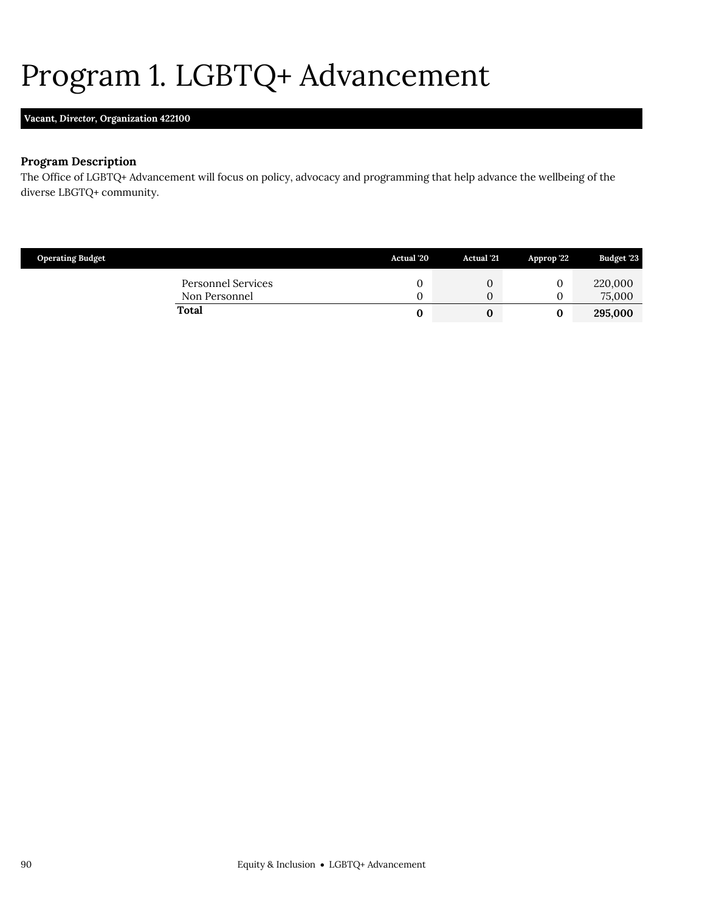# <span id="page-27-0"></span>Program 1. LGBTQ+ Advancement

## **Vacant,** *Director,* **Organization 422100**

### **Program Description**

The Office of LGBTQ+ Advancement will focus on policy, advocacy and programming that help advance the wellbeing of the diverse LBGTQ+ community.

| <b>Operating Budget</b> |                                     | <b>Actual</b> '20 | <b>Actual</b> '21 | Approp '22 | Budget '23        |
|-------------------------|-------------------------------------|-------------------|-------------------|------------|-------------------|
|                         | Personnel Services<br>Non Personnel |                   |                   |            | 220,000<br>75,000 |
|                         | <b>Total</b>                        |                   |                   |            | 295,000           |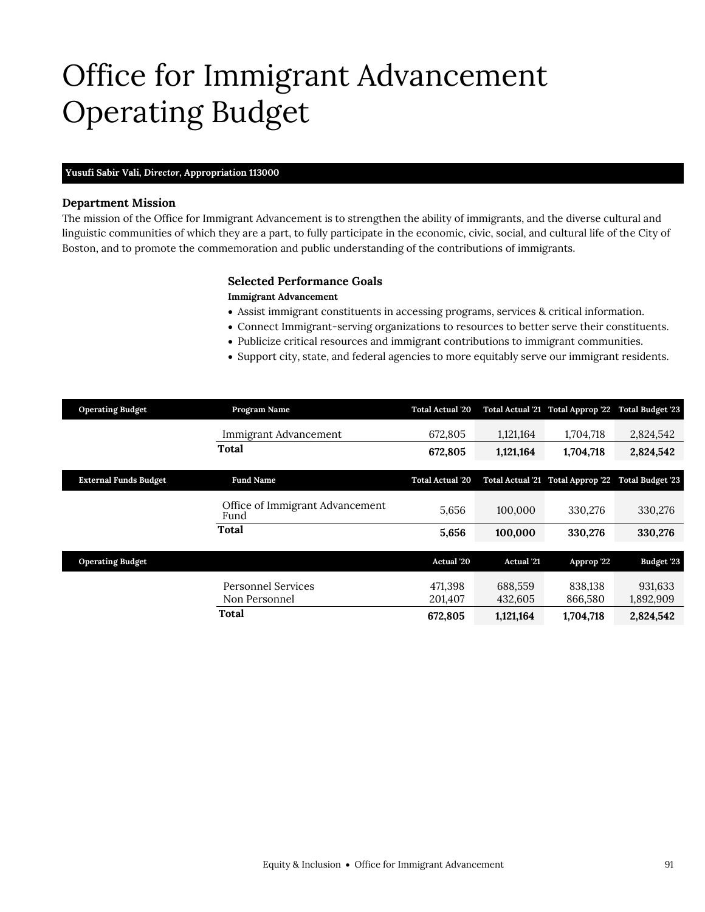## Office for Immigrant Advancement Operating Budget

#### **Yusufi Sabir Vali,** *Director,* **Appropriation 113000**

#### **Department Mission**

The mission of the Office for Immigrant Advancement is to strengthen the ability of immigrants, and the diverse cultural and linguistic communities of which they are a part, to fully participate in the economic, civic, social, and cultural life of the City of Boston, and to promote the commemoration and public understanding of the contributions of immigrants.

#### <span id="page-28-0"></span>**Selected Performance Goals**

#### **Immigrant Advancement**

- Assist immigrant constituents in accessing programs, services & critical information.
- Connect Immigrant-serving organizations to resources to better serve their constituents.
- Publicize critical resources and immigrant contributions to immigrant communities.
- Support city, state, and federal agencies to more equitably serve our immigrant residents.

| <b>Operating Budget</b>      | Program Name                               | <b>Total Actual '20</b> |                    | Total Actual '21 Total Approp '22 Total Budget '23 |                         |
|------------------------------|--------------------------------------------|-------------------------|--------------------|----------------------------------------------------|-------------------------|
|                              | Immigrant Advancement                      | 672,805                 | 1,121,164          | 1,704,718                                          | 2,824,542               |
|                              | <b>Total</b>                               | 672,805                 | 1,121,164          | 1,704,718                                          | 2,824,542               |
| <b>External Funds Budget</b> | <b>Fund Name</b>                           | <b>Total Actual '20</b> |                    | Total Actual '21 Total Approp '22                  | <b>Total Budget '23</b> |
|                              | Office of Immigrant Advancement<br>Fund    | 5,656                   | 100,000            | 330,276                                            | 330,276                 |
|                              | <b>Total</b>                               | 5,656                   | 100,000            | 330,276                                            | 330,276                 |
| <b>Operating Budget</b>      |                                            | Actual '20              | <b>Actual</b> '21  | Approp '22                                         | <b>Budget '23</b>       |
|                              | <b>Personnel Services</b><br>Non Personnel | 471,398<br>201,407      | 688,559<br>432,605 | 838,138<br>866,580                                 | 931,633<br>1,892,909    |
|                              | Total                                      | 672,805                 | 1,121,164          | 1,704,718                                          | 2,824,542               |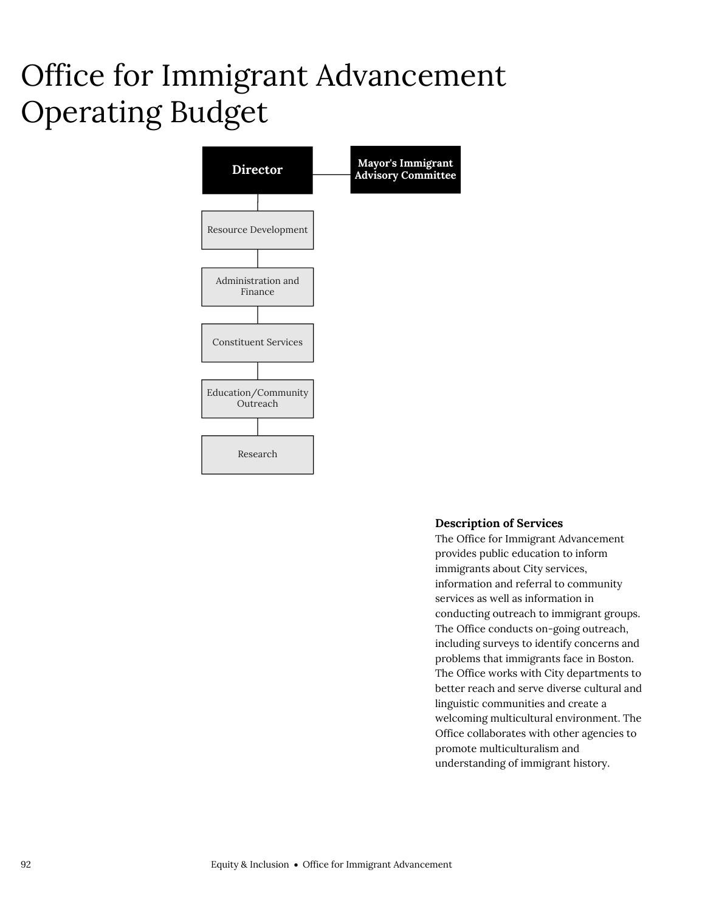## Office for Immigrant Advancement Operating Budget



#### **Description of Services**

The Office for Immigrant Advancement provides public education to inform immigrants about City services, information and referral to community services as well as information in conducting outreach to immigrant groups. The Office conducts on-going outreach, including surveys to identify concerns and problems that immigrants face in Boston. The Office works with City departments to better reach and serve diverse cultural and linguistic communities and create a welcoming multicultural environment. The Office collaborates with other agencies to promote multiculturalism and understanding of immigrant history.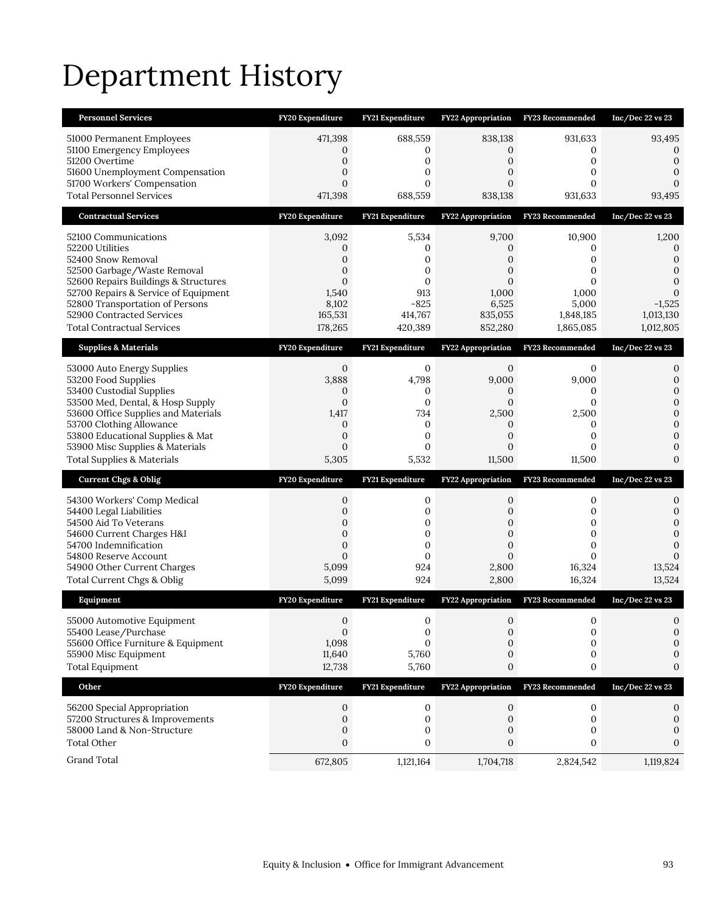# Department History

| <b>Personnel Services</b>                                                                                                                                                                                                                                                         | FY20 Expenditure                                                                              | FY21 Expenditure                                                                    | <b>FY22 Appropriation</b>                                                                     | <b>FY23 Recommended</b>                                                | Inc/Dec 22 vs 23                                                                       |
|-----------------------------------------------------------------------------------------------------------------------------------------------------------------------------------------------------------------------------------------------------------------------------------|-----------------------------------------------------------------------------------------------|-------------------------------------------------------------------------------------|-----------------------------------------------------------------------------------------------|------------------------------------------------------------------------|----------------------------------------------------------------------------------------|
| 51000 Permanent Employees<br>51100 Emergency Employees<br>51200 Overtime<br>51600 Unemployment Compensation<br>51700 Workers' Compensation<br><b>Total Personnel Services</b>                                                                                                     | 471,398<br>0<br>$\boldsymbol{0}$<br>$\mathbf{0}$<br>$\overline{0}$<br>471,398                 | 688,559<br>0<br>$\mathbf{0}$<br>0<br>0<br>688,559                                   | 838,138<br>0<br>$\mathbf{0}$<br>$\mathbf{0}$<br>$\overline{0}$<br>838,138                     | 931,633<br>0<br>0<br>$\Omega$<br>0<br>931,633                          | 93,495<br>$\Omega$<br>$\mathbf{0}$<br>$\Omega$<br>93,495                               |
| <b>Contractual Services</b>                                                                                                                                                                                                                                                       | FY20 Expenditure                                                                              | FY21 Expenditure                                                                    | <b>FY22 Appropriation</b>                                                                     | <b>FY23 Recommended</b>                                                | $Inc/Dec$ 22 vs 23                                                                     |
| 52100 Communications<br>52200 Utilities<br>52400 Snow Removal<br>52500 Garbage/Waste Removal<br>52600 Repairs Buildings & Structures<br>52700 Repairs & Service of Equipment<br>52800 Transportation of Persons<br>52900 Contracted Services<br><b>Total Contractual Services</b> | 3,092<br>0<br>0<br>0<br>$\mathbf{0}$<br>1,540<br>8,102<br>165,531<br>178,265                  | 5,534<br>0<br>$\mathbf{0}$<br>0<br>0<br>913<br>$-825$<br>414,767<br>420,389         | 9,700<br>0<br>0<br>0<br>0<br>1,000<br>6,525<br>835,055<br>852,280                             | 10,900<br>0<br>0<br>0<br>0<br>1,000<br>5,000<br>1,848,185<br>1,865,085 | 1,200<br>0<br>0<br>0<br>$\Omega$<br>$\mathbf{0}$<br>$-1,525$<br>1,013,130<br>1,012,805 |
| <b>Supplies &amp; Materials</b>                                                                                                                                                                                                                                                   | FY20 Expenditure                                                                              | FY21 Expenditure                                                                    | FY22 Appropriation                                                                            | FY23 Recommended                                                       | Inc/Dec 22 vs 23                                                                       |
| 53000 Auto Energy Supplies<br>53200 Food Supplies<br>53400 Custodial Supplies<br>53500 Med, Dental, & Hosp Supply<br>53600 Office Supplies and Materials<br>53700 Clothing Allowance<br>53800 Educational Supplies & Mat                                                          | $\mathbf 0$<br>3,888<br>0<br>$\mathbf{0}$<br>1,417<br>$\boldsymbol{0}$<br>$\mathbf{0}$        | $\mathbf 0$<br>4,798<br>0<br>$\mathbf{0}$<br>734<br>0<br>$\mathbf{0}$               | $\mathbf{0}$<br>9,000<br>0<br>0<br>2,500<br>0<br>$\mathbf{0}$                                 | 0<br>9,000<br>0<br>$\mathbf{0}$<br>2,500<br>$\mathbf{0}$<br>0          | 0<br>$\mathbf{0}$<br>$\mathbf{0}$<br>$\mathbf{0}$<br>$\mathbf{0}$<br>$\mathbf{0}$<br>0 |
| 53900 Misc Supplies & Materials<br><b>Total Supplies &amp; Materials</b>                                                                                                                                                                                                          | 0<br>5,305                                                                                    | $\mathbf{0}$<br>5,532                                                               | 0<br>11,500                                                                                   | 0<br>11,500                                                            | 0<br>$\Omega$                                                                          |
| <b>Current Chgs &amp; Oblig</b>                                                                                                                                                                                                                                                   | FY20 Expenditure                                                                              | FY21 Expenditure                                                                    | FY22 Appropriation                                                                            | FY23 Recommended                                                       | Inc/Dec 22 vs 23                                                                       |
| 54300 Workers' Comp Medical<br>54400 Legal Liabilities<br>54500 Aid To Veterans<br>54600 Current Charges H&I<br>54700 Indemnification<br>54800 Reserve Account<br>54900 Other Current Charges<br>Total Current Chgs & Oblig                                                       | 0<br>$\overline{0}$<br>0<br>$\mathbf 0$<br>$\overline{0}$<br>$\overline{0}$<br>5,099<br>5,099 | 0<br>$\mathbf{0}$<br>0<br>$\mathbf 0$<br>$\mathbf{0}$<br>$\mathbf{0}$<br>924<br>924 | 0<br>$\overline{0}$<br>0<br>$\mathbf 0$<br>$\overline{0}$<br>$\overline{0}$<br>2,800<br>2,800 | 0<br>0<br>0<br>0<br>0<br>$\Omega$<br>16,324<br>16,324                  | 0<br>0<br>$\mathbf{0}$<br>$\mathbf{0}$<br>$\mathbf{0}$<br>$\Omega$<br>13,524<br>13,524 |
| Equipment                                                                                                                                                                                                                                                                         | FY20 Expenditure                                                                              | FY21 Expenditure                                                                    | <b>FY22 Appropriation</b>                                                                     | FY23 Recommended                                                       | Inc/Dec 22 vs 23                                                                       |
| 55000 Automotive Equipment<br>55400 Lease/Purchase<br>55600 Office Furniture & Equipment<br>55900 Misc Equipment<br><b>Total Equipment</b>                                                                                                                                        | $\mathbf{0}$<br>$\boldsymbol{0}$<br>1,098<br>11,640<br>12,738                                 | $\mathbf 0$<br>$\boldsymbol{0}$<br>$\Omega$<br>5,760<br>5,760                       | $\mathbf{0}$<br>0<br>0<br>0<br>0                                                              | 0<br>0<br>$\mathbf{0}$<br>0<br>0                                       | $\mathbf{0}$<br>0<br>0<br>0<br>0                                                       |
| Other                                                                                                                                                                                                                                                                             | FY20 Expenditure                                                                              | FY21 Expenditure                                                                    | <b>FY22 Appropriation</b>                                                                     | FY23 Recommended                                                       | Inc/Dec 22 vs 23                                                                       |
| 56200 Special Appropriation<br>57200 Structures & Improvements<br>58000 Land & Non-Structure<br><b>Total Other</b><br>Grand Total                                                                                                                                                 | 0<br>$\mathbf 0$<br>$\boldsymbol{0}$<br>0<br>672,805                                          | 0<br>$\mathbf 0$<br>0<br>0<br>1,121,164                                             | 0<br>$\mathbf 0$<br>0<br>0<br>1,704,718                                                       | 0<br>0<br>0<br>0<br>2,824,542                                          | 0<br>0<br>0<br>$\Omega$<br>1,119,824                                                   |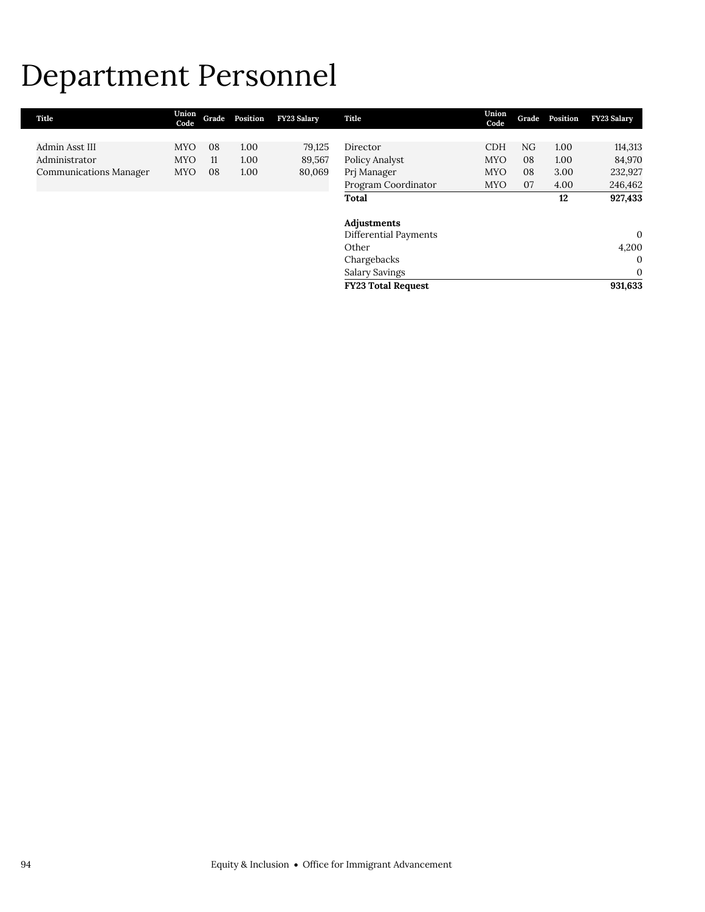# Department Personnel

| Title                         | Union<br>Code | Grade | Position | <b>FY23 Salary</b> | Title                     | Union<br>Code | Grade | Position | <b>FY23 Salary</b> |
|-------------------------------|---------------|-------|----------|--------------------|---------------------------|---------------|-------|----------|--------------------|
|                               |               |       |          |                    |                           |               |       |          |                    |
| Admin Asst III                | <b>MYO</b>    | 08    | 1.00     | 79,125             | Director                  | <b>CDH</b>    | NG    | 1.00     | 114,313            |
| Administrator                 | <b>MYO</b>    | 11    | 1.00     | 89,567             | Policy Analyst            | <b>MYO</b>    | 08    | 1.00     | 84,970             |
| <b>Communications Manager</b> | <b>MYO</b>    | 08    | 1.00     | 80,069             | Prj Manager               | <b>MYO</b>    | 08    | 3.00     | 232,927            |
|                               |               |       |          |                    | Program Coordinator       | <b>MYO</b>    | 07    | 4.00     | 246,462            |
|                               |               |       |          |                    | Total                     |               |       | 12       | 927,433            |
|                               |               |       |          |                    | Adjustments               |               |       |          |                    |
|                               |               |       |          |                    | Differential Payments     |               |       |          | 0                  |
|                               |               |       |          |                    | Other                     |               |       |          | 4,200              |
|                               |               |       |          |                    | Chargebacks               |               |       |          | $\mathbf{0}$       |
|                               |               |       |          |                    | Salary Savings            |               |       |          | $\mathbf{0}$       |
|                               |               |       |          |                    | <b>FY23 Total Request</b> |               |       |          | 931,633            |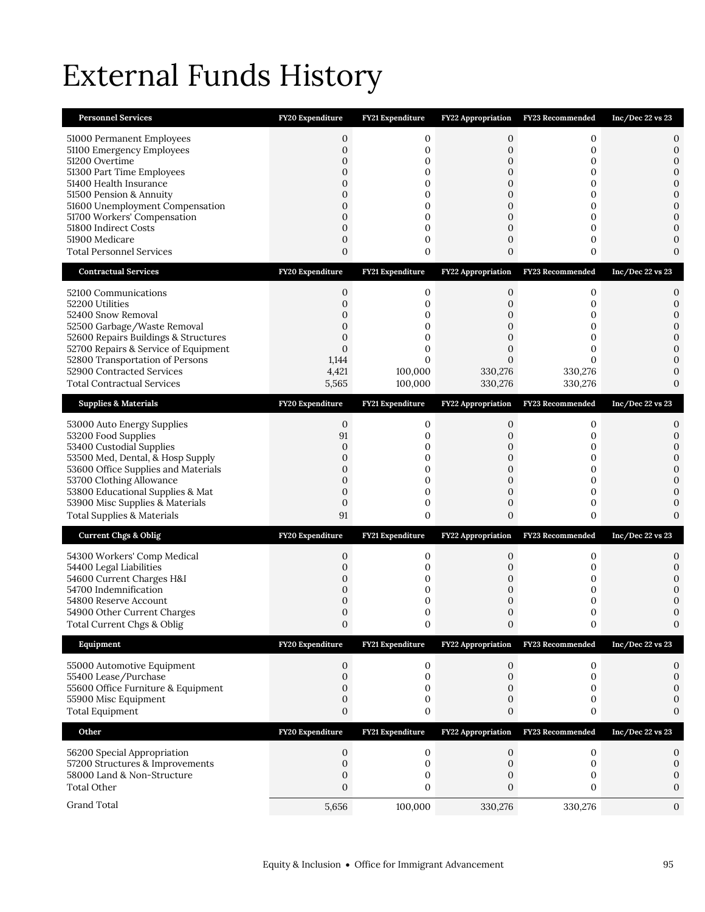# External Funds History

| <b>Personnel Services</b>                                                                                                                                                                                                                                                                                 | FY20 Expenditure                                                                                                                    | FY21 Expenditure                                                        | FY22 Appropriation                                                                                           | FY23 Recommended                                      | Inc/Dec 22 vs 23                                                                                                                  |
|-----------------------------------------------------------------------------------------------------------------------------------------------------------------------------------------------------------------------------------------------------------------------------------------------------------|-------------------------------------------------------------------------------------------------------------------------------------|-------------------------------------------------------------------------|--------------------------------------------------------------------------------------------------------------|-------------------------------------------------------|-----------------------------------------------------------------------------------------------------------------------------------|
| 51000 Permanent Employees<br>51100 Emergency Employees<br>51200 Overtime<br>51300 Part Time Employees<br>51400 Health Insurance<br>51500 Pension & Annuity<br>51600 Unemployment Compensation<br>51700 Workers' Compensation<br>51800 Indirect Costs<br>51900 Medicare<br><b>Total Personnel Services</b> | $\mathbf{0}$<br>$\mathbf{0}$<br>$\mathbf 0$<br>$\mathbf{0}$<br>0<br>$\mathbf{0}$<br>$\overline{0}$<br>0<br>$\overline{0}$<br>0<br>0 | 0<br>$\mathbf 0$<br>0<br>0<br>0<br>0<br>$\mathbf 0$<br>0<br>0<br>0<br>0 | 0<br>0<br>$\mathbf 0$<br>0<br>$\mathbf 0$<br>0<br>$\overline{0}$<br>0<br>$\overline{0}$<br>0<br>$\mathbf{0}$ | 0<br>0<br>0<br>0<br>0<br>0<br>0<br>0<br>0<br>0<br>0   | 0<br>0<br>$\mathbf 0$<br>$\mathbf{0}$<br>$\mathbf{0}$<br>0<br>$\mathbf{0}$<br>$\overline{0}$<br>0<br>$\mathbf{0}$<br>$\mathbf{0}$ |
| <b>Contractual Services</b>                                                                                                                                                                                                                                                                               | FY20 Expenditure                                                                                                                    | FY21 Expenditure                                                        | FY22 Appropriation                                                                                           | <b>FY23 Recommended</b>                               | Inc/Dec 22 vs 23                                                                                                                  |
| 52100 Communications<br>52200 Utilities<br>52400 Snow Removal<br>52500 Garbage/Waste Removal<br>52600 Repairs Buildings & Structures<br>52700 Repairs & Service of Equipment<br>52800 Transportation of Persons<br>52900 Contracted Services<br><b>Total Contractual Services</b>                         | 0<br>$\mathbf{0}$<br>0<br>$\mathbf{0}$<br>$\overline{0}$<br>$\mathbf{0}$<br>1,144<br>4,421<br>5,565                                 | 0<br>$\mathbf 0$<br>0<br>0<br>0<br>0<br>$\Omega$<br>100,000<br>100,000  | 0<br>$\mathbf{0}$<br>0<br>$\mathbf{0}$<br>$\mathbf{0}$<br>$\mathbf{0}$<br>$\Omega$<br>330,276<br>330,276     | 0<br>0<br>0<br>0<br>0<br>0<br>0<br>330,276<br>330,276 | 0<br>0<br>$\mathbf{0}$<br>$\mathbf{0}$<br>$\mathbf{0}$<br>$\mathbf{0}$<br>0<br>0<br>$\mathbf{0}$                                  |
| <b>Supplies &amp; Materials</b>                                                                                                                                                                                                                                                                           | FY20 Expenditure                                                                                                                    | FY21 Expenditure                                                        | FY22 Appropriation                                                                                           | FY23 Recommended                                      | Inc/Dec 22 vs 23                                                                                                                  |
| 53000 Auto Energy Supplies<br>53200 Food Supplies<br>53400 Custodial Supplies<br>53500 Med, Dental, & Hosp Supply<br>53600 Office Supplies and Materials<br>53700 Clothing Allowance<br>53800 Educational Supplies & Mat<br>53900 Misc Supplies & Materials<br><b>Total Supplies &amp; Materials</b>      | $\mathbf{0}$<br>91<br>$\mathbf 0$<br>$\mathbf{0}$<br>$\mathbf{0}$<br>$\mathbf{0}$<br>$\mathbf{0}$<br>$\mathbf{0}$<br>91             | 0<br>$\mathbf 0$<br>0<br>$\mathbf 0$<br>0<br>0<br>0<br>$\mathbf 0$<br>0 | 0<br>$\overline{0}$<br>0<br>$\mathbf{0}$<br>$\mathbf{0}$<br>0<br>0<br>$\mathbf{0}$<br>$\overline{0}$         | 0<br>0<br>0<br>0<br>0<br>0<br>0<br>0<br>0             | 0<br>0<br>$\mathbf{0}$<br>$\mathbf{0}$<br>$\mathbf{0}$<br>$\mathbf{0}$<br>0<br>$\mathbf{0}$<br>$\Omega$                           |
| <b>Current Chgs &amp; Oblig</b>                                                                                                                                                                                                                                                                           | FY20 Expenditure                                                                                                                    | FY21 Expenditure                                                        |                                                                                                              | FY22 Appropriation FY23 Recommended                   | Inc/Dec 22 vs 23                                                                                                                  |
| 54300 Workers' Comp Medical<br>54400 Legal Liabilities<br>54600 Current Charges H&I<br>54700 Indemnification<br>54800 Reserve Account<br>54900 Other Current Charges<br>Total Current Chgs & Oblig                                                                                                        | $\boldsymbol{0}$<br>0<br>0<br>0<br>$\mathbf{0}$<br>0<br>$\boldsymbol{0}$                                                            | 0<br>0<br>0<br>0<br>0<br>0<br>$\boldsymbol{0}$                          | 0<br>0<br>0<br>0<br>$\mathbf{0}$<br>0<br>0                                                                   | 0<br>0<br>0<br>0<br>0<br>0                            | 0<br>0<br>0<br>$\mathbf{0}$<br>0<br>$\mathbf{0}$                                                                                  |
| Equipment                                                                                                                                                                                                                                                                                                 | FY20 Expenditure                                                                                                                    | FY21 Expenditure                                                        | <b>FY22 Appropriation</b>                                                                                    | FY23 Recommended                                      | Inc/Dec 22 vs 23                                                                                                                  |
| 55000 Automotive Equipment<br>55400 Lease/Purchase<br>55600 Office Furniture & Equipment<br>55900 Misc Equipment<br><b>Total Equipment</b>                                                                                                                                                                | 0<br>$\mathbf 0$<br>$\mathbf{0}$<br>0<br>0                                                                                          | $\mathbf 0$<br>0<br>0<br>0<br>0                                         | $\mathbf 0$<br>0<br>0<br>0<br>0                                                                              | 0<br>$\mathbf{0}$<br>0<br>0<br>0                      | 0<br>$\boldsymbol{0}$<br>0<br>0<br>0                                                                                              |
| Other                                                                                                                                                                                                                                                                                                     | FY20 Expenditure                                                                                                                    | FY21 Expenditure                                                        | FY22 Appropriation                                                                                           | FY23 Recommended                                      | Inc/Dec 22 vs 23                                                                                                                  |
| 56200 Special Appropriation<br>57200 Structures & Improvements<br>58000 Land & Non-Structure<br><b>Total Other</b>                                                                                                                                                                                        | 0<br>$\boldsymbol{0}$<br>0<br>$\overline{0}$                                                                                        | 0<br>$\boldsymbol{0}$<br>0<br>$\mathbf{0}$                              | 0<br>$\boldsymbol{0}$<br>0<br>0                                                                              | $\mathbf 0$<br>0<br>0<br>0                            | 0<br>$\mathbf 0$<br>0<br>0                                                                                                        |
| Grand Total                                                                                                                                                                                                                                                                                               | 5,656                                                                                                                               | 100,000                                                                 | 330,276                                                                                                      | 330,276                                               | 0                                                                                                                                 |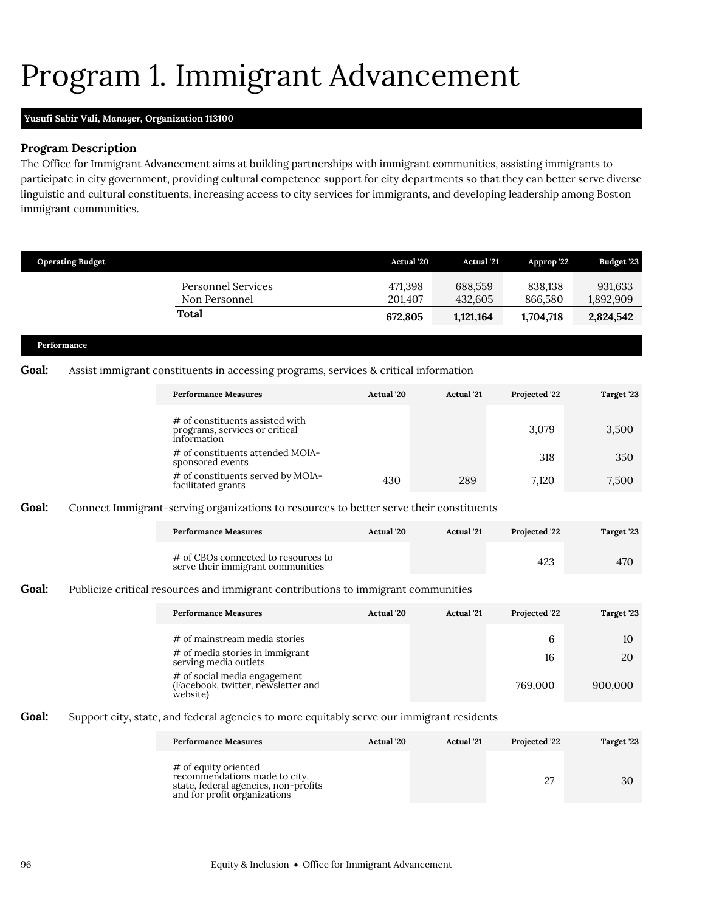# <span id="page-33-0"></span>Program 1. Immigrant Advancement

### **Yusufi Sabir Vali,** *Manager,* **Organization 113100**

#### **Program Description**

The Office for Immigrant Advancement aims at building partnerships with immigrant communities, assisting immigrants to participate in city government, providing cultural competence support for city departments so that they can better serve diverse linguistic and cultural constituents, increasing access to city services for immigrants, and developing leadership among Boston immigrant communities.

|       | <b>Operating Budget</b> |                                                                                           | <b>Actual</b> '20 | <b>Actual '21</b> | Approp '22    | Budget '23 |
|-------|-------------------------|-------------------------------------------------------------------------------------------|-------------------|-------------------|---------------|------------|
|       |                         |                                                                                           |                   |                   |               |            |
|       |                         | <b>Personnel Services</b>                                                                 | 471,398           | 688,559           | 838,138       | 931,633    |
|       |                         | Non Personnel                                                                             | 201,407           | 432,605           | 866,580       | 1,892,909  |
|       |                         | Total                                                                                     | 672,805           | 1,121,164         | 1,704,718     | 2,824,542  |
|       | Performance             |                                                                                           |                   |                   |               |            |
|       |                         |                                                                                           |                   |                   |               |            |
| Goal: |                         | Assist immigrant constituents in accessing programs, services & critical information      |                   |                   |               |            |
|       |                         | <b>Performance Measures</b>                                                               | Actual '20        | <b>Actual</b> '21 | Projected '22 | Target '23 |
|       |                         | # of constituents assisted with<br>programs, services or critical<br>information          |                   |                   | 3.079         | 3,500      |
|       |                         | # of constituents attended MOIA-<br>sponsored events                                      |                   |                   | 318           | 350        |
|       |                         | # of constituents served by MOIA-<br>facilitated grants                                   | 430               | 289               | 7,120         | 7,500      |
| Goal: |                         | Connect Immigrant-serving organizations to resources to better serve their constituents   |                   |                   |               |            |
|       |                         | <b>Performance Measures</b>                                                               | Actual '20        | <b>Actual</b> '21 | Projected '22 | Target '23 |
|       |                         | # of CBOs connected to resources to<br>serve their immigrant communities                  |                   |                   | 423           | 470        |
| Goal: |                         | Publicize critical resources and immigrant contributions to immigrant communities         |                   |                   |               |            |
|       |                         | <b>Performance Measures</b>                                                               | Actual '20        | <b>Actual</b> '21 | Projected '22 | Target '23 |
|       |                         | $#$ of mainstream media stories                                                           |                   |                   | 6             | 10         |
|       |                         | # of media stories in immigrant<br>serving media outlets                                  |                   |                   | 16            | 20         |
|       |                         | # of social media engagement<br>(Facebook, twitter, newsletter and<br>website)            |                   |                   | 769,000       | 900,000    |
| Goal: |                         | Support city, state, and federal agencies to more equitably serve our immigrant residents |                   |                   |               |            |
|       |                         | <b>Performance Measures</b>                                                               | Actual '20        | <b>Actual</b> '21 | Projected '22 | Target '23 |

| # of equity oriented<br>recommendations made to city.<br>state, federal agencies, non-profits<br>and for profit organizations |  |  |
|-------------------------------------------------------------------------------------------------------------------------------|--|--|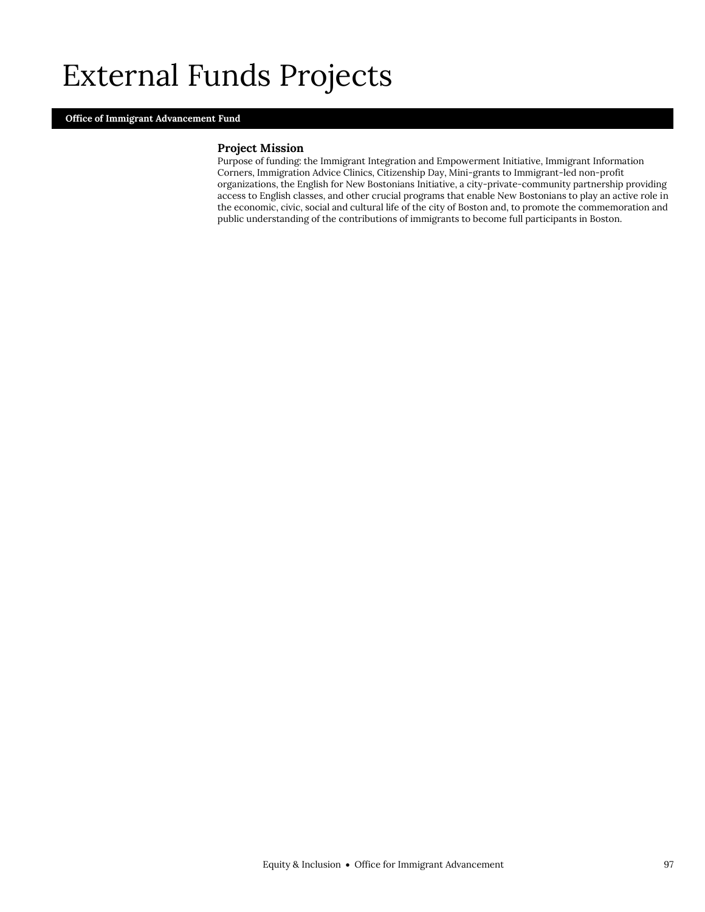## External Funds Projects

#### **Office of Immigrant Advancement Fund**

#### **Project Mission**

Purpose of funding: the Immigrant Integration and Empowerment Initiative, Immigrant Information Corners, Immigration Advice Clinics, Citizenship Day, Mini-grants to Immigrant-led non-profit organizations, the English for New Bostonians Initiative, a city-private-community partnership providing access to English classes, and other crucial programs that enable New Bostonians to play an active role in the economic, civic, social and cultural life of the city of Boston and, to promote the commemoration and public understanding of the contributions of immigrants to become full participants in Boston.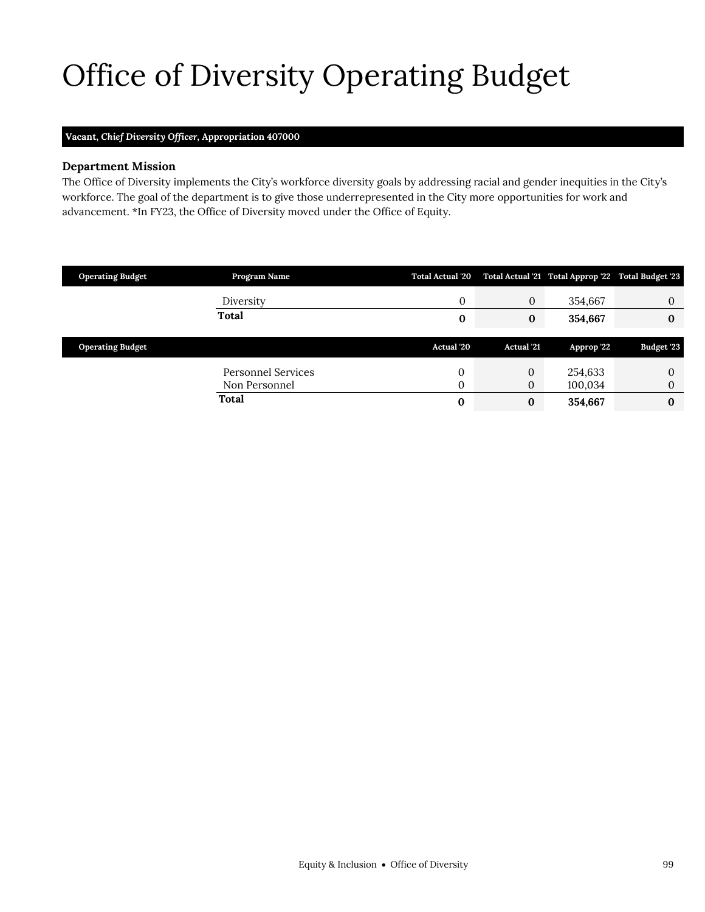# <span id="page-36-0"></span>Office of Diversity Operating Budget

## **Vacant,** *Chief Diversity Officer,* **Appropriation 407000**

### **Department Mission**

 $\mathcal{O}(\mathcal{O}_\mathcal{C})$  of  $\mathcal{O}_\mathcal{C}$  of  $\mathcal{O}_\mathcal{C}$ 

The Office of Diversity implements the City's workforce diversity goals by addressing racial and gender inequities in the City's workforce. The goal of the department is to give those underrepresented in the City more opportunities for work and advancement. \*In FY23, the Office of Diversity moved under the Office of Equity.

| <b>Operating Budget</b> | Program Name              | <b>Total Actual '20</b> |                   | Total Actual '21 Total Approp '22 Total Budget '23 |              |
|-------------------------|---------------------------|-------------------------|-------------------|----------------------------------------------------|--------------|
|                         | Diversity                 | 0                       | $\mathbf{0}$      | 354,667                                            | $\Omega$     |
|                         | Total                     | 0                       | $\bf{0}$          | 354,667                                            | $\bf{0}$     |
|                         |                           |                         |                   |                                                    |              |
| <b>Operating Budget</b> |                           | Actual '20              | <b>Actual</b> '21 | Approp '22                                         | Budget '23   |
|                         | <b>Personnel Services</b> | $\mathbf 0$             | $\mathbf{0}$      | 254,633                                            | $\mathbf{0}$ |
|                         | Non Personnel             | 0                       | 0                 | 100,034                                            | $\mathbf{0}$ |
|                         | Total                     | $\bf{0}$                | $\bf{0}$          | 354,667                                            | 0            |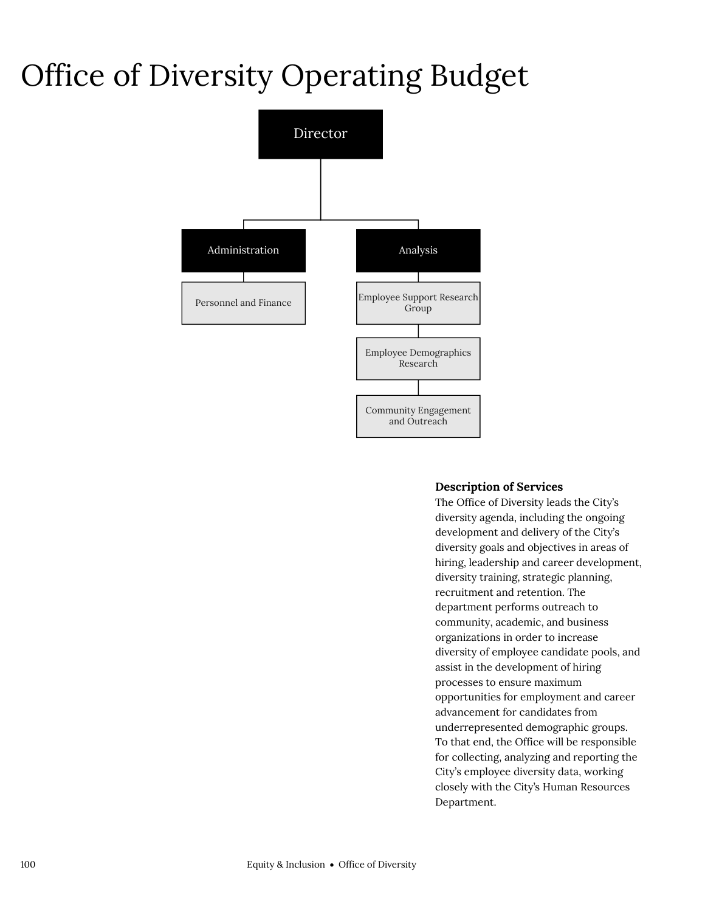## Office of Diversity Operating Budget



## **Description of Services**

The Office of Diversity leads the City's diversity agenda, including the ongoing development and delivery of the City's diversity goals and objectives in areas of hiring, leadership and career development, diversity training, strategic planning, recruitment and retention. The department performs outreach to community, academic, and business organizations in order to increase diversity of employee candidate pools, and assist in the development of hiring processes to ensure maximum opportunities for employment and career advancement for candidates from underrepresented demographic groups. To that end, the Office will be responsible for collecting, analyzing and reporting the City's employee diversity data, working closely with the City's Human Resources Department.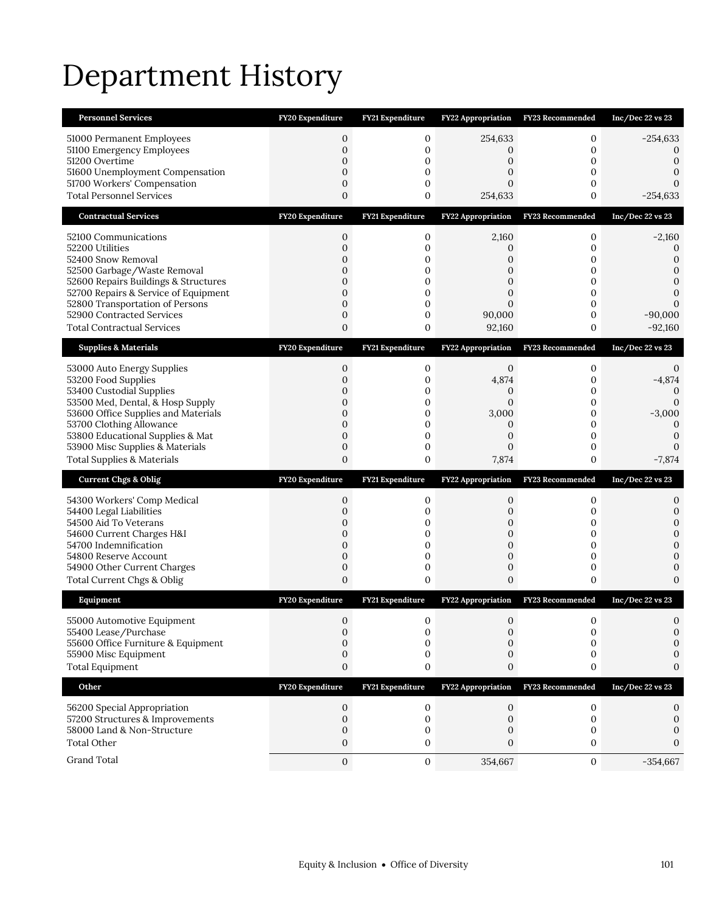# Department History

| <b>Personnel Services</b>                                                | FY20 Expenditure                 | FY21 Expenditure        | <b>FY22 Appropriation</b>        | FY23 Recommended        | Inc/Dec 22 vs 23               |
|--------------------------------------------------------------------------|----------------------------------|-------------------------|----------------------------------|-------------------------|--------------------------------|
| 51000 Permanent Employees                                                | 0                                | 0                       | 254,633                          | 0                       | $-254,633$                     |
| 51100 Emergency Employees<br>51200 Overtime                              | $\mathbf{0}$<br>0                | 0<br>0                  | 0<br>$\Omega$                    | 0<br>0                  | 0<br>0                         |
| 51600 Unemployment Compensation                                          | $\overline{0}$                   | 0                       | 0                                | 0                       | 0                              |
| 51700 Workers' Compensation                                              | $\mathbf{0}$                     | 0                       | 0                                | 0                       |                                |
| <b>Total Personnel Services</b>                                          | $\overline{0}$                   | $\overline{0}$          | 254,633                          | 0                       | $-254,633$                     |
| <b>Contractual Services</b>                                              | FY20 Expenditure                 | FY21 Expenditure        | FY22 Appropriation               | FY23 Recommended        | Inc/Dec 22 vs 23               |
| 52100 Communications                                                     | 0                                | 0                       | 2,160                            | 0                       | $-2,160$                       |
| 52200 Utilities<br>52400 Snow Removal                                    | 0<br>0                           | 0<br>0                  | $\mathbf{0}$<br>0                | 0<br>0                  | $\mathbf{0}$<br>$\mathbf{0}$   |
| 52500 Garbage/Waste Removal                                              | $\mathbf{0}$                     | 0                       | 0                                | 0                       | $\mathbf{0}$                   |
| 52600 Repairs Buildings & Structures                                     | $\overline{0}$                   | 0                       | 0                                | 0                       | $\mathbf{0}$                   |
| 52700 Repairs & Service of Equipment<br>52800 Transportation of Persons  | $\mathbf{0}$<br>$\overline{0}$   | 0<br>0                  | 0<br>$\Omega$                    | 0<br>0                  | $\Omega$                       |
| 52900 Contracted Services                                                | $\mathbf 0$                      | $\mathbf 0$             | 90,000                           | 0                       | $-90,000$                      |
| <b>Total Contractual Services</b>                                        | 0                                | 0                       | 92,160                           | 0                       | $-92,160$                      |
| <b>Supplies &amp; Materials</b>                                          | FY20 Expenditure                 | <b>FY21 Expenditure</b> | <b>FY22 Appropriation</b>        | <b>FY23 Recommended</b> | Inc/Dec 22 vs 23               |
| 53000 Auto Energy Supplies                                               | 0                                | 0                       | $\mathbf{0}$                     | 0                       | 0                              |
| 53200 Food Supplies<br>53400 Custodial Supplies                          | $\overline{0}$<br>0              | 0<br>0                  | 4,874<br>0                       | 0<br>0                  | $-4,874$<br>$\Omega$           |
| 53500 Med, Dental, & Hosp Supply                                         | $\overline{0}$                   | 0                       | $\overline{0}$                   | 0                       | $\mathbf{0}$                   |
| 53600 Office Supplies and Materials                                      | $\overline{0}$                   | 0                       | 3,000                            | 0                       | $-3,000$                       |
| 53700 Clothing Allowance<br>53800 Educational Supplies & Mat             | $\overline{0}$<br>$\mathbf 0$    | 0<br>0                  | 0<br>0                           | 0<br>0                  | $\mathbf{0}$<br>$\mathbf{0}$   |
|                                                                          |                                  |                         |                                  |                         |                                |
|                                                                          | $\mathbf 0$                      | 0                       | 0                                | 0                       | $\Omega$                       |
| 53900 Misc Supplies & Materials<br><b>Total Supplies &amp; Materials</b> | $\overline{0}$                   | 0                       | 7,874                            | 0                       | $-7,874$                       |
| <b>Current Chgs &amp; Oblig</b>                                          | FY20 Expenditure                 | <b>FY21 Expenditure</b> | <b>FY22 Appropriation</b>        | FY23 Recommended        | Inc/Dec 22 vs 23               |
|                                                                          | 0                                | 0                       | 0                                | 0                       | 0                              |
| 54300 Workers' Comp Medical<br>54400 Legal Liabilities                   | $\mathbf 0$                      | 0                       | 0                                | 0                       | 0                              |
| 54500 Aid To Veterans                                                    | 0                                | 0                       | 0                                | 0                       | $\mathbf{0}$                   |
| 54600 Current Charges H&I<br>54700 Indemnification                       | $\overline{0}$<br>$\overline{0}$ | 0<br>0                  | $\overline{0}$<br>$\overline{0}$ | 0<br>0                  | $\overline{0}$<br>$\mathbf{0}$ |
| 54800 Reserve Account                                                    | $\mathbf 0$                      | 0                       | 0                                | 0                       | $\mathbf{0}$                   |
| 54900 Other Current Charges                                              | $\mathbf 0$<br>0                 | 0<br>0                  | $\mathbf 0$<br>0                 | 0<br>0                  | $\mathbf{0}$<br>$\Omega$       |
| Total Current Chgs & Oblig<br>Equipment                                  | FY20 Expenditure                 | FY21 Expenditure        |                                  | FY23 Recommended        | Inc/Dec 22 vs 23               |
|                                                                          |                                  |                         | FY22 Appropriation               |                         |                                |
| 55000 Automotive Equipment<br>55400 Lease/Purchase                       | $\Omega$<br>0                    | $\Omega$<br>0           | 0<br>0                           | 0<br>0                  | $\Omega$<br>0                  |
| 55600 Office Furniture & Equipment                                       | $\Omega$                         | 0                       | $\Omega$                         | 0                       | 0                              |
| 55900 Misc Equipment                                                     | 0                                | 0                       | 0                                | 0                       | 0                              |
| <b>Total Equipment</b>                                                   | 0                                | 0                       | 0                                | 0                       | 0                              |
| Other                                                                    | FY20 Expenditure                 | FY21 Expenditure        | <b>FY22 Appropriation</b>        | FY23 Recommended        | Inc/Dec 22 vs 23               |
| 56200 Special Appropriation                                              | 0                                | 0                       | 0                                | 0                       | 0                              |
| 57200 Structures & Improvements<br>58000 Land & Non-Structure            | 0<br>0                           | 0<br>0                  | 0<br>0                           | 0<br>0                  | 0<br>0                         |
| <b>Total Other</b>                                                       | 0                                | 0                       | $\mathbf{0}$                     | 0                       | $\Omega$                       |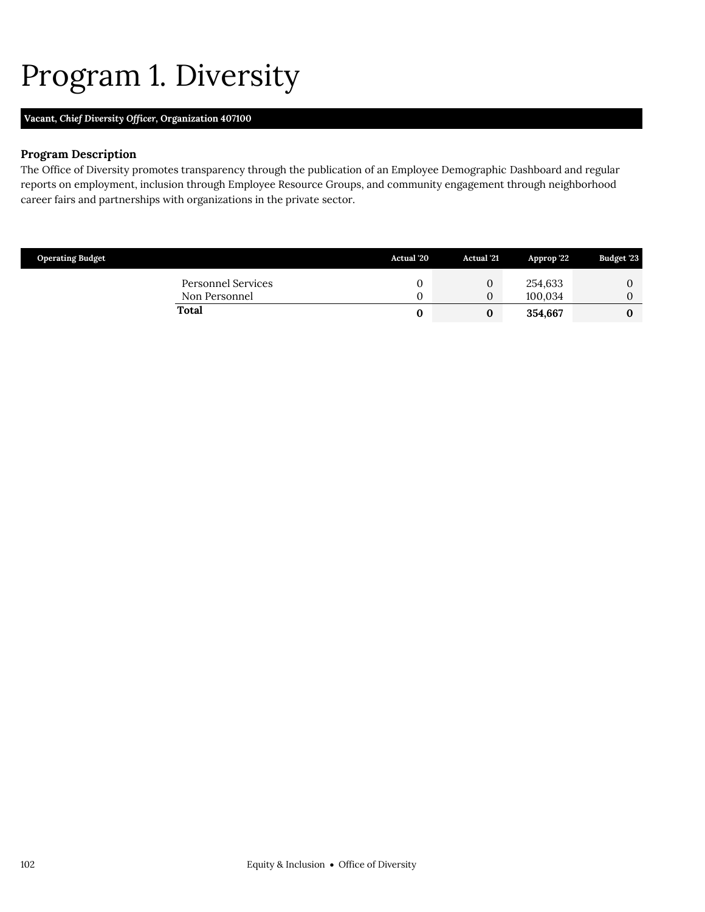# <span id="page-39-0"></span>Program 1. Diversity

## **Vacant,** *Chief Diversity Officer,* **Organization 407100**

### **Program Description**

The Office of Diversity promotes transparency through the publication of an Employee Demographic Dashboard and regular reports on employment, inclusion through Employee Resource Groups, and community engagement through neighborhood career fairs and partnerships with organizations in the private sector.

| <b>Operating Budget</b>             | Actual '20 | <b>Actual</b> '21 | Approp '22         | Budget '23 |
|-------------------------------------|------------|-------------------|--------------------|------------|
| Personnel Services<br>Non Personnel |            | U                 | 254,633<br>100.034 |            |
| <b>Total</b>                        |            |                   | 354.667            |            |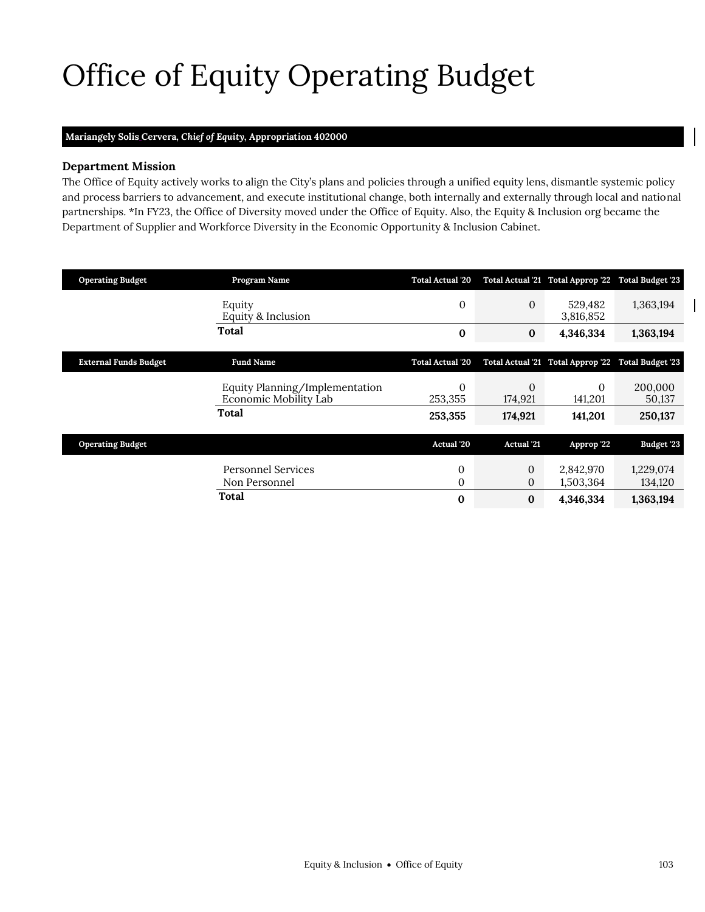# Office of Equity Operating Budget

## **Mariangely Solis Cervera,** *Chief of Equity,* **Appropriation 402000**

#### **Department Mission**

 $\mathcal{O}(\mathcal{O}_\mathcal{C})$  of  $\mathcal{O}_\mathcal{C}$ 

The Office of Equity actively works to align the City's plans and policies through a unified equity lens, dismantle systemic policy and process barriers to advancement, and execute institutional change, both internally and externally through local and national partnerships. \*In FY23, the Office of Diversity moved under the Office of Equity. Also, the Equity & Inclusion org became the Department of Supplier and Workforce Diversity in the Economic Opportunity & Inclusion Cabinet.

| <b>Operating Budget</b>      | Program Name                                            | <b>Total Actual '20</b> |                         | Total Actual '21 Total Approp '22 Total Budget '23 |                      |
|------------------------------|---------------------------------------------------------|-------------------------|-------------------------|----------------------------------------------------|----------------------|
|                              | Equity<br>Equity & Inclusion                            | $\mathbf{0}$            | $\boldsymbol{0}$        | 529,482<br>3,816,852                               | 1,363,194            |
|                              | Total                                                   | $\bf{0}$                | $\bf{0}$                | 4,346,334                                          | 1,363,194            |
| <b>External Funds Budget</b> | <b>Fund Name</b>                                        | <b>Total Actual '20</b> |                         | Total Actual '21 Total Approp '22 Total Budget '23 |                      |
|                              | Equity Planning/Implementation<br>Economic Mobility Lab | $\mathbf{0}$<br>253,355 | $\mathbf{0}$<br>174,921 | $\mathbf{0}$<br>141,201                            | 200,000<br>50,137    |
|                              | Total                                                   | 253,355                 | 174,921                 | 141,201                                            | 250,137              |
| <b>Operating Budget</b>      |                                                         | Actual '20              | <b>Actual</b> '21       | Approp '22                                         | Budget '23           |
|                              | <b>Personnel Services</b><br>Non Personnel              | 0<br>0                  | 0<br>0                  | 2,842,970<br>1,503,364                             | 1,229,074<br>134,120 |
|                              | Total                                                   | $\bf{0}$                | $\bf{0}$                | 4,346,334                                          | 1,363,194            |

<span id="page-40-0"></span> $\mathsf{l}$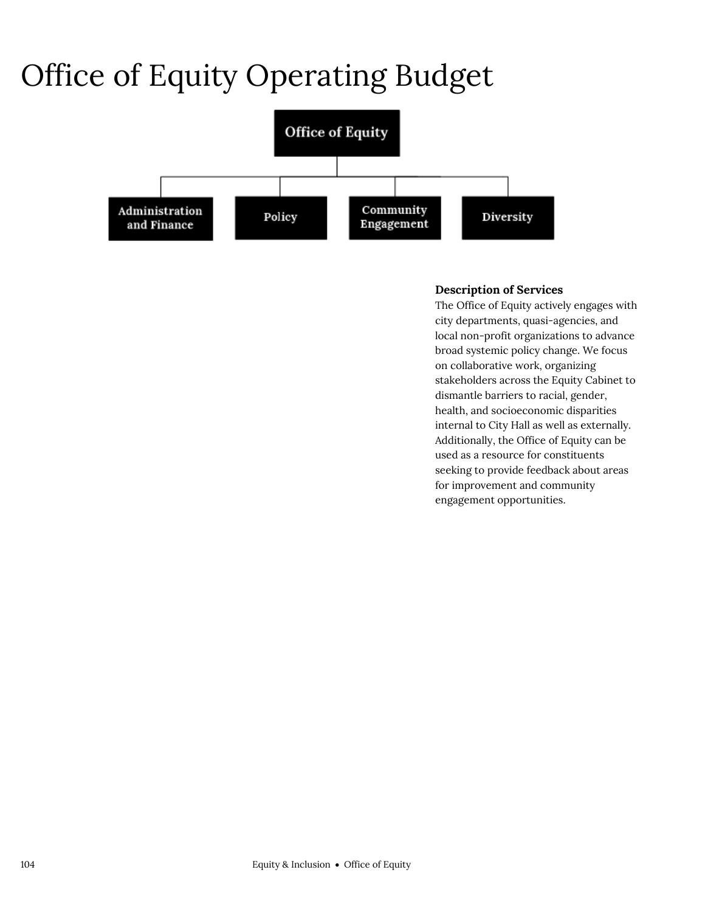# Office of Equity Operating Budget



## **Description of Services**

The Office of Equity actively engages with city departments, quasi-agencies, and local non-profit organizations to advance broad systemic policy change. We focus on collaborative work, organizing stakeholders across the Equity Cabinet to dismantle barriers to racial, gender, health, and socioeconomic disparities internal to City Hall as well as externally. Additionally, the Office of Equity can be used as a resource for constituents seeking to provide feedback about areas for improvement and community engagement opportunities.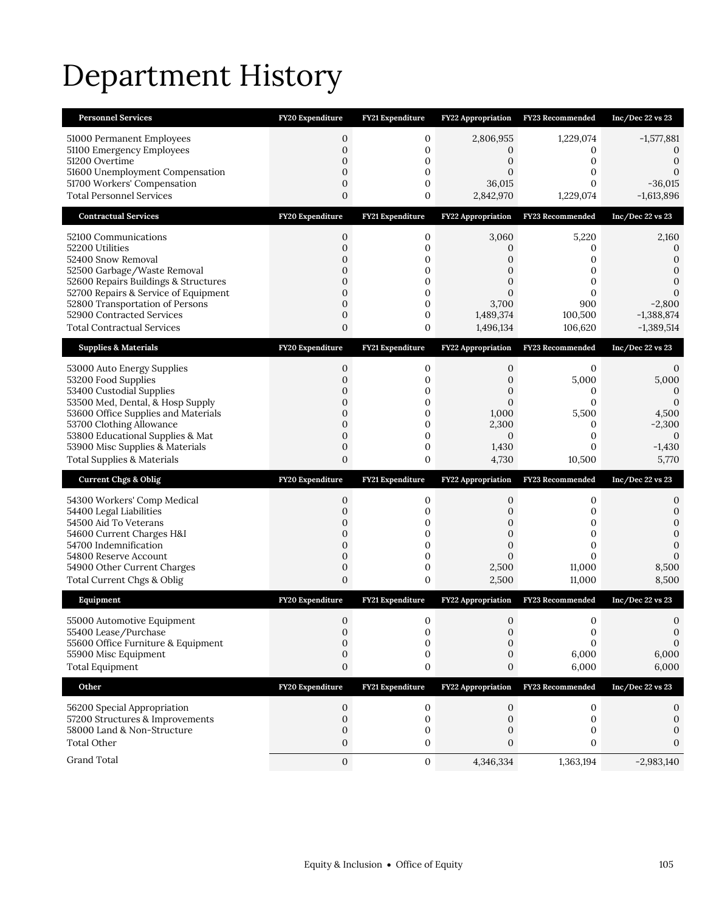# Department History

| <b>Personnel Services</b>                                                | FY20 Expenditure                 | FY21 Expenditure              | <b>FY22 Appropriation</b> | <b>FY23 Recommended</b> | Inc/Dec 22 vs 23                  |
|--------------------------------------------------------------------------|----------------------------------|-------------------------------|---------------------------|-------------------------|-----------------------------------|
| 51000 Permanent Employees<br>51100 Emergency Employees<br>51200 Overtime | 0<br>$\mathbf{0}$<br>$\mathbf 0$ | 0<br>0<br>$\mathbf 0$         | 2,806,955<br>0<br>0       | 1,229,074<br>0<br>0     | $-1,577,881$<br>0<br>$\mathbf{0}$ |
| 51600 Unemployment Compensation                                          | $\overline{0}$                   | $\mathbf{0}$                  | $\Omega$                  | 0                       | $\Omega$                          |
| 51700 Workers' Compensation<br><b>Total Personnel Services</b>           | $\mathbf{0}$<br>$\overline{0}$   | $\mathbf 0$<br>$\overline{0}$ | 36,015<br>2,842,970       | 0<br>1,229,074          | $-36,015$<br>$-1,613,896$         |
| <b>Contractual Services</b>                                              | FY20 Expenditure                 | FY21 Expenditure              | FY22 Appropriation        | FY23 Recommended        | Inc/Dec 22 vs 23                  |
| 52100 Communications                                                     | $\boldsymbol{0}$                 | 0                             | 3,060                     | 5,220                   | 2,160                             |
| 52200 Utilities                                                          | $\mathbf 0$                      | $\mathbf 0$                   | $\mathbf{0}$              | 0                       | $\mathbf{0}$                      |
| 52400 Snow Removal                                                       | $\mathbf{0}$<br>$\mathbf{0}$     | 0<br>$\mathbf 0$              | 0                         | 0<br>0                  | $\mathbf{0}$<br>$\mathbf{0}$      |
| 52500 Garbage/Waste Removal<br>52600 Repairs Buildings & Structures      | $\overline{0}$                   | $\mathbf{0}$                  | 0<br>$\overline{0}$       | 0                       | $\mathbf{0}$                      |
| 52700 Repairs & Service of Equipment                                     | $\mathbf{0}$                     | $\mathbf 0$                   | $\overline{0}$            | 0                       | $\Omega$                          |
| 52800 Transportation of Persons<br>52900 Contracted Services             | $\overline{0}$<br>$\mathbf{0}$   | 0<br>$\mathbf 0$              | 3,700<br>1,489,374        | 900<br>100,500          | $-2,800$<br>$-1,388,874$          |
| <b>Total Contractual Services</b>                                        | $\mathbf 0$                      | 0                             | 1,496,134                 | 106,620                 | $-1,389,514$                      |
| <b>Supplies &amp; Materials</b>                                          | FY20 Expenditure                 | FY21 Expenditure              | <b>FY22 Appropriation</b> | FY23 Recommended        | Inc/Dec 22 vs 23                  |
| 53000 Auto Energy Supplies                                               | 0                                | 0                             | 0                         | $\mathbf{0}$            | 0                                 |
| 53200 Food Supplies<br>53400 Custodial Supplies                          | $\overline{0}$<br>0              | $\mathbf 0$<br>0              | $\mathbf{0}$<br>0         | 5,000<br>0              | 5,000<br>$\Omega$                 |
| 53500 Med, Dental, & Hosp Supply                                         | $\mathbf{0}$                     | $\mathbf 0$                   | $\overline{0}$            | $\mathbf{0}$            | $\mathbf{0}$                      |
| 53600 Office Supplies and Materials<br>53700 Clothing Allowance          | $\overline{0}$<br>$\mathbf{0}$   | $\mathbf{0}$<br>$\mathbf 0$   | 1,000<br>2,300            | 5,500<br>0              | 4,500<br>$-2,300$                 |
| 53800 Educational Supplies & Mat                                         | $\mathbf{0}$                     | $\mathbf 0$                   | $\mathbf{0}$              | $\mathbf{0}$            | $\mathbf{0}$                      |
| 53900 Misc Supplies & Materials                                          | $\mathbf{0}$                     | $\mathbf 0$                   | 1,430                     | 0                       | $-1,430$                          |
| <b>Total Supplies &amp; Materials</b>                                    | $\overline{0}$                   | 0                             | 4,730                     | 10,500                  | 5,770                             |
| <b>Current Chgs &amp; Oblig</b>                                          |                                  |                               | <b>FY22 Appropriation</b> |                         |                                   |
|                                                                          | FY20 Expenditure                 | FY21 Expenditure              |                           | FY23 Recommended        | Inc/Dec 22 vs 23                  |
| 54300 Workers' Comp Medical                                              | $\boldsymbol{0}$                 | 0                             | 0                         | 0                       | 0                                 |
| 54400 Legal Liabilities<br>54500 Aid To Veterans                         | $\mathbf{0}$<br>$\mathbf{0}$     | $\mathbf 0$<br>$\mathbf 0$    | $\mathbf{0}$<br>0         | 0<br>0                  | 0<br>$\mathbf{0}$                 |
| 54600 Current Charges H&I                                                | $\mathbf{0}$                     | $\mathbf 0$                   | $\overline{0}$            | 0                       | $\overline{0}$                    |
| 54700 Indemnification                                                    | $\mathbf{0}$                     | $\mathbf 0$                   | $\overline{0}$            | 0<br>$\Omega$           | $\mathbf{0}$<br>$\Omega$          |
| 54800 Reserve Account<br>54900 Other Current Charges                     | $\mathbf{0}$<br>$\mathbf{0}$     | 0<br>$\mathbf 0$              | $\overline{0}$<br>2,500   | 11,000                  | 8,500                             |
| Total Current Chgs & Oblig                                               | 0                                | 0                             | 2,500                     | 11,000                  | 8,500                             |
| Equipment                                                                | FY20 Expenditure                 | FY21 Expenditure              | <b>FY22 Appropriation</b> | FY23 Recommended        | Inc/Dec 22 vs 23                  |
| 55000 Automotive Equipment                                               | $\mathbf{0}$                     | 0                             | $\Omega$                  | 0                       | $\Omega$                          |
| 55400 Lease/Purchase                                                     | 0                                | 0                             | 0                         | $\boldsymbol{0}$        | $\mathbf 0$                       |
| 55600 Office Furniture & Equipment<br>55900 Misc Equipment               | 0<br>$\boldsymbol{0}$            | $\mathbf{0}$<br>0             | 0<br>$\mathbf{0}$         | $\Omega$<br>6,000       | 0<br>6,000                        |
| <b>Total Equipment</b>                                                   | $\boldsymbol{0}$                 | 0                             | 0                         | 6,000                   | 6,000                             |
| Other                                                                    | FY20 Expenditure                 | FY21 Expenditure              | <b>FY22 Appropriation</b> | FY23 Recommended        | Inc/Dec 22 vs 23                  |
| 56200 Special Appropriation                                              | $\mathbf{0}$                     | 0                             | 0                         | 0                       | 0                                 |
| 57200 Structures & Improvements                                          | $\mathbf{0}$                     | $\mathbf 0$                   | $\mathbf{0}$              | $\mathbf{0}$            | 0                                 |
| 58000 Land & Non-Structure<br><b>Total Other</b>                         | $\boldsymbol{0}$<br>0            | 0<br>0                        | 0<br>$\mathbf{0}$         | 0<br>0                  | 0<br>$\Omega$                     |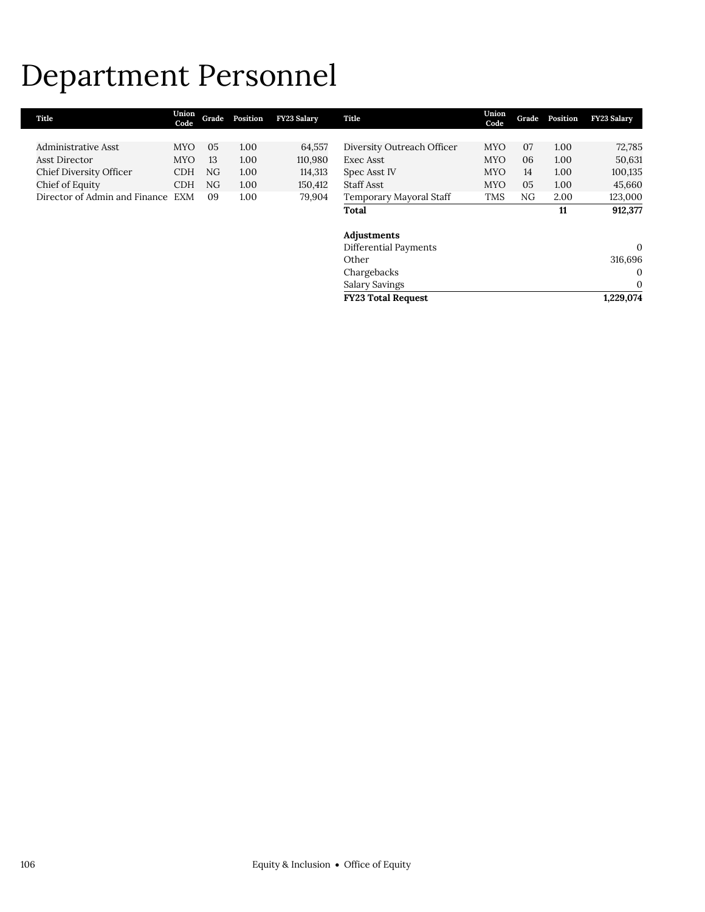## Department Personnel

| Title                             | Union<br>Code | Grade | Position | <b>FY23 Salary</b> | Title                      | Union<br>Code | Grade          | Position | <b>FY23 Salary</b> |
|-----------------------------------|---------------|-------|----------|--------------------|----------------------------|---------------|----------------|----------|--------------------|
|                                   |               |       |          |                    |                            |               |                |          |                    |
| Administrative Asst               | <b>MYO</b>    | 05    | 1.00     | 64,557             | Diversity Outreach Officer | <b>MYO</b>    | 07             | 1.00     | 72,785             |
| <b>Asst Director</b>              | <b>MYO</b>    | 13    | 1.00     | 110,980            | Exec Asst                  | <b>MYO</b>    | 06             | 1.00     | 50,631             |
| Chief Diversity Officer           | <b>CDH</b>    | NG    | 1.00     | 114,313            | Spec Asst IV               | <b>MYO</b>    | 14             | 1.00     | 100,135            |
| Chief of Equity                   | <b>CDH</b>    | NG    | 1.00     | 150,412            | Staff Asst                 | <b>MYO</b>    | 0 <sub>5</sub> | 1.00     | 45,660             |
| Director of Admin and Finance EXM |               | 09    | 1.00     | 79,904             | Temporary Mayoral Staff    | <b>TMS</b>    | NG             | 2.00     | 123,000            |
|                                   |               |       |          |                    | <b>Total</b>               |               |                | 11       | 912,377            |
|                                   |               |       |          |                    | Adjustments                |               |                |          |                    |
|                                   |               |       |          |                    | Differential Payments      |               |                |          | $\Omega$           |
|                                   |               |       |          |                    | Other                      |               |                |          | 316.696            |

Salary Savings

Chargebacks 0<br>Salary Savings 0

**FY23 Total Request 1,229,074**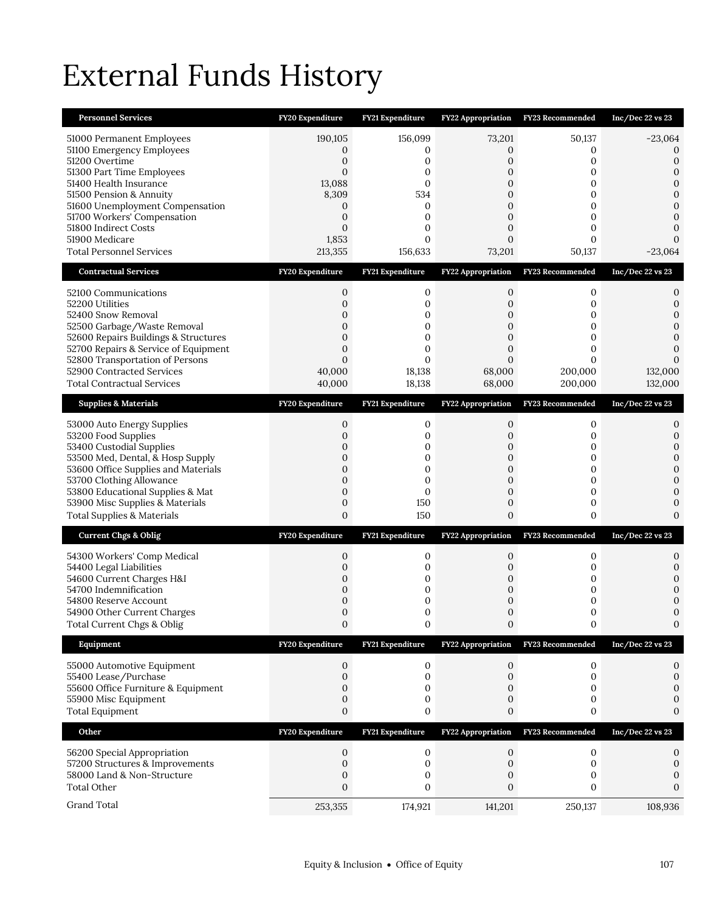# External Funds History

| <b>Personnel Services</b>                                                                                                                                                                                                                                                                                 | FY20 Expenditure                                                                          | FY21 Expenditure                                                                                   | <b>FY22 Appropriation</b>                                                         | FY23 Recommended                                              | Inc/Dec $22$ vs $23$                                                                                                                 |
|-----------------------------------------------------------------------------------------------------------------------------------------------------------------------------------------------------------------------------------------------------------------------------------------------------------|-------------------------------------------------------------------------------------------|----------------------------------------------------------------------------------------------------|-----------------------------------------------------------------------------------|---------------------------------------------------------------|--------------------------------------------------------------------------------------------------------------------------------------|
| 51000 Permanent Employees<br>51100 Emergency Employees<br>51200 Overtime<br>51300 Part Time Employees<br>51400 Health Insurance<br>51500 Pension & Annuity<br>51600 Unemployment Compensation<br>51700 Workers' Compensation<br>51800 Indirect Costs<br>51900 Medicare<br><b>Total Personnel Services</b> | 190,105<br>0<br>$\overline{0}$<br>0<br>13,088<br>8,309<br>0<br>0<br>0<br>1,853<br>213,355 | 156,099<br>0<br>0<br>0<br>$\mathbf{0}$<br>534<br>0<br>$\mathbf{0}$<br>0<br>$\mathbf{0}$<br>156,633 | 73,201<br>0<br>$\overline{0}$<br>$\Omega$<br>0<br>0<br>0<br>0<br>0<br>0<br>73,201 | 50,137<br>0<br>0<br>0<br>0<br>0<br>0<br>0<br>0<br>0<br>50,137 | $-23,064$<br>$\Omega$<br>$\mathbf{0}$<br>$\mathbf{0}$<br>$\mathbf{0}$<br>$\mathbf{0}$<br>$\Omega$<br>0<br>0<br>$\Omega$<br>$-23,064$ |
| <b>Contractual Services</b>                                                                                                                                                                                                                                                                               | FY20 Expenditure                                                                          | FY21 Expenditure                                                                                   | FY22 Appropriation                                                                | FY23 Recommended                                              | $Inc/Dec$ 22 vs 23                                                                                                                   |
| 52100 Communications<br>52200 Utilities<br>52400 Snow Removal<br>52500 Garbage/Waste Removal<br>52600 Repairs Buildings & Structures<br>52700 Repairs & Service of Equipment<br>52800 Transportation of Persons<br>52900 Contracted Services<br><b>Total Contractual Services</b>                         | 0<br>0<br>0<br>0<br>$\mathbf{0}$<br>$\mathbf{0}$<br>$\Omega$<br>40,000<br>40,000          | 0<br>0<br>0<br>0<br>0<br>0<br>$\Omega$<br>18,138<br>18,138                                         | 0<br>0<br>0<br>0<br>0<br>0<br>$\Omega$<br>68,000<br>68,000                        | 0<br>0<br>0<br>0<br>0<br>0<br>$\Omega$<br>200,000<br>200,000  | 0<br>$\boldsymbol{0}$<br>$\Omega$<br>$\mathbf{0}$<br>$\Omega$<br>$\Omega$<br>0<br>132,000<br>132,000                                 |
| <b>Supplies &amp; Materials</b>                                                                                                                                                                                                                                                                           | FY20 Expenditure                                                                          | FY21 Expenditure                                                                                   | <b>FY22 Appropriation</b>                                                         | FY23 Recommended                                              | $Inc/Dec$ 22 vs 23                                                                                                                   |
| 53000 Auto Energy Supplies<br>53200 Food Supplies<br>53400 Custodial Supplies<br>53500 Med, Dental, & Hosp Supply<br>53600 Office Supplies and Materials<br>53700 Clothing Allowance<br>53800 Educational Supplies & Mat<br>53900 Misc Supplies & Materials<br>Total Supplies & Materials                 | 0<br>$\overline{0}$<br>0<br>0<br>0<br>0<br>0<br>$\mathbf{0}$<br>0                         | 0<br>0<br>0<br>0<br>0<br>0<br>$\mathbf{0}$<br>150<br>150                                           | 0<br>0<br>0<br>$\overline{0}$<br>0<br>0<br>0<br>0<br>0                            | 0<br>0<br>0<br>0<br>0<br>0<br>0<br>0<br>0                     | 0<br>0<br>$\mathbf{0}$<br>$\mathbf{0}$<br>$\mathbf{0}$<br>$\Omega$<br>$\mathbf{0}$<br>$\mathbf{0}$<br>$\mathbf{0}$                   |
| <b>Current Chgs &amp; Oblig</b>                                                                                                                                                                                                                                                                           | FY20 Expenditure                                                                          | FY21 Expenditure                                                                                   | <b>FY22 Appropriation</b>                                                         | FY23 Recommended                                              | Inc/Dec 22 vs 23                                                                                                                     |
| 54300 Workers' Comp Medical<br>54400 Legal Liabilities<br>54600 Current Charges H&I<br>54700 Indemnification<br>54800 Reserve Account<br>54900 Other Current Charges<br>Total Current Chgs & Oblig                                                                                                        | 0<br>0<br>0<br>0<br>0<br>0<br>0                                                           | 0<br>0<br>0<br>0<br>0<br>0<br>0                                                                    | 0<br>0<br>0<br>0<br>0<br>0                                                        | 0<br>0<br>0<br>0<br>0<br>0                                    | 0<br>$\mathbf{0}$<br>$\Omega$<br>0<br>0<br>$\mathbf{0}$                                                                              |
| Equipment                                                                                                                                                                                                                                                                                                 | FY20 Expenditure                                                                          | FY21 Expenditure                                                                                   | <b>FY22 Appropriation</b>                                                         | FY23 Recommended                                              | Inc/Dec 22 vs 23                                                                                                                     |
| 55000 Automotive Equipment<br>55400 Lease/Purchase<br>55600 Office Furniture & Equipment<br>55900 Misc Equipment<br><b>Total Equipment</b>                                                                                                                                                                | 0<br>$\mathbf{0}$<br>0<br>0<br>0                                                          | 0<br>0<br>0<br>0<br>0                                                                              | 0<br>0<br>0<br>0<br>0                                                             | 0<br>0<br>0<br>0<br>0                                         | 0<br>$\boldsymbol{0}$<br>$\boldsymbol{0}$<br>$\boldsymbol{0}$<br>$\boldsymbol{0}$                                                    |
| Other                                                                                                                                                                                                                                                                                                     | FY20 Expenditure                                                                          | FY21 Expenditure                                                                                   | FY22 Appropriation                                                                | FY23 Recommended                                              | Inc/Dec 22 vs 23                                                                                                                     |
| 56200 Special Appropriation<br>57200 Structures & Improvements<br>58000 Land & Non-Structure<br><b>Total Other</b>                                                                                                                                                                                        | 0<br>0<br>0<br>0                                                                          | 0<br>0<br>0<br>0                                                                                   | 0<br>0<br>0<br>0                                                                  | $\mathbf 0$<br>$\mathbf{0}$<br>0<br>0                         | 0<br>$\boldsymbol{0}$<br>$\boldsymbol{0}$<br>$\mathbf{0}$                                                                            |
| Grand Total                                                                                                                                                                                                                                                                                               | 253,355                                                                                   | 174,921                                                                                            | 141,201                                                                           | 250,137                                                       | 108,936                                                                                                                              |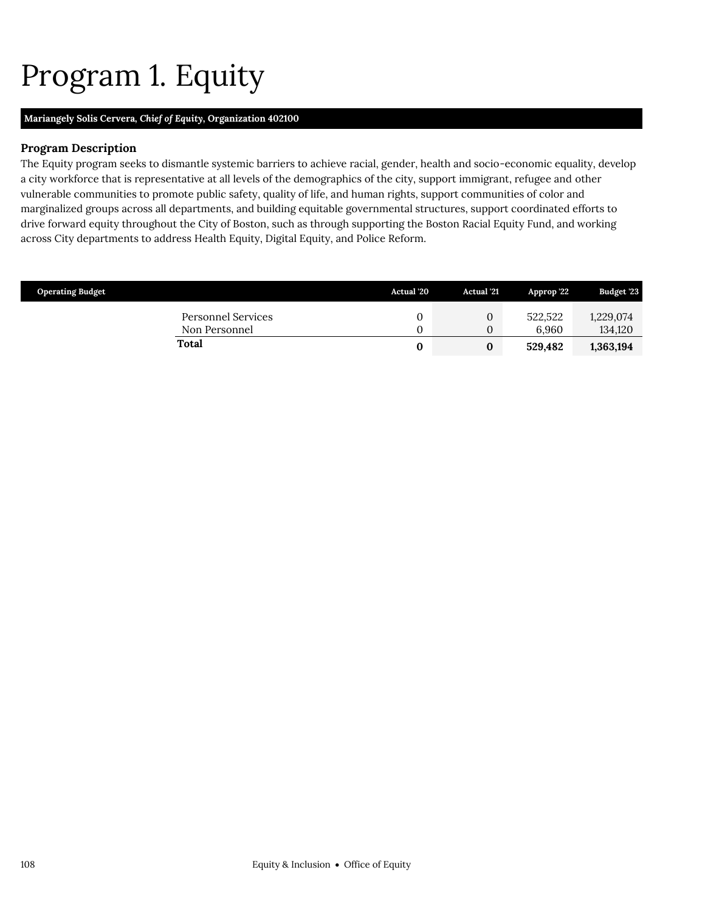# <span id="page-45-0"></span>Program 1. Equity

## **Mariangely Solis Cervera,** *Chief of Equity,* **Organization 402100**

### **Program Description**

The Equity program seeks to dismantle systemic barriers to achieve racial, gender, health and socio-economic equality, develop a city workforce that is representative at all levels of the demographics of the city, support immigrant, refugee and other vulnerable communities to promote public safety, quality of life, and human rights, support communities of color and marginalized groups across all departments, and building equitable governmental structures, support coordinated efforts to drive forward equity throughout the City of Boston, such as through supporting the Boston Racial Equity Fund, and working across City departments to address Health Equity, Digital Equity, and Police Reform.

| <b>Operating Budget</b>                    | <b>Actual '20</b> | <b>Actual</b> '21    | Approp '22       | <b>Budget '23</b>    |
|--------------------------------------------|-------------------|----------------------|------------------|----------------------|
| <b>Personnel Services</b><br>Non Personnel |                   | $\Omega$<br>$\Omega$ | 522.522<br>6.960 | 1,229,074<br>134,120 |
| <b>Total</b>                               | 0                 |                      | 529,482          | 1,363,194            |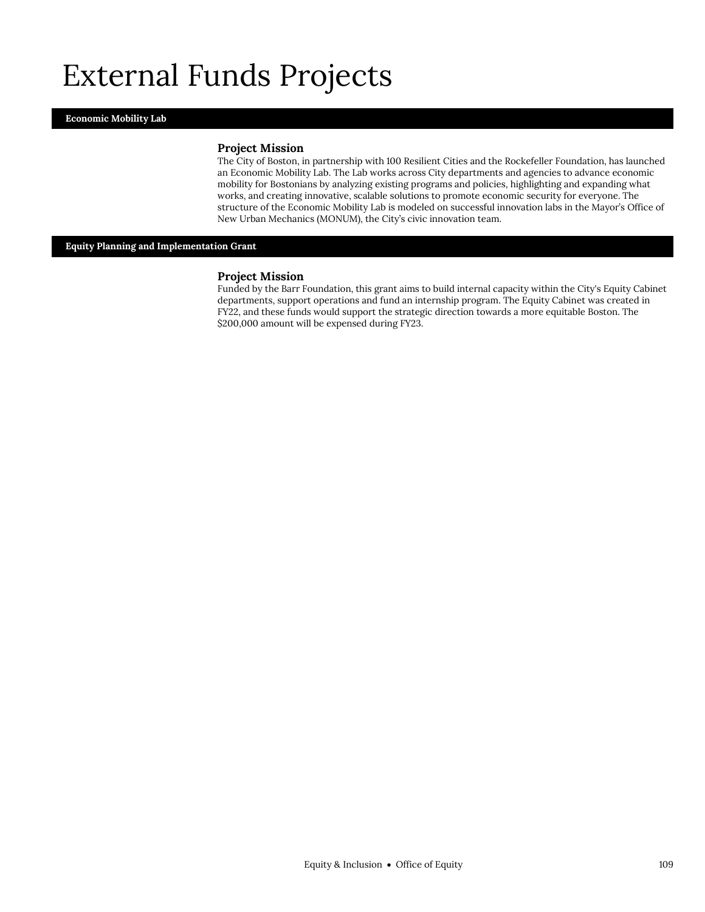## External Funds Projects

#### **Economic Mobility Lab**

#### **Project Mission**

The City of Boston, in partnership with 100 Resilient Cities and the Rockefeller Foundation, has launched an Economic Mobility Lab. The Lab works across City departments and agencies to advance economic mobility for Bostonians by analyzing existing programs and policies, highlighting and expanding what works, and creating innovative, scalable solutions to promote economic security for everyone. The structure of the Economic Mobility Lab is modeled on successful innovation labs in the Mayor's Office of New Urban Mechanics (MONUM), the City's civic innovation team.

**Equity Planning and Implementation Grant**

#### **Project Mission**

Funded by the Barr Foundation, this grant aims to build internal capacity within the City's Equity Cabinet departments, support operations and fund an internship program. The Equity Cabinet was created in FY22, and these funds would support the strategic direction towards a more equitable Boston. The \$200,000 amount will be expensed during FY23.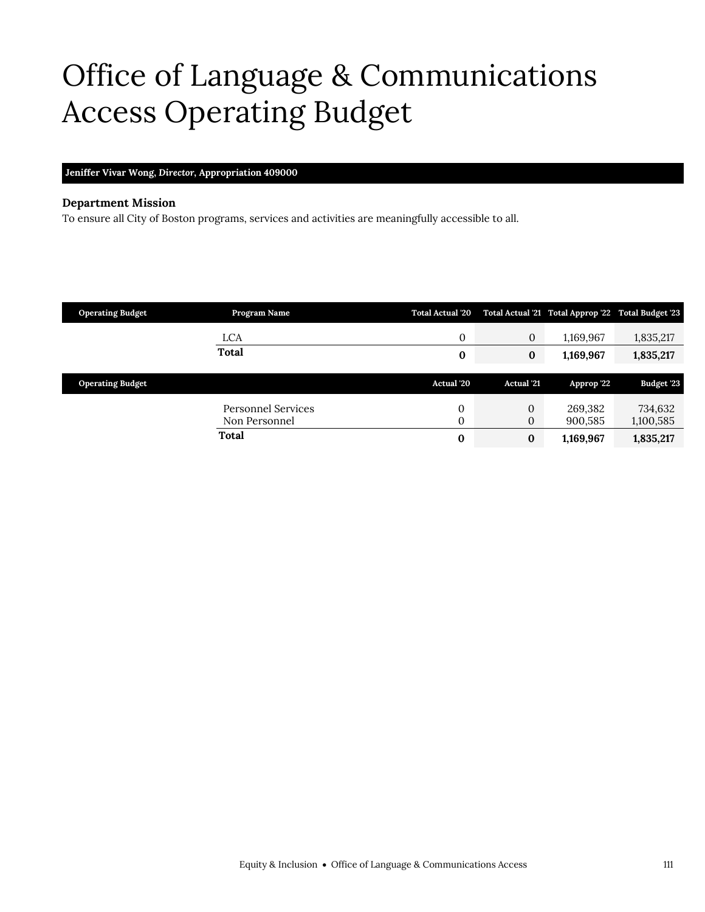## <span id="page-48-0"></span>Office of Language & Communications Access Operating Budget

**Jeniffer Vivar Wong,** *Director,* **Appropriation 409000**

#### **Department Mission**

To ensure all City of Boston programs, services and activities are meaningfully accessible to all.

| <b>Operating Budget</b> | Program Name              | <b>Total Actual '20</b> |                   | Total Actual 21 Total Approp 22 Total Budget 23 |            |
|-------------------------|---------------------------|-------------------------|-------------------|-------------------------------------------------|------------|
|                         | LCA                       | $\mathbf{0}$            | $\boldsymbol{0}$  | 1,169,967                                       | 1,835,217  |
|                         | Total                     | 0                       | $\bf{0}$          | 1,169,967                                       | 1,835,217  |
|                         |                           | <b>Actual</b> '20       | <b>Actual</b> '21 |                                                 |            |
| <b>Operating Budget</b> |                           |                         |                   | Approp '22                                      | Budget '23 |
|                         |                           |                         |                   |                                                 |            |
|                         | <b>Personnel Services</b> | 0                       | $\mathbf{0}$      | 269,382                                         | 734,632    |
|                         | Non Personnel             | $\Omega$                | $\mathbf{0}$      | 900,585                                         | 1,100,585  |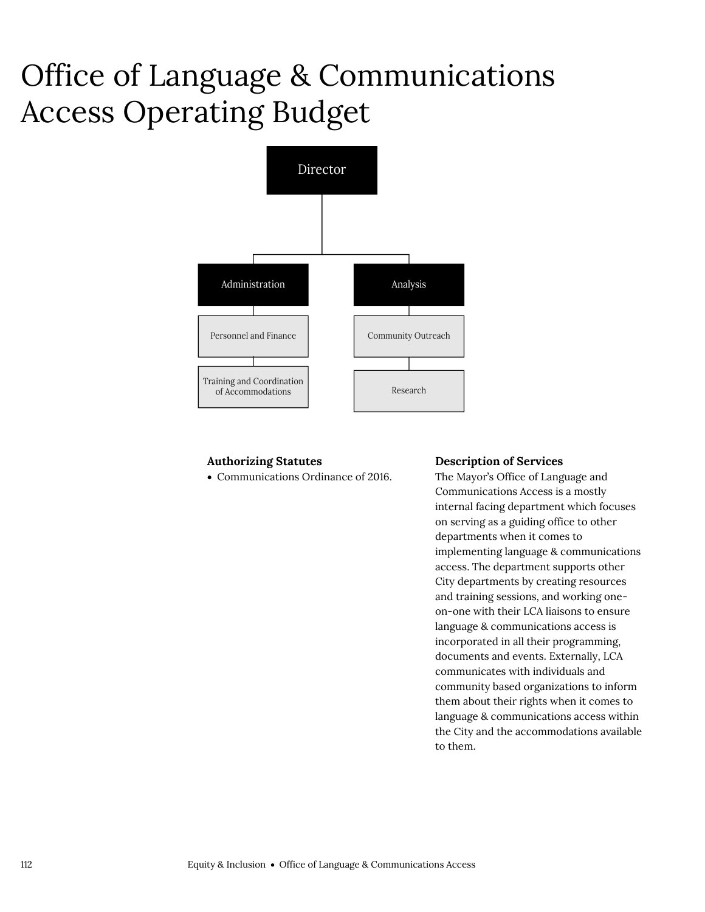## Office of Language & Communications Access Operating Budget



### **Authorizing Statutes**

Communications Ordinance of 2016.

#### **Description of Services**

The Mayor's Office of Language and Communications Access is a mostly internal facing department which focuses on serving as a guiding office to other departments when it comes to implementing language & communications access. The department supports other City departments by creating resources and training sessions, and working oneon-one with their LCA liaisons to ensure language & communications access is incorporated in all their programming, documents and events. Externally, LCA communicates with individuals and community based organizations to inform them about their rights when it comes to language & communications access within the City and the accommodations available to them.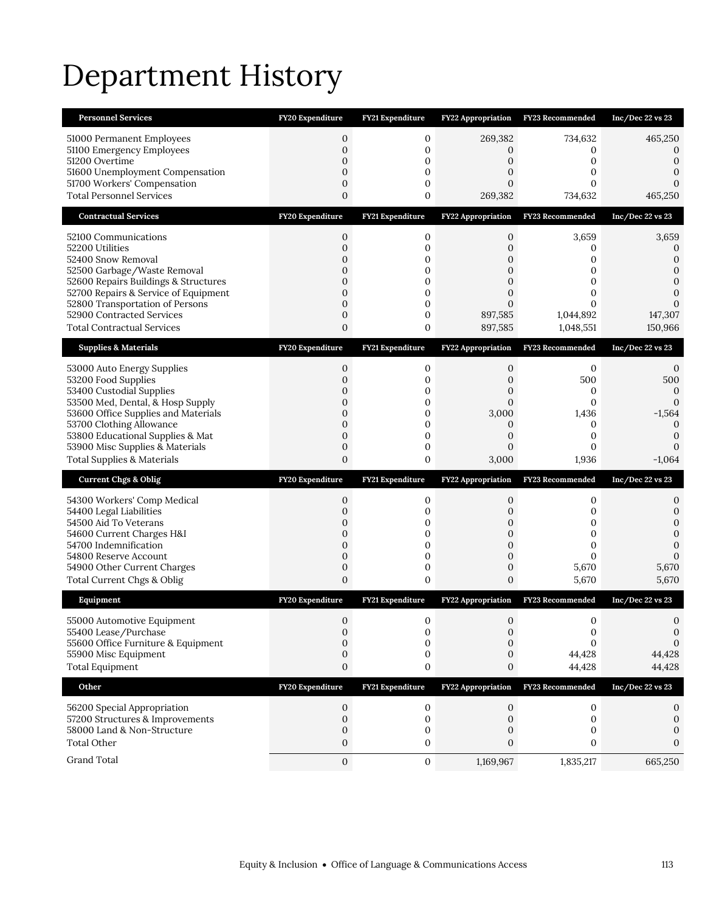# Department History

| <b>Personnel Services</b>             | <b>FY20 Expenditure</b> | FY21 Expenditure | <b>FY22 Appropriation</b> | FY23 Recommended | Inc/Dec 22 vs 23 |
|---------------------------------------|-------------------------|------------------|---------------------------|------------------|------------------|
| 51000 Permanent Employees             | $\mathbf{0}$            | 0                | 269,382                   | 734,632          | 465,250          |
| 51100 Emergency Employees             | $\mathbf{0}$            | $\mathbf 0$      | 0                         | 0                | 0                |
| 51200 Overtime                        | $\overline{0}$          | 0                | 0                         | 0                | $\mathbf{0}$     |
| 51600 Unemployment Compensation       | $\mathbf{0}$            | 0                | 0                         | 0                | 0                |
| 51700 Workers' Compensation           | $\mathbf{0}$            | 0                | 0                         | 0                | $\Omega$         |
| <b>Total Personnel Services</b>       | $\overline{0}$          | 0                | 269,382                   | 734,632          | 465,250          |
| <b>Contractual Services</b>           | FY20 Expenditure        | FY21 Expenditure | FY22 Appropriation        | FY23 Recommended | Inc/Dec 22 vs 23 |
| 52100 Communications                  | $\boldsymbol{0}$        | $\boldsymbol{0}$ | $\boldsymbol{0}$          | 3,659            | 3,659            |
| 52200 Utilities                       | $\mathbf{0}$            | $\mathbf 0$      | $\overline{0}$            | 0                | 0                |
| 52400 Snow Removal                    | $\mathbf{0}$            | $\mathbf 0$      | $\mathbf{0}$              | 0                | 0                |
| 52500 Garbage/Waste Removal           | $\mathbf{0}$            | 0                | 0                         | 0                | 0                |
| 52600 Repairs Buildings & Structures  | $\mathbf{0}$            | $\mathbf 0$      | $\overline{0}$            | 0                | $\mathbf{0}$     |
| 52700 Repairs & Service of Equipment  | $\overline{0}$          | 0                | $\mathbf{0}$              | 0                | $\Omega$         |
| 52800 Transportation of Persons       | $\overline{0}$          | $\mathbf 0$      | $\Omega$                  | $\Omega$         | 0                |
| 52900 Contracted Services             | 0                       | 0                | 897,585                   | 1,044,892        | 147,307          |
| <b>Total Contractual Services</b>     | $\mathbf{0}$            | 0                | 897,585                   | 1,048,551        | 150,966          |
| <b>Supplies &amp; Materials</b>       | FY20 Expenditure        | FY21 Expenditure | FY22 Appropriation        | FY23 Recommended | Inc/Dec 22 vs 23 |
| 53000 Auto Energy Supplies            | $\mathbf{0}$            | 0                | 0                         | 0                | 0                |
| 53200 Food Supplies                   | $\mathbf{0}$            | $\mathbf 0$      | 0                         | 500              | 500              |
| 53400 Custodial Supplies              | 0                       | 0                | 0                         | 0                | $\mathbf{0}$     |
| 53500 Med, Dental, & Hosp Supply      | $\mathbf{0}$            | $\mathbf 0$      | $\overline{0}$            | $\boldsymbol{0}$ | $\mathbf{0}$     |
| 53600 Office Supplies and Materials   | $\overline{0}$          | $\mathbf{0}$     | 3,000                     | 1,436            | $-1,564$         |
| 53700 Clothing Allowance              | $\mathbf{0}$            | 0                | $\mathbf{0}$              | 0                | $\mathbf{0}$     |
| 53800 Educational Supplies & Mat      | $\overline{0}$          | $\mathbf 0$      | 0                         | $\mathbf{0}$     | $\boldsymbol{0}$ |
| 53900 Misc Supplies & Materials       | $\mathbf{0}$            | $\mathbf 0$      | 0                         | $\mathbf{0}$     | $-1,064$         |
| <b>Total Supplies &amp; Materials</b> | $\overline{0}$          | 0                | 3,000                     | 1,936            |                  |
| <b>Current Chgs &amp; Oblig</b>       | FY20 Expenditure        | FY21 Expenditure | FY22 Appropriation        | FY23 Recommended | Inc/Dec 22 vs 23 |
| 54300 Workers' Comp Medical           | 0                       | 0                | 0                         | 0                | 0                |
| 54400 Legal Liabilities               | $\overline{0}$          | $\mathbf 0$      | 0                         | 0                | 0                |
| 54500 Aid To Veterans                 | 0                       | 0                | 0                         | 0                | 0                |
| 54600 Current Charges H&I             | $\mathbf{0}$            | $\mathbf 0$      | $\mathbf{0}$              | 0                | $\overline{0}$   |
| 54700 Indemnification                 | $\overline{0}$          | $\mathbf{0}$     | 0                         | 0                | 0                |
| 54800 Reserve Account                 | $\mathbf 0$             | $\mathbf 0$      | $\mathbf 0$               | 0                | $\Omega$         |
| 54900 Other Current Charges           | $\mathbf{0}$            | $\mathbf 0$      | 0                         | 5,670            | 5,670            |
| Total Current Chgs & Oblig            | $\overline{0}$          | 0                | 0                         | 5,670            | 5,670            |
| Equipment                             | FY20 Expenditure        | FY21 Expenditure | FY22 Appropriation        | FY23 Recommended | Inc/Dec 22 vs 23 |
| 55000 Automotive Equipment            | $\mathbf{0}$            | 0                | $\mathbf{0}$              | 0                | $\Omega$         |
| 55400 Lease/Purchase                  | 0                       | 0                | 0                         | $\boldsymbol{0}$ | $\mathbf{0}$     |
| 55600 Office Furniture & Equipment    | 0                       | $\mathbf{0}$     | 0                         | $\Omega$         | 0                |
| 55900 Misc Equipment                  | $\boldsymbol{0}$        | 0                | $\mathbf{0}$              | 44,428           | 44,428           |
| <b>Total Equipment</b>                | $\boldsymbol{0}$        | 0                | $\boldsymbol{0}$          | 44,428           | 44,428           |
| Other                                 | FY20 Expenditure        | FY21 Expenditure | <b>FY22 Appropriation</b> | FY23 Recommended | Inc/Dec 22 vs 23 |
| 56200 Special Appropriation           | 0                       | 0                | 0                         | 0                | 0                |
| 57200 Structures & Improvements       | $\mathbf{0}$            | $\mathbf 0$      | $\mathbf{0}$              | 0                | 0                |
| 58000 Land & Non-Structure            | $\boldsymbol{0}$        | 0                | 0                         | 0                | 0                |
| <b>Total Other</b>                    | 0                       | 0                | 0                         | 0                | $\Omega$         |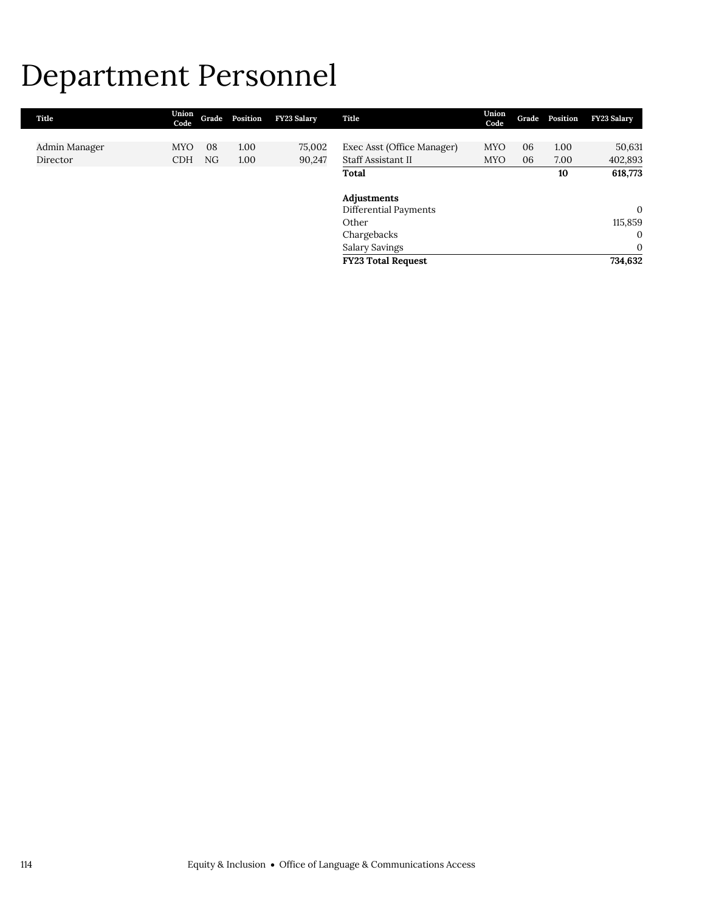## Department Personnel

| Title         | Union<br>Code |    | Grade Position | <b>FY23 Salary</b> | Title                      | Union<br>Code | Grade | Position | <b>FY23 Salary</b> |
|---------------|---------------|----|----------------|--------------------|----------------------------|---------------|-------|----------|--------------------|
|               |               |    |                |                    |                            |               |       |          |                    |
| Admin Manager | <b>MYO</b>    | 08 | 1.00           | 75,002             | Exec Asst (Office Manager) | <b>MYO</b>    | 06    | 1.00     | 50,631             |
| Director      | <b>CDH</b>    | NG | 1.00           | 90,247             | Staff Assistant II         | <b>MYO</b>    | 06    | 7.00     | 402,893            |
|               |               |    |                |                    | Total                      |               |       | 10       | 618,773            |
|               |               |    |                |                    |                            |               |       |          |                    |
|               |               |    |                |                    | Adjustments                |               |       |          |                    |
|               |               |    |                |                    | Differential Payments      |               |       |          | $\mathbf{0}$       |
|               |               |    |                |                    | Other                      |               |       |          | 115,859            |
|               |               |    |                |                    | Chargebacks                |               |       |          | $\mathbf{0}$       |
|               |               |    |                |                    | Salary Savings             |               |       |          | $\mathbf{0}$       |
|               |               |    |                |                    | <b>FY23 Total Request</b>  |               |       |          | 734,632            |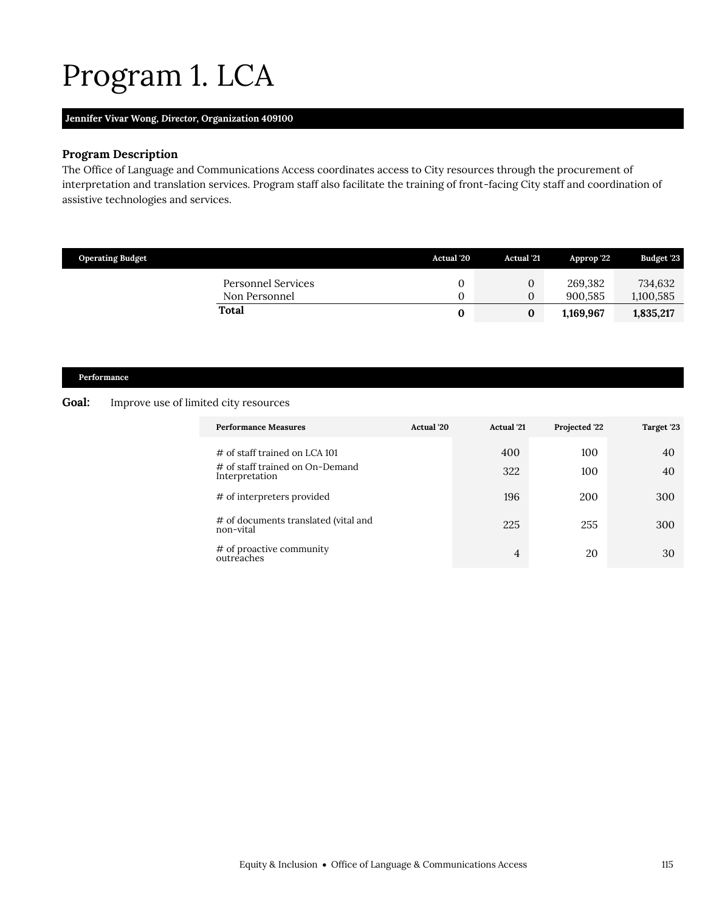# <span id="page-52-0"></span>Program 1. LCA

#### **Jennifer Vivar Wong,** *Director,* **Organization 409100**

### **Program Description**

The Office of Language and Communications Access coordinates access to City resources through the procurement of interpretation and translation services. Program staff also facilitate the training of front-facing City staff and coordination of assistive technologies and services.

| <b>Operating Budget</b>                    | Actual '20 | <b>Actual</b> '21                | Approp 22          | <b>Budget '23</b>    |
|--------------------------------------------|------------|----------------------------------|--------------------|----------------------|
| <b>Personnel Services</b><br>Non Personnel |            | $\overline{0}$<br>$\overline{0}$ | 269.382<br>900.585 | 734.632<br>1,100,585 |
| <b>Total</b>                               |            | 0                                | 1,169,967          | 1,835,217            |

## **Performance**

#### **Goal:** Improve use of limited city resources

| <b>Performance Measures</b>                                                           | Actual '20 | <b>Actual</b> '21 | Projected '22 | Target '23 |
|---------------------------------------------------------------------------------------|------------|-------------------|---------------|------------|
| $\#$ of staff trained on LCA 101<br># of staff trained on On-Demand<br>Interpretation |            | 400<br>322        | 100<br>100    | 40<br>40   |
| # of interpreters provided                                                            |            | 196               | 200           | 300        |
| # of documents translated (vital and<br>non-vital                                     |            | 225               | 255           | 300        |
| # of proactive community<br>outreaches                                                |            | $\overline{4}$    | 20            | 30         |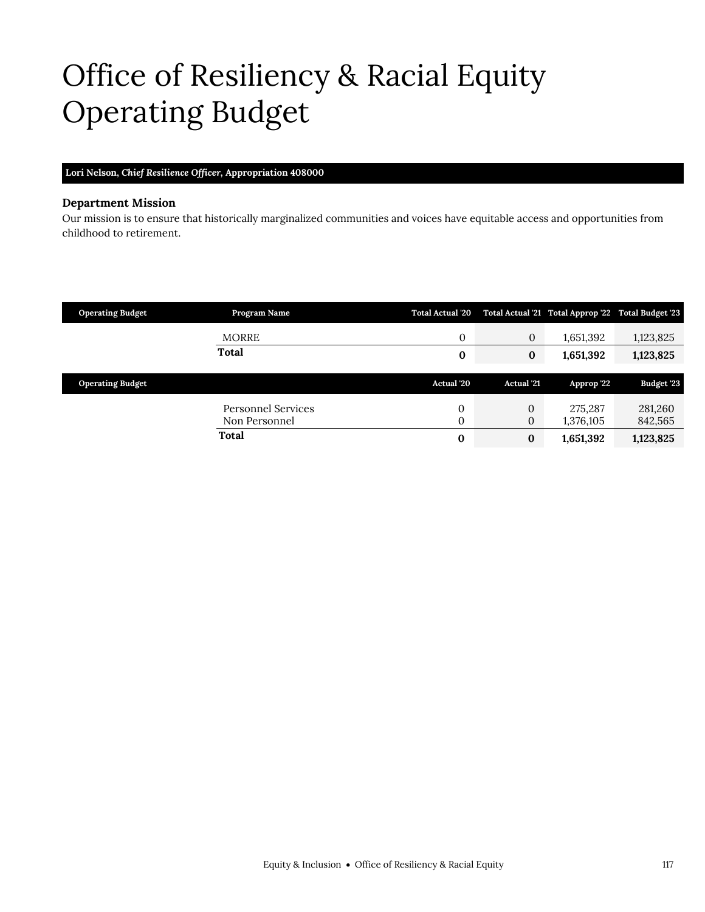# <span id="page-54-0"></span>Office of Resiliency & Racial Equity Operating Budget

### **Lori Nelson,** *Chief Resilience Officer,* **Appropriation 408000**

#### **Department Mission**

Our mission is to ensure that historically marginalized communities and voices have equitable access and opportunities from childhood to retirement.

| <b>Operating Budget</b> | Program Name       | <b>Total Actual '20</b> |                   | Total Actual '21 Total Approp '22 Total Budget '23 |                   |
|-------------------------|--------------------|-------------------------|-------------------|----------------------------------------------------|-------------------|
|                         | <b>MORRE</b>       | 0                       | $\mathbf{0}$      | 1,651,392                                          | 1,123,825         |
|                         | <b>Total</b>       | 0                       | $\bf{0}$          | 1,651,392                                          | 1,123,825         |
|                         |                    |                         |                   |                                                    |                   |
|                         |                    |                         |                   |                                                    |                   |
| <b>Operating Budget</b> |                    | <b>Actual</b> '20       | <b>Actual</b> '21 | Approp '22                                         | <b>Budget '23</b> |
|                         | Personnel Services | 0                       | $\mathbf{0}$      | 275.287                                            | 281,260           |
|                         | Non Personnel      | 0                       | $\mathbf{0}$      | 1,376,105                                          | 842,565           |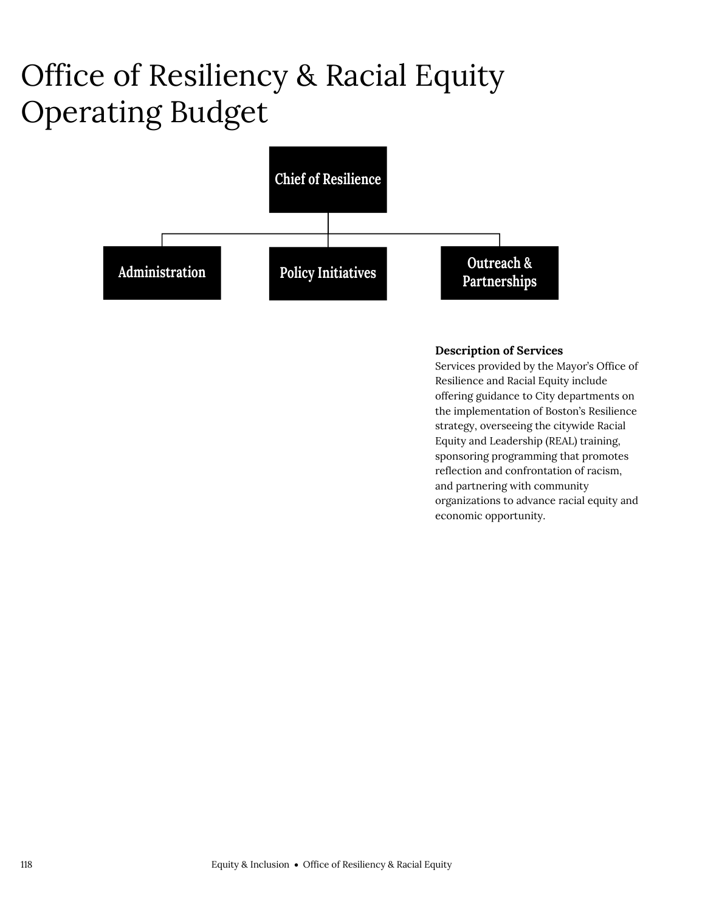# Office of Resiliency & Racial Equity Operating Budget



## **Description of Services**

Services provided by the Mayor's Office of Resilience and Racial Equity include offering guidance to City departments on the implementation of Boston's Resilience strategy, overseeing the citywide Racial Equity and Leadership (REAL) training, sponsoring programming that promotes reflection and confrontation of racism, and partnering with community organizations to advance racial equity and economic opportunity.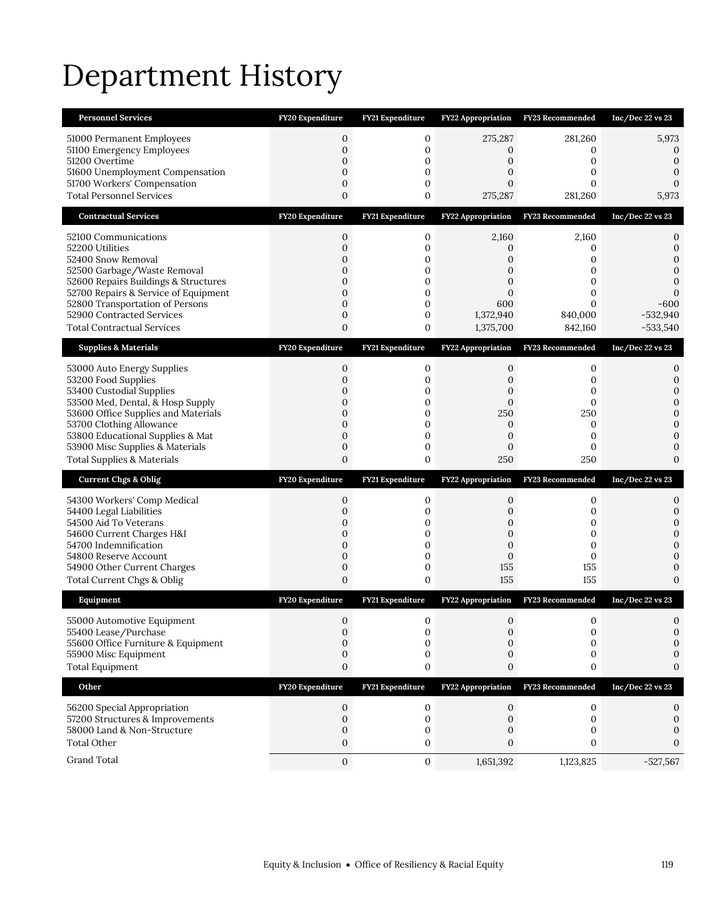# Department History

| <b>Personnel Services</b>                                           | FY20 Expenditure                | FY21 Expenditure                | FY22 Appropriation             | FY23 Recommended   | Inc/Dec 22 vs 23               |
|---------------------------------------------------------------------|---------------------------------|---------------------------------|--------------------------------|--------------------|--------------------------------|
| 51000 Permanent Employees<br>51100 Emergency Employees              | $\mathbf{0}$<br>$\mathbf{0}$    | 0<br>$\mathbf 0$                | 275,287<br>0                   | 281,260<br>0       | 5,973<br>$\boldsymbol{0}$      |
| 51200 Overtime<br>51600 Unemployment Compensation                   | $\overline{0}$<br>$\mathbf 0$   | 0<br>$\mathbf 0$                | 0<br>$\overline{0}$            | 0<br>0             | $\boldsymbol{0}$<br>0          |
| 51700 Workers' Compensation                                         | $\mathbf{0}$                    | $\mathbf 0$                     | 0                              | 0                  | 0                              |
| <b>Total Personnel Services</b>                                     | $\overline{0}$                  | 0                               | 275,287                        | 281,260            | 5,973                          |
| <b>Contractual Services</b>                                         | FY20 Expenditure                | FY21 Expenditure                | FY22 Appropriation             | FY23 Recommended   | Inc/Dec 22 vs 23               |
| 52100 Communications<br>52200 Utilities                             | $\boldsymbol{0}$<br>$\mathbf 0$ | $\boldsymbol{0}$<br>$\mathbf 0$ | 2,160<br>0                     | 2,160<br>0         | 0<br>$\mathbf{0}$              |
| 52400 Snow Removal                                                  | $\mathbf 0$                     | $\mathbf 0$                     | 0                              | 0                  | $\Omega$                       |
| 52500 Garbage/Waste Removal<br>52600 Repairs Buildings & Structures | $\mathbf{0}$<br>$\mathbf{0}$    | 0<br>$\mathbf 0$                | $\mathbf{0}$<br>$\overline{0}$ | 0<br>0             | 0<br>0                         |
| 52700 Repairs & Service of Equipment                                | $\overline{0}$                  | 0                               | 0                              | 0                  | $\Omega$                       |
| 52800 Transportation of Persons                                     | $\overline{0}$                  | $\mathbf 0$                     | 600                            | $\Omega$           | $-600$                         |
| 52900 Contracted Services<br><b>Total Contractual Services</b>      | 0<br>$\mathbf{0}$               | 0<br>0                          | 1,372,940<br>1,375,700         | 840,000<br>842,160 | $-532,940$<br>$-533,540$       |
|                                                                     |                                 |                                 |                                |                    |                                |
| <b>Supplies &amp; Materials</b>                                     | FY20 Expenditure                | FY21 Expenditure                | FY22 Appropriation             | FY23 Recommended   | Inc/Dec 22 vs 23               |
| 53000 Auto Energy Supplies<br>53200 Food Supplies                   | $\mathbf{0}$<br>$\mathbf{0}$    | 0<br>$\mathbf 0$                | 0<br>0                         | 0<br>0             | 0<br>0                         |
| 53400 Custodial Supplies                                            | 0                               | 0                               | 0                              | 0                  | $\mathbf{0}$                   |
| 53500 Med, Dental, & Hosp Supply                                    | $\mathbf{0}$                    | $\mathbf 0$                     | $\mathbf{0}$                   | $\mathbf 0$        | $\mathbf{0}$                   |
| 53600 Office Supplies and Materials<br>53700 Clothing Allowance     | $\overline{0}$<br>$\mathbf{0}$  | $\mathbf{0}$<br>0               | 250<br>0                       | 250<br>0           | $\mathbf{0}$<br>$\mathbf{0}$   |
| 53800 Educational Supplies & Mat                                    | $\overline{0}$                  | $\mathbf{0}$                    | $\mathbf{0}$                   | $\mathbf{0}$       | 0                              |
|                                                                     |                                 |                                 |                                |                    |                                |
| 53900 Misc Supplies & Materials                                     | $\mathbf{0}$                    | $\mathbf{0}$                    | $\mathbf 0$                    | 0                  | $\overline{0}$                 |
| <b>Total Supplies &amp; Materials</b>                               | $\overline{0}$                  | 0                               | 250                            | 250                | $\Omega$                       |
| <b>Current Chgs &amp; Oblig</b>                                     | FY20 Expenditure                | <b>FY21 Expenditure</b>         | FY22 Appropriation             | FY23 Recommended   | Inc/Dec 22 vs 23               |
| 54300 Workers' Comp Medical                                         | 0                               | 0                               | 0                              | 0                  | 0                              |
| 54400 Legal Liabilities                                             | $\overline{0}$                  | $\mathbf 0$                     | 0                              | 0                  | 0                              |
| 54500 Aid To Veterans                                               | 0<br>$\mathbf{0}$               | 0<br>$\mathbf 0$                | 0<br>$\mathbf{0}$              | 0<br>$\mathbf 0$   | $\overline{0}$<br>$\mathbf{0}$ |
| 54600 Current Charges H&I<br>54700 Indemnification                  | $\mathbf{0}$                    | $\mathbf{0}$                    | $\mathbf{0}$                   | 0                  | $\Omega$                       |
| 54800 Reserve Account                                               | $\mathbf{0}$                    | $\mathbf 0$                     | $\mathbf{0}$                   | 0                  | $\mathbf{0}$                   |
| 54900 Other Current Charges<br>Total Current Chgs & Oblig           | $\mathbf{0}$<br>$\overline{0}$  | $\mathbf 0$<br>0                | 155<br>155                     | 155<br>155         | 0<br>$\Omega$                  |
| Equipment                                                           | FY20 Expenditure                | FY21 Expenditure                | FY22 Appropriation             | FY23 Recommended   | Inc/Dec 22 vs 23               |
|                                                                     | $\mathbf{0}$                    | 0                               | $\mathbf{0}$                   | 0                  | $\Omega$                       |
| 55000 Automotive Equipment<br>55400 Lease/Purchase                  | $\mathbf 0$                     | 0                               | 0                              | 0                  | 0                              |
| 55600 Office Furniture & Equipment                                  | 0                               | 0                               | $\Omega$                       | 0                  | 0                              |
| 55900 Misc Equipment                                                | 0<br>$\boldsymbol{0}$           | 0<br>0                          | 0<br>0                         | 0<br>0             | 0<br>0                         |
| <b>Total Equipment</b><br>Other                                     | FY20 Expenditure                | FY21 Expenditure                | <b>FY22 Appropriation</b>      | FY23 Recommended   | Inc/Dec 22 vs 23               |
|                                                                     |                                 |                                 |                                |                    |                                |
| 56200 Special Appropriation<br>57200 Structures & Improvements      | 0<br>$\mathbf 0$                | 0<br>0                          | 0<br>0                         | 0<br>$\mathbf{0}$  | 0<br>0                         |
| 58000 Land & Non-Structure                                          | 0                               | 0                               | 0                              | 0                  | 0                              |
| <b>Total Other</b><br>Grand Total                                   | 0<br>$\mathbf{0}$               | 0                               | 0<br>1,651,392                 | 0<br>1,123,825     | 0                              |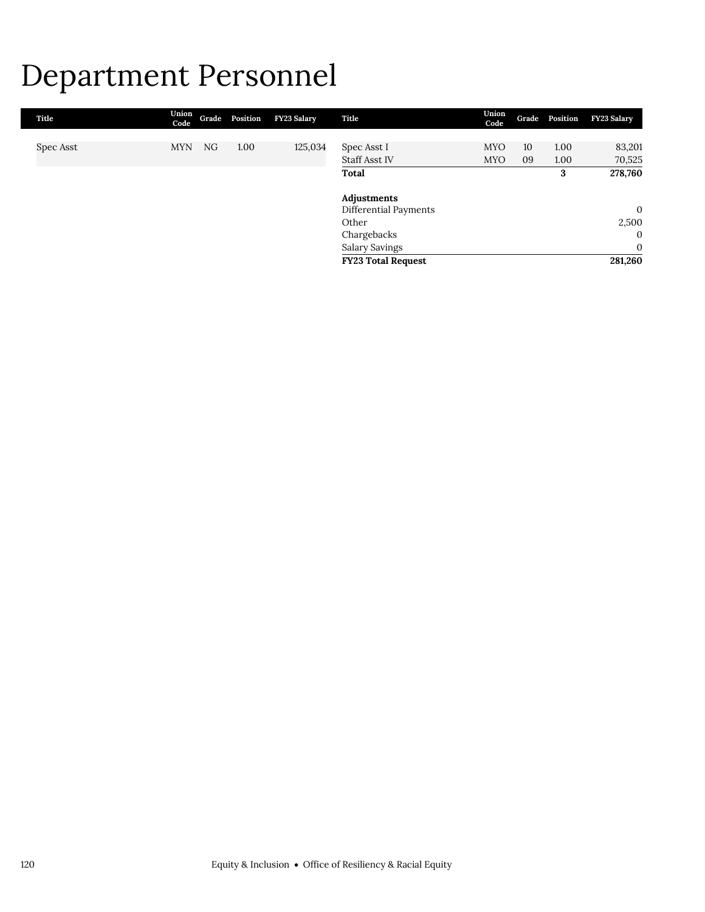## Department Personnel

| Title     | Union<br>Code |    | Grade Position | FY23 Salary | Title                     | Union<br>Code |    | Grade Position | FY23 Salary  |
|-----------|---------------|----|----------------|-------------|---------------------------|---------------|----|----------------|--------------|
|           |               |    |                |             |                           |               |    |                |              |
| Spec Asst | <b>MYN</b>    | NG | 1.00           | 125,034     | Spec Asst I               | <b>MYO</b>    | 10 | 1.00           | 83,201       |
|           |               |    |                |             | <b>Staff Asst IV</b>      | <b>MYO</b>    | 09 | 1.00           | 70,525       |
|           |               |    |                |             | Total                     |               |    | 3              | 278,760      |
|           |               |    |                |             | Adjustments               |               |    |                |              |
|           |               |    |                |             | Differential Payments     |               |    |                | $\mathbf{0}$ |
|           |               |    |                |             | Other                     |               |    |                | 2,500        |
|           |               |    |                |             | Chargebacks               |               |    |                | $\mathbf{0}$ |
|           |               |    |                |             | Salary Savings            |               |    |                | $\mathbf{0}$ |
|           |               |    |                |             | <b>FY23 Total Request</b> |               |    |                | 281,260      |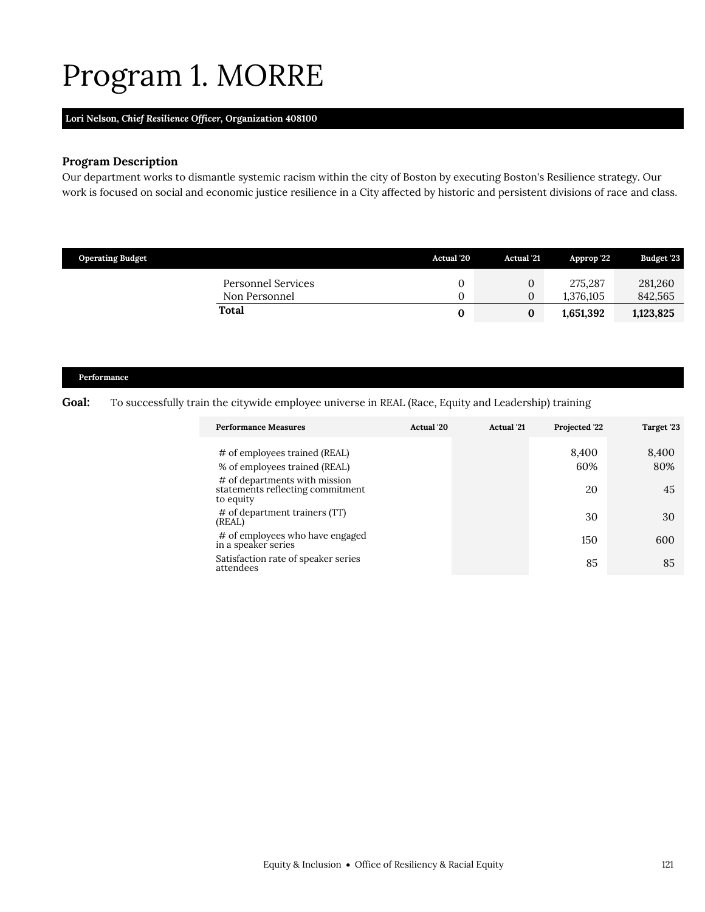## <span id="page-58-0"></span>Program 1. MORRE

## **Lori Nelson,** *Chief Resilience Officer,* **Organization 408100**

## **Program Description**

Our department works to dismantle systemic racism within the city of Boston by executing Boston's Resilience strategy. Our work is focused on social and economic justice resilience in a City affected by historic and persistent divisions of race and class.

| <b>Operating Budget</b>             | Actual '20 | <b>Actual</b> '21   | Approp '22           | Budget '23         |
|-------------------------------------|------------|---------------------|----------------------|--------------------|
| Personnel Services<br>Non Personnel |            | 0<br>$\overline{0}$ | 275,287<br>1.376.105 | 281,260<br>842,565 |
| Total                               |            | 0                   | 1,651,392            | 1,123,825          |

#### **Performance**

#### Goal: To successfully train the citywide employee universe in REAL (Race, Equity and Leadership) training

| <b>Performance Measures</b>                                                    | Actual '20 | <b>Actual</b> '21 | Projected '22 | Target '23   |
|--------------------------------------------------------------------------------|------------|-------------------|---------------|--------------|
| $\#$ of employees trained (REAL)<br>% of employees trained (REAL)              |            |                   | 8,400<br>60%  | 8,400<br>80% |
| # of departments with mission<br>statements reflecting commitment<br>to equity |            |                   | 20            | 45           |
| # of department trainers (TT)<br>(REAL)                                        |            |                   | 30            | 30           |
| # of employees who have engaged<br>in a speaker series                         |            |                   | 150           | 600          |
| Satisfaction rate of speaker series<br>attendees                               |            |                   | 85            | 85           |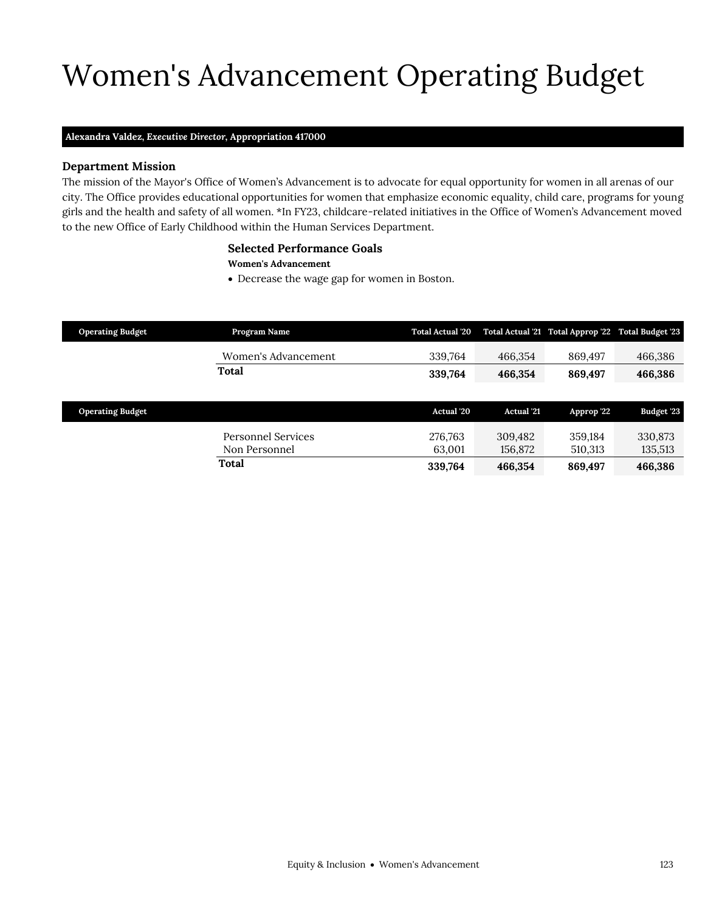# Women's Advancement Operating Budget

#### **Alexandra Valdez,** *Executive Director,* **Appropriation 417000**

#### **Department Mission**

Women's Advancement

The mission of the Mayor's Office of Women's Advancement is to advocate for equal opportunity for women in all arenas of our city. The Office provides educational opportunities for women that emphasize economic equality, child care, programs for young girls and the health and safety of all women. \*In FY23, childcare-related initiatives in the Office of Women's Advancement moved to the new Office of Early Childhood within the Human Services Department.

#### <span id="page-60-0"></span>**Selected Performance Goals**

#### **Women's Advancement**

Decrease the wage gap for women in Boston.

| <b>Operating Budget</b> | Program Name                        | <b>Total Actual '20</b> |                    | Total Actual '21 Total Approp '22 Total Budget '23 |                    |
|-------------------------|-------------------------------------|-------------------------|--------------------|----------------------------------------------------|--------------------|
|                         | Women's Advancement                 | 339,764                 | 466,354            | 869,497                                            | 466,386            |
|                         | Total                               | 339,764                 | 466,354            | 869,497                                            | 466,386            |
|                         |                                     |                         |                    |                                                    |                    |
| <b>Operating Budget</b> |                                     | <b>Actual</b> '20       | <b>Actual</b> '21  | Approp '22                                         | Budget '23         |
|                         | Personnel Services<br>Non Personnel | 276,763<br>63,001       | 309,482<br>156,872 | 359.184<br>510,313                                 | 330,873<br>135,513 |
|                         | Total                               | 339,764                 | 466,354            | 869,497                                            | 466,386            |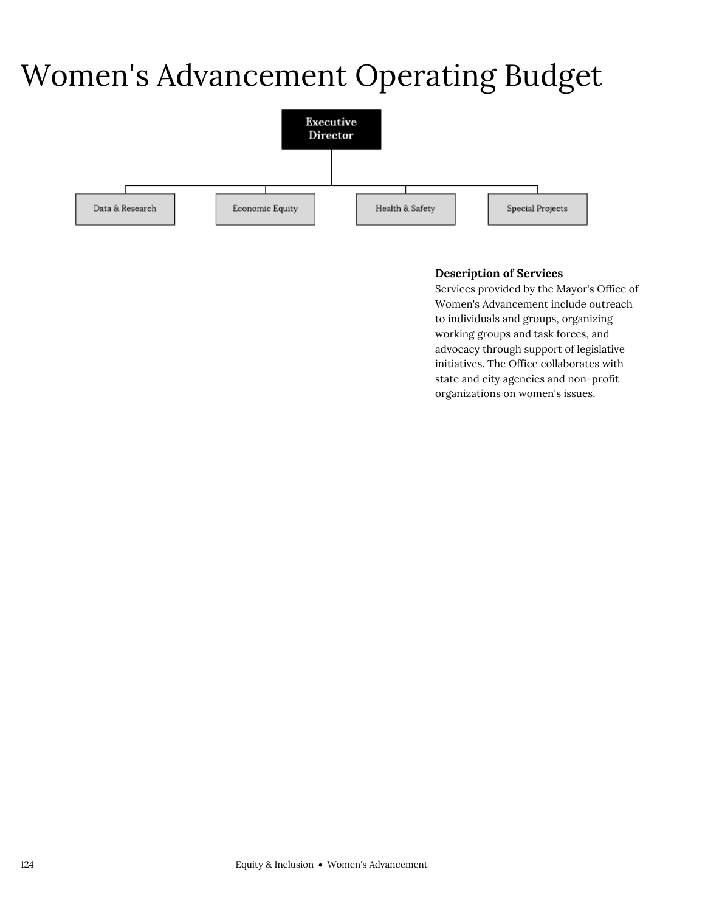## Women's Advancement Operating Budget



## **Description of Services**

Services provided by the Mayor's Office of Women's Advancement include outreach to individuals and groups, organizing working groups and task forces, and advocacy through support of legislative initiatives. The Office collaborates with state and city agencies and non-profit organizations on women's issues.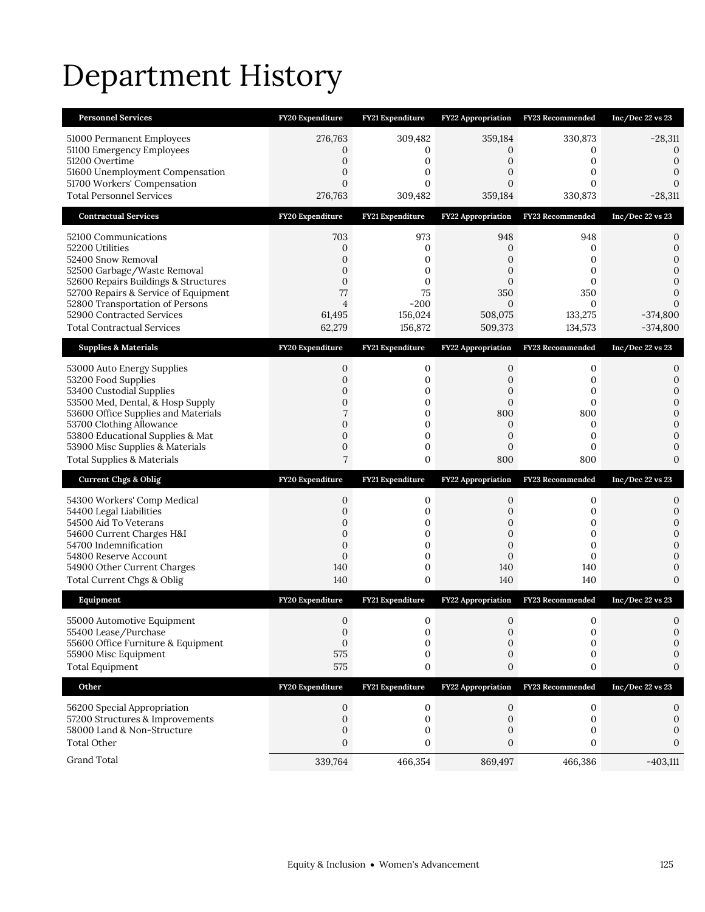# Department History

| <b>Personnel Services</b>                                               | FY20 Expenditure                 | <b>FY21 Expenditure</b> | <b>FY22 Appropriation</b> | FY23 Recommended        | Inc/Dec $22$ vs $23$             |
|-------------------------------------------------------------------------|----------------------------------|-------------------------|---------------------------|-------------------------|----------------------------------|
| 51000 Permanent Employees                                               | 276,763                          | 309,482                 | 359,184                   | 330,873                 | $-28,311$                        |
| 51100 Emergency Employees<br>51200 Overtime                             | 0<br>0                           | 0<br>$\mathbf{0}$       | 0<br>$\mathbf{0}$         | 0<br>$\mathbf{0}$       | 0<br>$\boldsymbol{0}$            |
| 51600 Unemployment Compensation                                         | 0                                | 0                       | 0                         | $\mathbf{0}$            | $\mathbf{0}$                     |
| 51700 Workers' Compensation                                             | $\overline{0}$                   | 0                       | $\overline{0}$            | $\mathbf{0}$            | $\mathbf{0}$                     |
| <b>Total Personnel Services</b>                                         | 276,763                          | 309,482                 | 359,184                   | 330,873                 | $-28,311$                        |
| <b>Contractual Services</b>                                             | FY20 Expenditure                 | FY21 Expenditure        | <b>FY22 Appropriation</b> | <b>FY23 Recommended</b> | $Inc/Dec$ 22 vs 23               |
| 52100 Communications                                                    | 703                              | 973                     | 948                       | 948                     | 0                                |
| 52200 Utilities<br>52400 Snow Removal                                   | $\mathbf 0$<br>0                 | 0<br>$\mathbf{0}$       | 0<br>0                    | 0<br>$\mathbf{0}$       | $\mathbf{0}$<br>$\mathbf{0}$     |
| 52500 Garbage/Waste Removal                                             | 0                                | $\mathbf{0}$            | 0                         | $\mathbf{0}$            | $\mathbf{0}$                     |
| 52600 Repairs Buildings & Structures                                    | $\boldsymbol{0}$                 | 0                       | $\mathbf{0}$              | $\mathbf 0$             | $\mathbf{0}$                     |
| 52700 Repairs & Service of Equipment<br>52800 Transportation of Persons | 77<br>$\overline{4}$             | 75<br>$-200$            | 350<br>0                  | 350<br>$\mathbf{0}$     | $\mathbf{0}$<br>$\mathbf{0}$     |
| 52900 Contracted Services                                               | 61,495                           | 156,024                 | 508,075                   | 133,275                 | $-374,800$                       |
| <b>Total Contractual Services</b>                                       | 62,279                           | 156,872                 | 509,373                   | 134,573                 | $-374,800$                       |
| <b>Supplies &amp; Materials</b>                                         | FY20 Expenditure                 | FY21 Expenditure        | <b>FY22 Appropriation</b> | FY23 Recommended        | $Inc/Dec$ 22 vs 23               |
| 53000 Auto Energy Supplies                                              | 0                                | 0                       | 0                         | 0                       | 0                                |
| 53200 Food Supplies<br>53400 Custodial Supplies                         | 0<br>0                           | 0<br>0                  | 0<br>0                    | 0<br>0                  | $\mathbf 0$<br>$\boldsymbol{0}$  |
| 53500 Med, Dental, & Hosp Supply                                        | 0                                | 0                       | 0                         | $\mathbf{0}$            | $\boldsymbol{0}$                 |
| 53600 Office Supplies and Materials                                     | 7                                | 0                       | 800                       | 800                     | $\mathbf{0}$                     |
| 53700 Clothing Allowance<br>53800 Educational Supplies & Mat            | $\overline{0}$<br>$\overline{0}$ | 0<br>0                  | 0<br>0                    | 0<br>$\mathbf{0}$       | $\mathbf{0}$<br>$\boldsymbol{0}$ |
|                                                                         |                                  |                         |                           |                         |                                  |
| 53900 Misc Supplies & Materials                                         | 0                                | 0                       | $\mathbf{0}$              | $\mathbf{0}$            | $\mathbf 0$                      |
| <b>Total Supplies &amp; Materials</b>                                   | 7                                | 0                       | 800                       | 800                     | $\mathbf{0}$                     |
| <b>Current Chgs &amp; Oblig</b>                                         | FY20 Expenditure                 | FY21 Expenditure        | FY22 Appropriation        | FY23 Recommended        | Inc/Dec 22 vs 23                 |
| 54300 Workers' Comp Medical                                             | 0                                | 0                       | 0                         | 0                       | 0                                |
| 54400 Legal Liabilities                                                 | 0                                | 0                       | $\mathbf{0}$              | 0                       | $\mathbf{0}$                     |
| 54500 Aid To Veterans                                                   | 0<br>$\boldsymbol{0}$            | 0<br>0                  | 0<br>$\mathbf{0}$         | 0<br>$\mathbf 0$        | $\mathbf{0}$<br>$\boldsymbol{0}$ |
| 54600 Current Charges H&I<br>54700 Indemnification                      | $\mathbf{0}$                     | $\mathbf{0}$            | 0                         | $\mathbf{0}$            | $\mathbf{0}$                     |
| 54800 Reserve Account                                                   | $\boldsymbol{0}$                 | 0                       | $\mathbf{0}$              | $\mathbf 0$             | $\mathbf{0}$                     |
| 54900 Other Current Charges<br>Total Current Chgs & Oblig               | 140<br>140                       | 0<br>0                  | 140<br>140                | 140<br>140              | $\mathbf 0$<br>$\mathbf{0}$      |
| Equipment                                                               | FY20 Expenditure                 | FY21 Expenditure        | <b>FY22 Appropriation</b> | FY23 Recommended        | Inc/Dec 22 vs 23                 |
|                                                                         |                                  |                         |                           |                         |                                  |
| 55000 Automotive Equipment<br>55400 Lease/Purchase                      | $\mathbf{0}$<br>0                | 0<br>0                  | $\mathbf{0}$<br>0         | 0<br>0                  | 0<br>$\mathbf{0}$                |
| 55600 Office Furniture & Equipment                                      | $\boldsymbol{0}$                 | 0                       | 0                         | $\mathbf{0}$            | 0                                |
| 55900 Misc Equipment                                                    | 575<br>575                       | 0<br>0                  | 0<br>0                    | 0<br>0                  | 0<br>$\boldsymbol{0}$            |
| <b>Total Equipment</b><br>Other                                         | FY20 Expenditure                 | FY21 Expenditure        | <b>FY22 Appropriation</b> | FY23 Recommended        | $Inc/Dec$ 22 vs 23               |
|                                                                         |                                  |                         |                           |                         |                                  |
| 56200 Special Appropriation<br>57200 Structures & Improvements          | 0<br>0                           | 0<br>0                  | 0<br>0                    | 0<br>0                  | 0<br>0                           |
| 58000 Land & Non-Structure                                              | 0                                | 0                       | 0                         | 0                       | $\Omega$                         |
| <b>Total Other</b><br>Grand Total                                       | 0                                | 0                       | 0                         | 0                       | $\Omega$                         |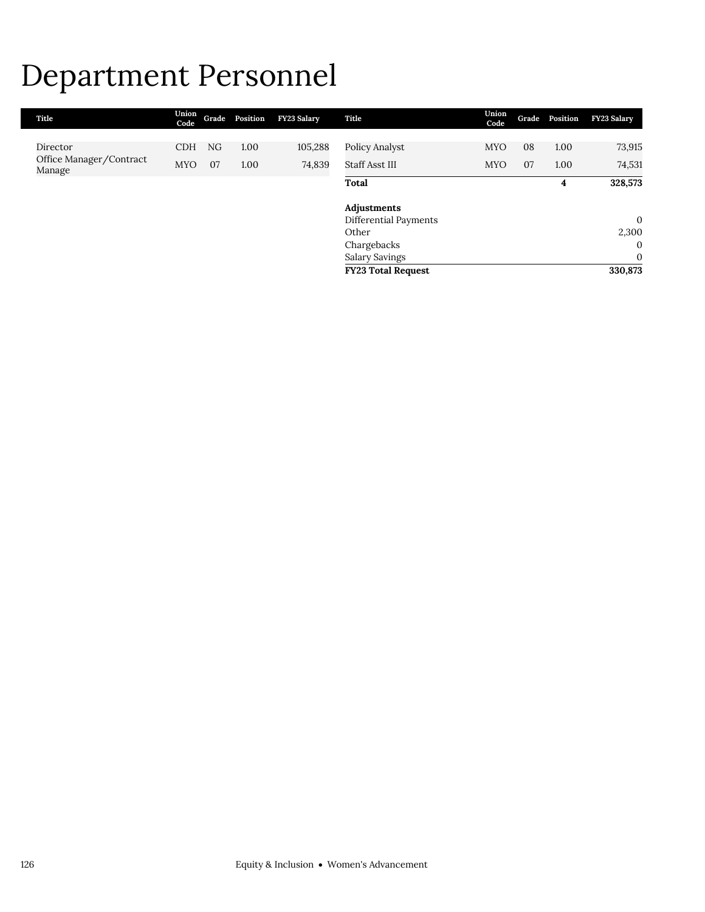## Department Personnel

| Title                             | Union<br>Code | Grade | Position | <b>FY23 Salary</b> | Title                     | Union<br>Code | Grade | Position | <b>FY23 Salary</b> |
|-----------------------------------|---------------|-------|----------|--------------------|---------------------------|---------------|-------|----------|--------------------|
|                                   |               |       |          |                    |                           |               |       |          |                    |
| Director                          | <b>CDH</b>    | NG    | 1.00     | 105,288            | Policy Analyst            | <b>MYO</b>    | 08    | 1.00     | 73,915             |
| Office Manager/Contract<br>Manage | <b>MYO</b>    | 07    | 1.00     | 74,839             | Staff Asst III            | <b>MYO</b>    | 07    | 1.00     | 74,531             |
|                                   |               |       |          |                    | Total                     |               |       | 4        | 328,573            |
|                                   |               |       |          |                    | Adjustments               |               |       |          |                    |
|                                   |               |       |          |                    | Differential Payments     |               |       |          | $\overline{0}$     |
|                                   |               |       |          |                    | Other                     |               |       |          | 2,300              |
|                                   |               |       |          |                    | Chargebacks               |               |       |          | $\mathbf{0}$       |
|                                   |               |       |          |                    | Salary Savings            |               |       |          | $\mathbf{0}$       |
|                                   |               |       |          |                    | <b>FY23 Total Request</b> |               |       |          | 330,873            |